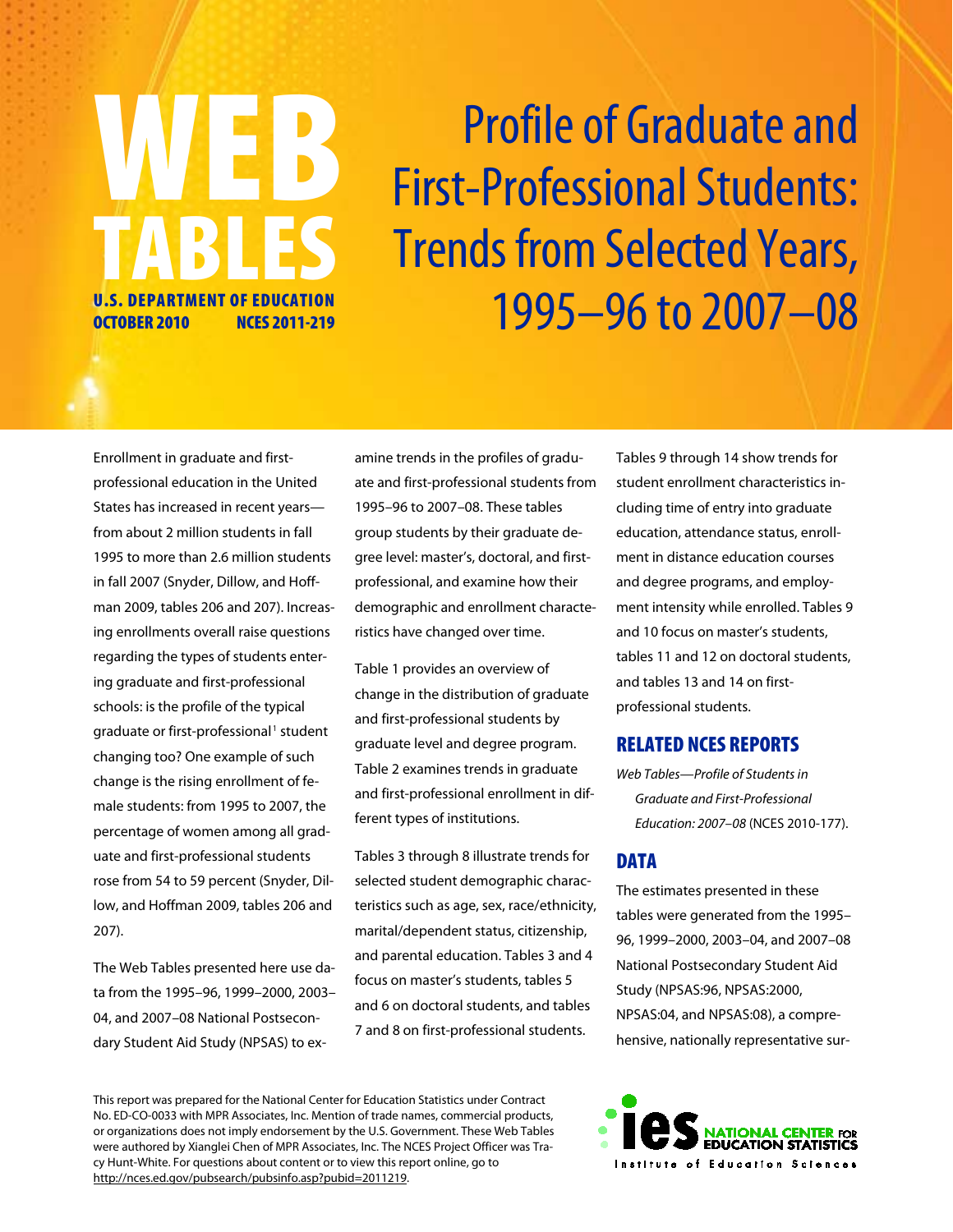# Profile of Graduate and First-Professional Students: **Trends from Selected Years,** 1995–96 to 2007–08

Enrollment in graduate and firstprofessional education in the United States has increased in recent years from about 2 million students in fall 1995 to more than 2.6 million students in fall 2007 (Snyder, Dillow, and Hoffman 2009, tables 206 and 207). Increasing enrollments overall raise questions regarding the types of students entering graduate and first-professional schools: is the profile of the typical graduate or first-professional<sup>1</sup> student changing too? One example of such change is the rising enrollment of female students: from 1995 to 2007, the percentage of women among all graduate and first-professional students rose from 54 to 59 percent (Snyder, Dillow, and Hoffman 2009, tables 206 and 207).

WEB

TABLES

U.S. DEPARTMENT OF EDUCATION OCTOBER 2010 NCES 2011-219

The Web Tables presented here use data from the 1995–96, 1999–2000, 2003– 04, and 2007–08 National Postsecondary Student Aid Study (NPSAS) to examine trends in the profiles of graduate and first-professional students from 1995–96 to 2007–08. These tables group students by their graduate degree level: master's, doctoral, and firstprofessional, and examine how their demographic and enrollment characteristics have changed over time.

Table 1 provides an overview of change in the distribution of graduate and first-professional students by graduate level and degree program. Table 2 examines trends in graduate and first-professional enrollment in different types of institutions.

Tables 3 through 8 illustrate trends for selected student demographic characteristics such as age, sex, race/ethnicity, marital/dependent status, citizenship, and parental education. Tables 3 and 4 focus on master's students, tables 5 and 6 on doctoral students, and tables 7 and 8 on first-professional students.

Tables 9 through 14 show trends for student enrollment characteristics including time of entry into graduate education, attendance status, enrollment in distance education courses and degree programs, and employment intensity while enrolled. Tables 9 and 10 focus on master's students, tables 11 and 12 on doctoral students, and tables 13 and 14 on firstprofessional students.

#### RELATED NCES REPORTS

*Web Tables—Profile of Students in Graduate and First-Professional Education: 2007–08* (NCES 2010-177).

#### **DATA**

The estimates presented in these tables were generated from the 1995– 96, 1999–2000, 2003–04, and 2007–08 National Postsecondary Student Aid Study (NPSAS:96, NPSAS:2000, NPSAS:04, and NPSAS:08), a comprehensive, nationally representative sur-

This report was prepared for the National Center for Education Statistics under Contract No. ED-CO-0033 with MPR Associates, Inc. Mention of trade names, commercial products, or organizations does not imply endorsement by the U.S. Government. These Web Tables were authored by Xianglei Chen of MPR Associates, Inc. The NCES Project Officer was Tracy Hunt-White. For questions about content or to view this report online, go to http://nces.ed.gov/pubsearch/pubsinfo.asp?pubid=2011219.

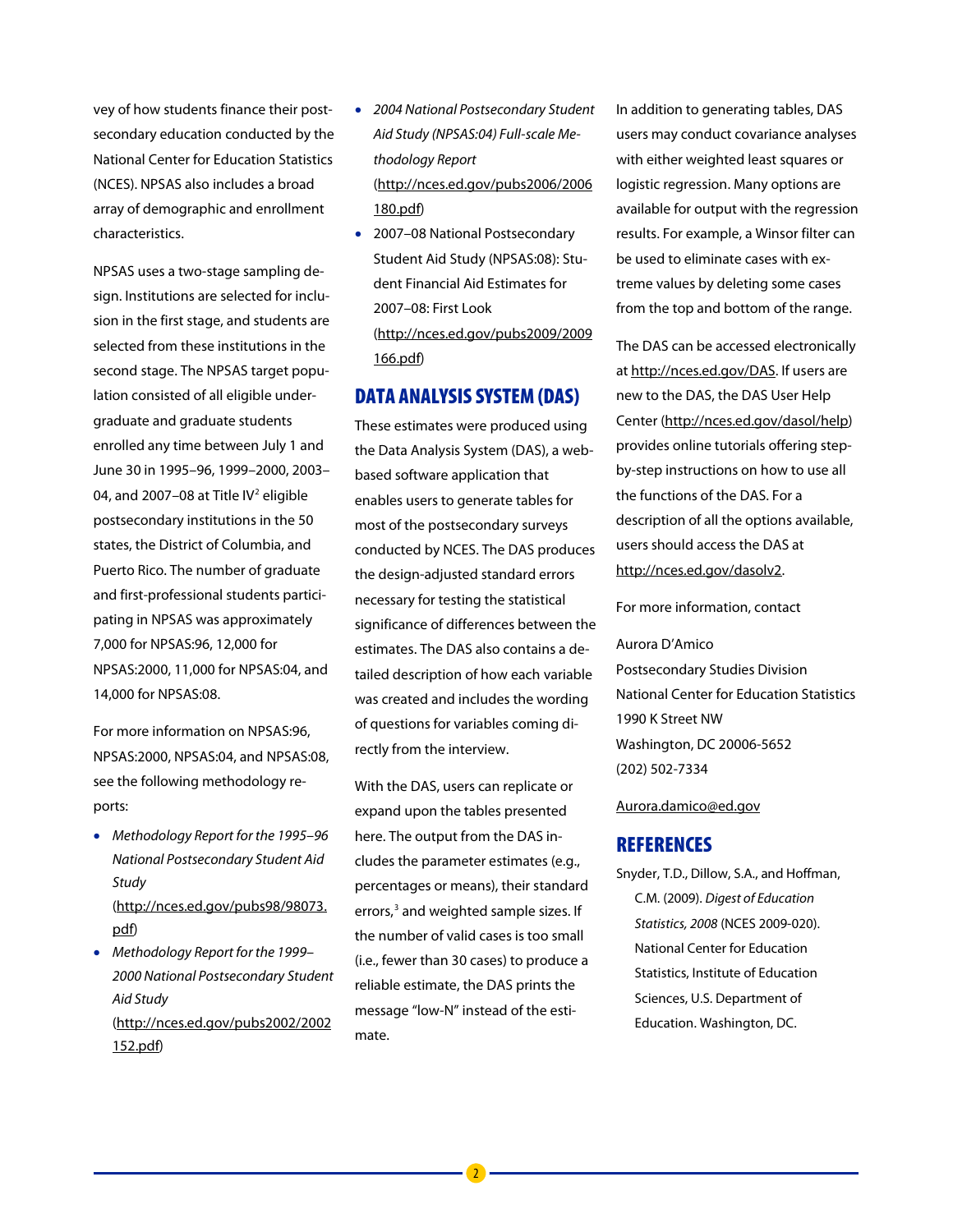vey of how students finance their postsecondary education conducted by the National Center for Education Statistics (NCES). NPSAS also includes a broad array of demographic and enrollment characteristics.

NPSAS uses a two-stage sampling design. Institutions are selected for inclusion in the first stage, and students are selected from these institutions in the second stage. The NPSAS target population consisted of all eligible undergraduate and graduate students enrolled any time between July 1 and June 30 in 1995–96, 1999–2000, 2003– 04, and 2007–08 at Title IV<sup>2</sup> eligible postsecondary institutions in the 50 states, the District of Columbia, and Puerto Rico. The number of graduate and first-professional students participating in NPSAS was approximately 7,000 for NPSAS:96, 12,000 for NPSAS:2000, 11,000 for NPSAS:04, and 14,000 for NPSAS:08.

For more information on NPSAS:96, NPSAS:2000, NPSAS:04, and NPSAS:08, see the following methodology reports:

- *Methodology Report for the 1995–96 National Postsecondary Student Aid Study*  (http://nces.ed.gov/pubs98/98073. pdf)
- *Methodology Report for the 1999– 2000 National Postsecondary Student Aid Study*  (http://nces.ed.gov/pubs2002/2002 152.pdf)
- *2004 National Postsecondary Student Aid Study (NPSAS:04) Full-scale Methodology Report* (http://nces.ed.gov/pubs2006/2006 180.pdf)
- 2007–08 National Postsecondary Student Aid Study (NPSAS:08): Student Financial Aid Estimates for 2007–08: First Look (http://nces.ed.gov/pubs2009/2009 166.pdf)

#### DATA ANALYSIS SYSTEM(DAS)

These estimates were produced using the Data Analysis System (DAS), a webbased software application that enables users to generate tables for most of the postsecondary surveys conducted by NCES. The DAS produces the design-adjusted standard errors necessary for testing the statistical significance of differences between the estimates. The DAS also contains a detailed description of how each variable was created and includes the wording of questions for variables coming directly from the interview.

With the DAS, users can replicate or expand upon the tables presented here. The output from the DAS includes the parameter estimates (e.g., percentages or means), their standard errors,<sup>3</sup> and weighted sample sizes. If the number of valid cases is too small (i.e., fewer than 30 cases) to produce a reliable estimate, the DAS prints the message "low-N" instead of the estimate.

In addition to generating tables, DAS users may conduct covariance analyses with either weighted least squares or logistic regression. Many options are available for output with the regression results. For example, a Winsor filter can be used to eliminate cases with extreme values by deleting some cases from the top and bottom of the range.

The DAS can be accessed electronically at http://nces.ed.gov/DAS. If users are new to the DAS, the DAS User Help Center (http://nces.ed.gov/dasol/help) provides online tutorials offering stepby-step instructions on how to use all the functions of the DAS. For a description of all the options available, users should access the DAS at http://nces.ed.gov/dasolv2.

For more information, contact

Aurora D'Amico Postsecondary Studies Division National Center for Education Statistics 1990 K Street NW Washington, DC 20006-5652 (202) 502-7334

#### Aurora.damico@ed.gov

#### **REFERENCES**

Snyder, T.D., Dillow, S.A., and Hoffman, C.M. (2009). *Digest of Education Statistics, 2008* (NCES 2009-020). National Center for Education Statistics, Institute of Education Sciences, U.S. Department of Education. Washington, DC.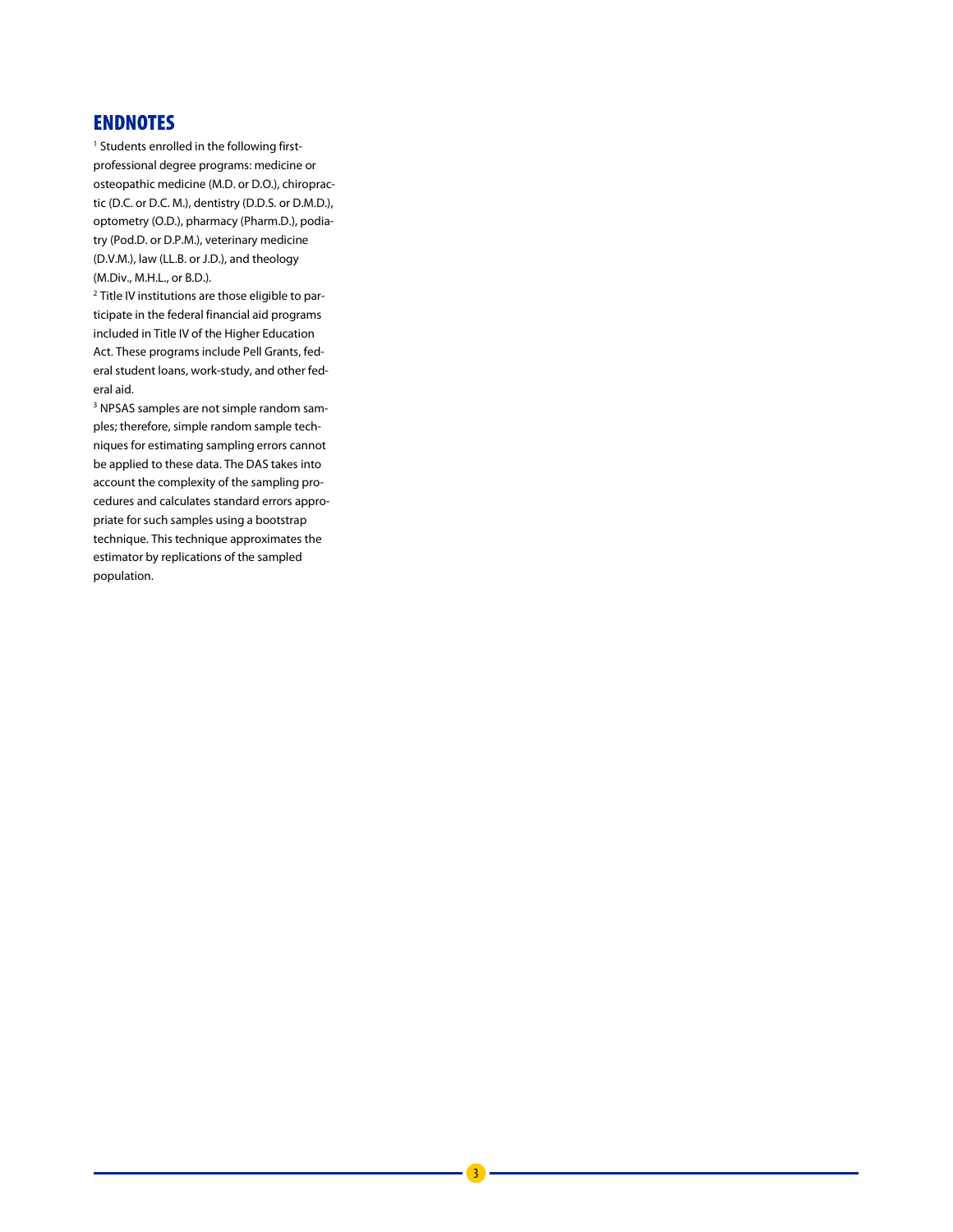#### ENDNOTES

<sup>1</sup> Students enrolled in the following firstprofessional degree programs: medicine or osteopathic medicine (M.D. or D.O.), chiropractic (D.C. or D.C. M.), dentistry (D.D.S. or D.M.D.), optometry (O.D.), pharmacy (Pharm.D.), podiatry (Pod.D. or D.P.M.), veterinary medicine (D.V.M.), law (LL.B. or J.D.), and theology (M.Div., M.H.L., or B.D.).

<sup>2</sup> Title IV institutions are those eligible to participate in the federal financial aid programs included in Title IV of the Higher Education Act. These programs include Pell Grants, federal student loans, work-study, and other federal aid.

<sup>3</sup> NPSAS samples are not simple random samples; therefore, simple random sample techniques for estimating sampling errors cannot be applied to these data. The DAS takes into account the complexity of the sampling procedures and calculates standard errors appropriate for such samples using a bootstrap technique. This technique approximates the estimator by replications of the sampled population.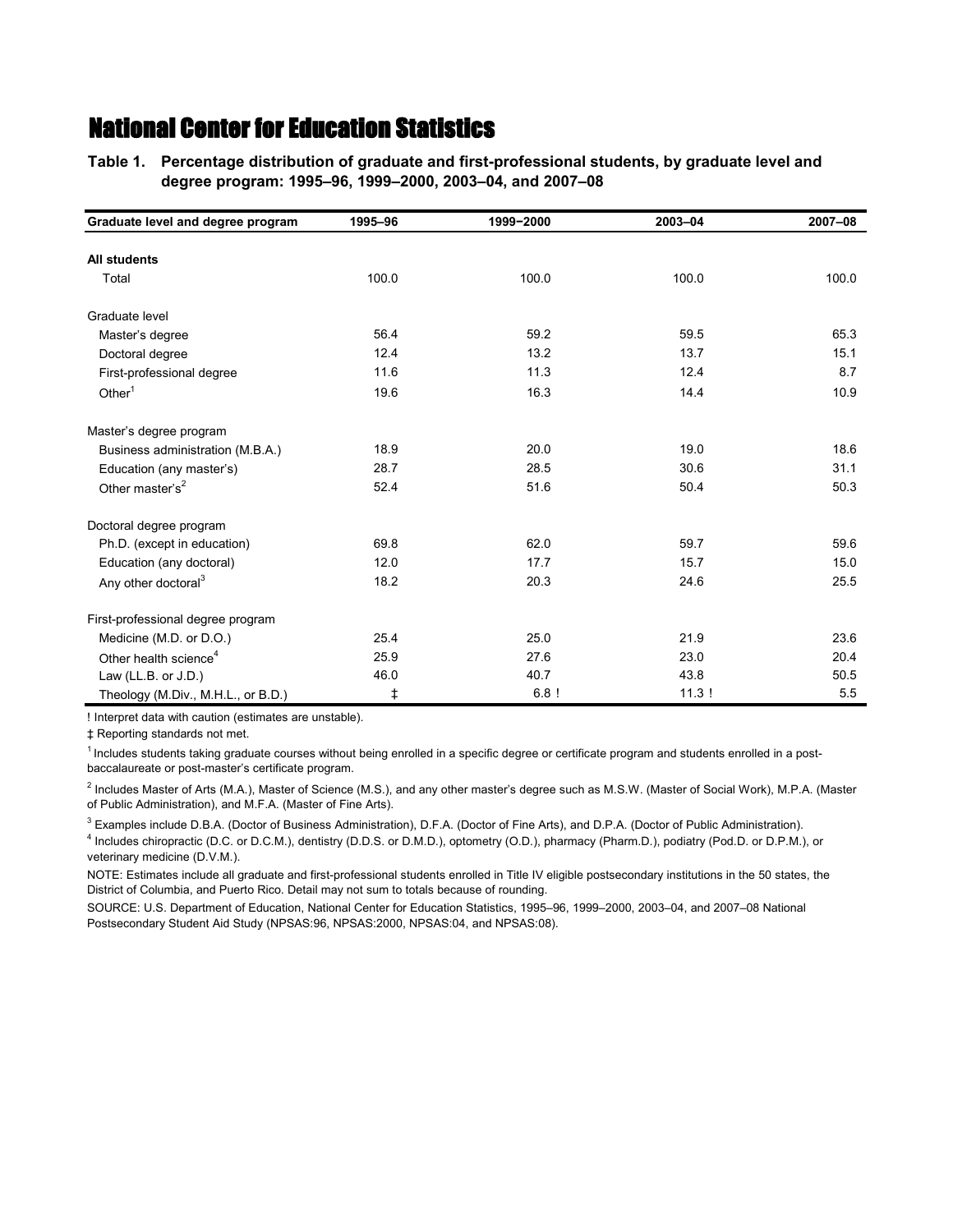**Table 1.—Percentage distribution of graduate and first-professional students, by graduate level and Table 1.—degree program: 1995–96, 1999–2000, 2003–04, and 2007–08**

| Graduate level and degree program  | 1995-96 | 1999-2000 | 2003-04 | 2007-08 |
|------------------------------------|---------|-----------|---------|---------|
| <b>All students</b>                |         |           |         |         |
| Total                              | 100.0   | 100.0     | 100.0   | 100.0   |
| Graduate level                     |         |           |         |         |
| Master's degree                    | 56.4    | 59.2      | 59.5    | 65.3    |
| Doctoral degree                    | 12.4    | 13.2      | 13.7    | 15.1    |
| First-professional degree          | 11.6    | 11.3      | 12.4    | 8.7     |
| Other $1$                          | 19.6    | 16.3      | 14.4    | 10.9    |
| Master's degree program            |         |           |         |         |
| Business administration (M.B.A.)   | 18.9    | 20.0      | 19.0    | 18.6    |
| Education (any master's)           | 28.7    | 28.5      | 30.6    | 31.1    |
| Other master's <sup>2</sup>        | 52.4    | 51.6      | 50.4    | 50.3    |
| Doctoral degree program            |         |           |         |         |
| Ph.D. (except in education)        | 69.8    | 62.0      | 59.7    | 59.6    |
| Education (any doctoral)           | 12.0    | 17.7      | 15.7    | 15.0    |
| Any other doctoral <sup>3</sup>    | 18.2    | 20.3      | 24.6    | 25.5    |
| First-professional degree program  |         |           |         |         |
| Medicine (M.D. or D.O.)            | 25.4    | 25.0      | 21.9    | 23.6    |
| Other health science <sup>4</sup>  | 25.9    | 27.6      | 23.0    | 20.4    |
| Law (LL.B. or $J.D.$ )             | 46.0    | 40.7      | 43.8    | 50.5    |
| Theology (M.Div., M.H.L., or B.D.) | ŧ       | 6.8!      | 11.3!   | 5.5     |

! Interpret data with caution (estimates are unstable).

‡ Reporting standards not met.

<sup>1</sup> Includes students taking graduate courses without being enrolled in a specific degree or certificate program and students enrolled in a postbaccalaureate or post-master's certificate program.

2 Includes Master of Arts (M.A.), Master of Science (M.S.), and any other master's degree such as M.S.W. (Master of Social Work), M.P.A. (Master of Public Administration), and M.F.A. (Master of Fine Arts).

3 Examples include D.B.A. (Doctor of Business Administration), D.F.A. (Doctor of Fine Arts), and D.P.A. (Doctor of Public Administration).

4 Includes chiropractic (D.C. or D.C.M.), dentistry (D.D.S. or D.M.D.), optometry (O.D.), pharmacy (Pharm.D.), podiatry (Pod.D. or D.P.M.), or veterinary medicine (D.V.M.).

NOTE: Estimates include all graduate and first-professional students enrolled in Title IV eligible postsecondary institutions in the 50 states, the District of Columbia, and Puerto Rico. Detail may not sum to totals because of rounding.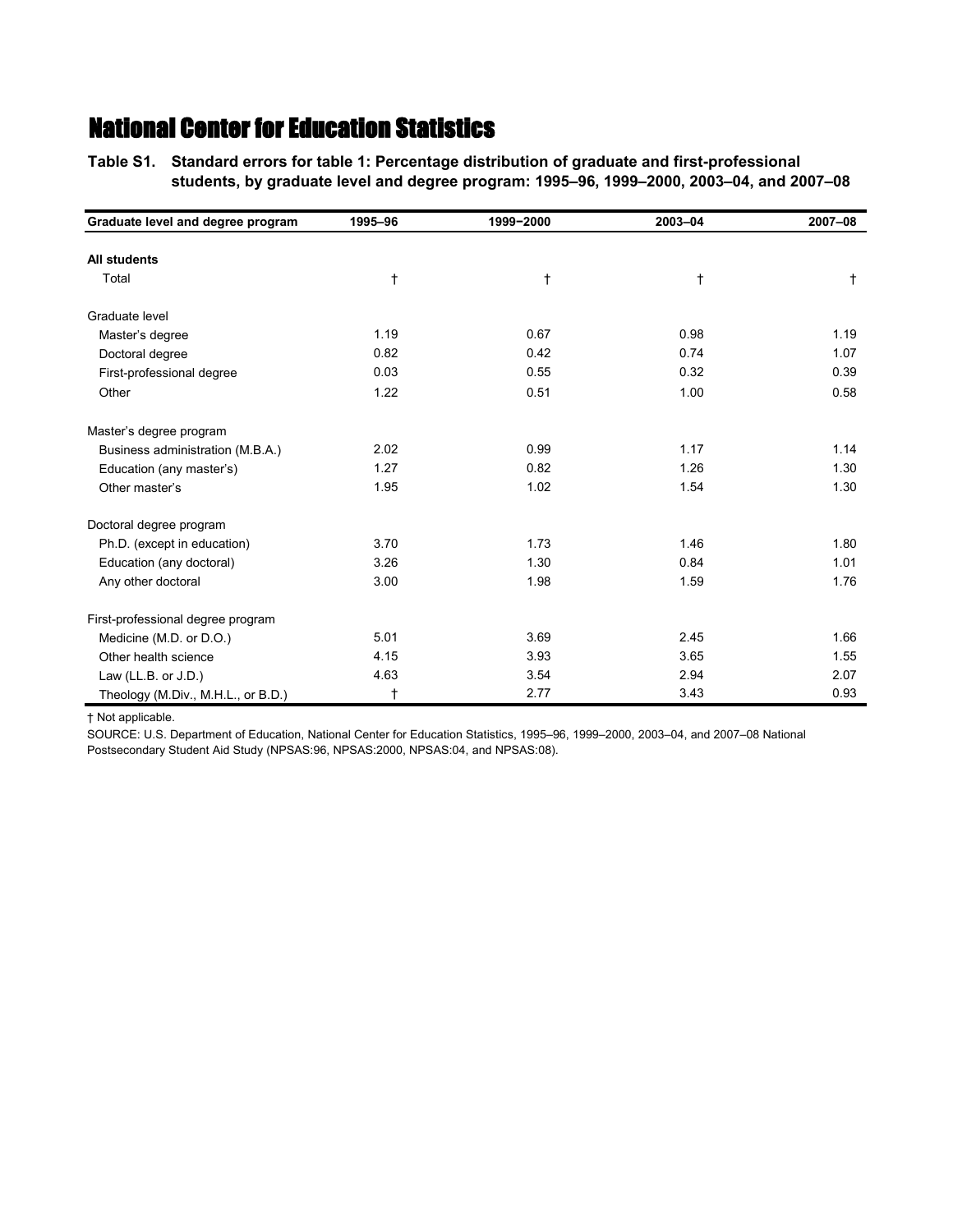**Table S1.—Standard errors for table 1: Percentage distribution of graduate and first-professional Table S1.—students, by graduate level and degree program: 1995–96, 1999–2000, 2003–04, and 2007–08**

| Graduate level and degree program  | 1995-96    | 1999-2000 | 2003-04    | 2007-08      |
|------------------------------------|------------|-----------|------------|--------------|
|                                    |            |           |            |              |
| <b>All students</b>                |            |           |            |              |
| Total                              | $\ddagger$ | t         | $\ddagger$ | $^{\dagger}$ |
| Graduate level                     |            |           |            |              |
| Master's degree                    | 1.19       | 0.67      | 0.98       | 1.19         |
| Doctoral degree                    | 0.82       | 0.42      | 0.74       | 1.07         |
| First-professional degree          | 0.03       | 0.55      | 0.32       | 0.39         |
| Other                              | 1.22       | 0.51      | 1.00       | 0.58         |
| Master's degree program            |            |           |            |              |
| Business administration (M.B.A.)   | 2.02       | 0.99      | 1.17       | 1.14         |
| Education (any master's)           | 1.27       | 0.82      | 1.26       | 1.30         |
| Other master's                     | 1.95       | 1.02      | 1.54       | 1.30         |
| Doctoral degree program            |            |           |            |              |
| Ph.D. (except in education)        | 3.70       | 1.73      | 1.46       | 1.80         |
| Education (any doctoral)           | 3.26       | 1.30      | 0.84       | 1.01         |
| Any other doctoral                 | 3.00       | 1.98      | 1.59       | 1.76         |
| First-professional degree program  |            |           |            |              |
| Medicine (M.D. or D.O.)            | 5.01       | 3.69      | 2.45       | 1.66         |
| Other health science               | 4.15       | 3.93      | 3.65       | 1.55         |
| Law (LL.B. or $J.D.$ )             | 4.63       | 3.54      | 2.94       | 2.07         |
| Theology (M.Div., M.H.L., or B.D.) | $^\dagger$ | 2.77      | 3.43       | 0.93         |

† Not applicable.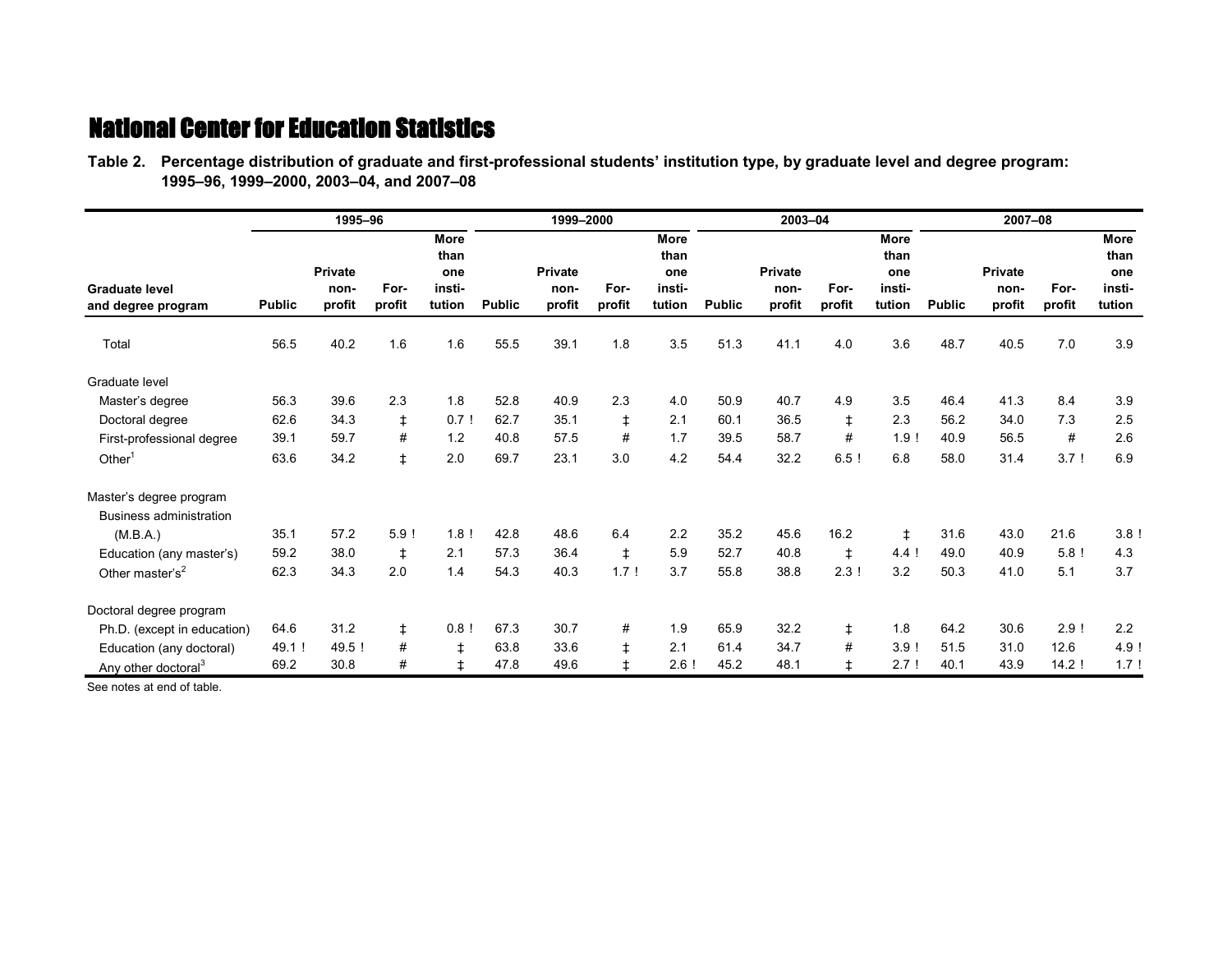| Table 2. Percentage distribution of graduate and first-professional students' institution type, by graduate level and degree program: |  |
|---------------------------------------------------------------------------------------------------------------------------------------|--|
| 1995-96, 1999-2000, 2003-04, and 2007-08                                                                                              |  |

|                                                         |               | 1995-96                          |                |                                         |               | 1999-2000                        |                |                                         |               | 2003-04                          |                |                                         |               | 2007-08                          |                 |                                                |
|---------------------------------------------------------|---------------|----------------------------------|----------------|-----------------------------------------|---------------|----------------------------------|----------------|-----------------------------------------|---------------|----------------------------------|----------------|-----------------------------------------|---------------|----------------------------------|-----------------|------------------------------------------------|
| <b>Graduate level</b><br>and degree program<br>Total    | <b>Public</b> | <b>Private</b><br>non-<br>profit | For-<br>profit | More<br>than<br>one<br>insti-<br>tution | <b>Public</b> | <b>Private</b><br>non-<br>profit | For-<br>profit | More<br>than<br>one<br>insti-<br>tution | <b>Public</b> | <b>Private</b><br>non-<br>profit | For-<br>profit | More<br>than<br>one<br>insti-<br>tution | <b>Public</b> | <b>Private</b><br>non-<br>profit | For-<br>profit  | <b>More</b><br>than<br>one<br>insti-<br>tution |
|                                                         | 56.5          | 40.2                             | 1.6            | 1.6                                     | 55.5          | 39.1                             | 1.8            | 3.5                                     | 51.3          | 41.1                             | 4.0            | 3.6                                     | 48.7          | 40.5                             | 7.0             | 3.9                                            |
| Graduate level                                          |               |                                  |                |                                         |               |                                  |                |                                         |               |                                  |                |                                         |               |                                  |                 |                                                |
| Master's degree                                         | 56.3          | 39.6                             | 2.3            | 1.8                                     | 52.8          | 40.9                             | 2.3            | 4.0                                     | 50.9          | 40.7                             | 4.9            | 3.5                                     | 46.4          | 41.3                             | 8.4             | 3.9                                            |
| Doctoral degree                                         | 62.6          | 34.3                             | $\ddagger$     | $0.7$ !                                 | 62.7          | 35.1                             | ŧ              | 2.1                                     | 60.1          | 36.5                             | ŧ              | 2.3                                     | 56.2          | 34.0                             | 7.3             | 2.5                                            |
| First-professional degree                               | 39.1          | 59.7                             | #              | 1.2                                     | 40.8          | 57.5                             | #              | 1.7                                     | 39.5          | 58.7                             | #              | 1.9!                                    | 40.9          | 56.5                             | #               | 2.6                                            |
| Other <sup>1</sup>                                      | 63.6          | 34.2                             | $\ddagger$     | 2.0                                     | 69.7          | 23.1                             | 3.0            | 4.2                                     | 54.4          | 32.2                             | 6.5!           | 6.8                                     | 58.0          | 31.4                             | 3.7!            | 6.9                                            |
| Master's degree program                                 |               |                                  |                |                                         |               |                                  |                |                                         |               |                                  |                |                                         |               |                                  |                 |                                                |
| Business administration                                 |               |                                  |                |                                         |               |                                  |                |                                         |               |                                  |                |                                         |               |                                  |                 |                                                |
| (M.B.A.)                                                | 35.1<br>59.2  | 57.2<br>38.0                     | 5.9!           | 1.8!<br>2.1                             | 42.8<br>57.3  | 48.6<br>36.4                     | 6.4            | 2.2<br>5.9                              | 35.2<br>52.7  | 45.6<br>40.8                     | 16.2           | ŧ<br>4.4!                               | 31.6<br>49.0  | 43.0<br>40.9                     | 21.6<br>$5.8$ ! | 3.8!<br>4.3                                    |
| Education (any master's)<br>Other master's <sup>2</sup> | 62.3          | 34.3                             | ŧ<br>2.0       | 1.4                                     | 54.3          | 40.3                             | ŧ<br>1.7!      | 3.7                                     | 55.8          | 38.8                             | ŧ<br>2.3!      | 3.2                                     | 50.3          | 41.0                             | 5.1             | 3.7                                            |
| Doctoral degree program                                 |               |                                  |                |                                         |               |                                  |                |                                         |               |                                  |                |                                         |               |                                  |                 |                                                |
| Ph.D. (except in education)                             | 64.6          | 31.2                             | $\ddagger$     | 0.8!                                    | 67.3          | 30.7                             | #              | 1.9                                     | 65.9          | 32.2                             | ŧ              | 1.8                                     | 64.2          | 30.6                             | 2.9!            | 2.2                                            |
| Education (any doctoral)                                | 49.1 !        | 49.5 !                           | #              | $\ddagger$                              | 63.8          | 33.6                             | ŧ.             | 2.1                                     | 61.4          | 34.7                             | #              | 3.9!                                    | 51.5          | 31.0                             | 12.6            | 4.9!                                           |
| Any other doctoral <sup>3</sup>                         | 69.2          | 30.8                             | #              | $\ddagger$                              | 47.8          | 49.6                             | ŧ              | 2.6!                                    | 45.2          | 48.1                             | ŧ              | 2.7 <sub>1</sub>                        | 40.1          | 43.9                             | 14.2            | 1.7!                                           |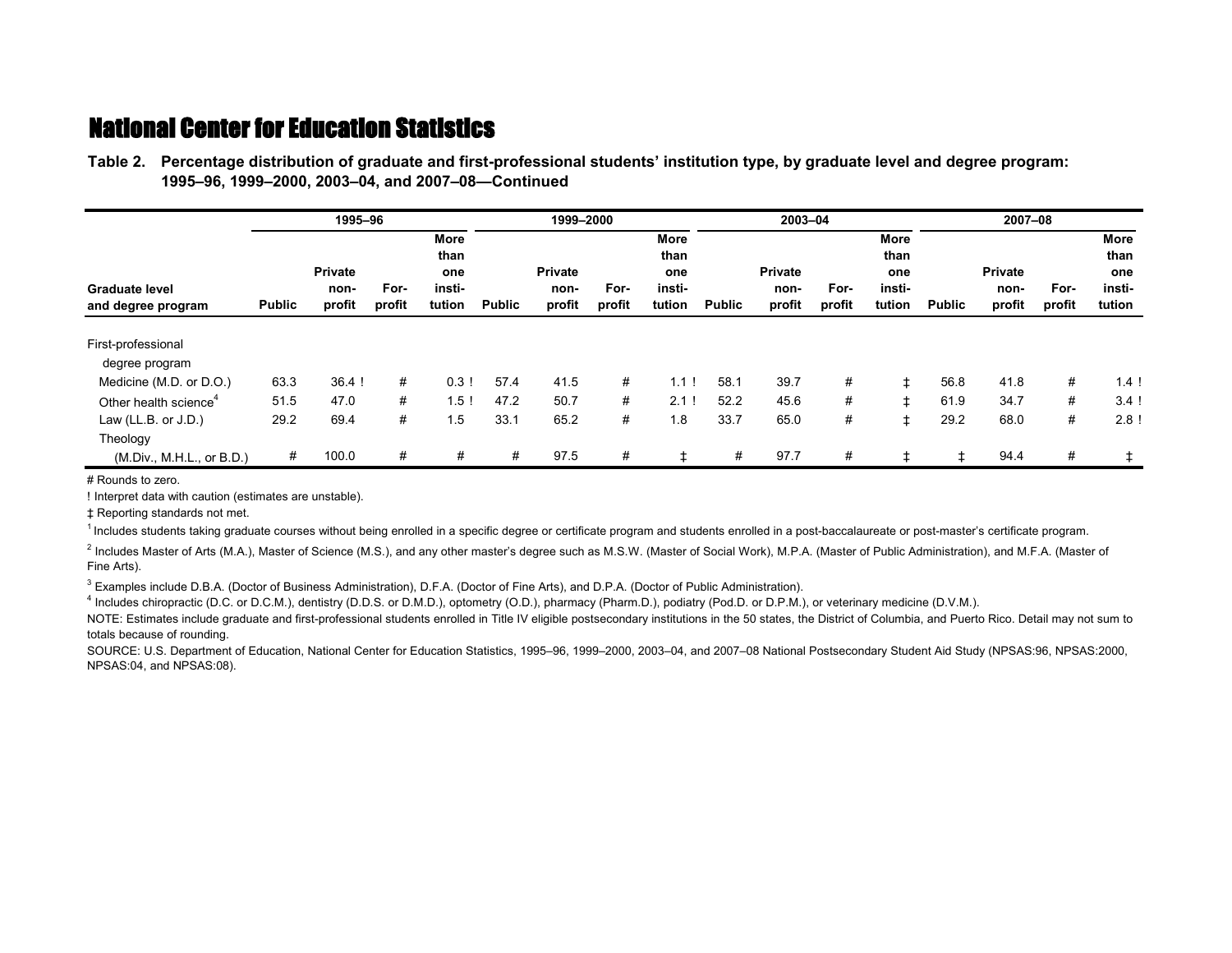**Table 2.—Percentage distribution of graduate and first-professional students' institution type, by graduate level and degree program: Table 2.—1995–96, 1999–2000, 2003–04, and 2007–08—Continued**

|                                   |               | 1995-96        |        |                     |               | 1999-2000      |        |              |               | 2003-04        |        |              |               | 2007-08        |        |                     |
|-----------------------------------|---------------|----------------|--------|---------------------|---------------|----------------|--------|--------------|---------------|----------------|--------|--------------|---------------|----------------|--------|---------------------|
|                                   |               |                |        | <b>More</b><br>than |               |                |        | More<br>than |               |                |        | More<br>than |               |                |        | <b>More</b><br>than |
|                                   |               | <b>Private</b> |        | one                 |               | <b>Private</b> |        | one          |               | <b>Private</b> |        | one          |               | <b>Private</b> |        | one                 |
| <b>Graduate level</b>             |               | non-           | For-   | insti-              |               | non-           | For-   | insti-       |               | non-           | For-   | insti-       |               | non-           | For-   | insti-              |
| and degree program                | <b>Public</b> | profit         | profit | tution              | <b>Public</b> | profit         | profit | tution       | <b>Public</b> | profit         | profit | tution       | <b>Public</b> | profit         | profit | tution              |
| First-professional                |               |                |        |                     |               |                |        |              |               |                |        |              |               |                |        |                     |
| degree program                    |               |                |        |                     |               |                |        |              |               |                |        |              |               |                |        |                     |
| Medicine (M.D. or D.O.)           | 63.3          | $36.4$ !       | #      | 0.3!                | 57.4          | 41.5           | #      | 1.1          | 58.1          | 39.7           | #      |              | 56.8          | 41.8           | #      | 1.4!                |
| Other health science <sup>4</sup> | 51.5          | 47.0           | #      | 1.5!                | 47.2          | 50.7           | #      | 2.1          | 52.2          | 45.6           | #      | ŧ            | 61.9          | 34.7           | #      | 3.4                 |
| Law (LL.B. or $J.D.$ )            | 29.2          | 69.4           | #      | 1.5                 | 33.1          | 65.2           | #      | 1.8          | 33.7          | 65.0           | #      |              | 29.2          | 68.0           | #      | 2.8                 |
| Theology                          |               |                |        |                     |               |                |        |              |               |                |        |              |               |                |        |                     |
| (M.Div., M.H.L., or B.D.)         | #             | 100.0          | #      | #                   | #             | 97.5           | #      | ŧ            | #             | 97.7           | #      |              |               | 94.4           | #      | ‡.                  |

# Rounds to zero.

! Interpret data with caution (estimates are unstable).

‡ Reporting standards not met.

<sup>1</sup> Includes students taking graduate courses without being enrolled in a specific degree or certificate program and students enrolled in a post-baccalaureate or post-master's certificate program.

<sup>2</sup> Includes Master of Arts (M.A.), Master of Science (M.S.), and any other master's degree such as M.S.W. (Master of Social Work), M.P.A. (Master of Public Administration), and M.F.A. (Master of Fine Arts).

3 Examples include D.B.A. (Doctor of Business Administration), D.F.A. (Doctor of Fine Arts), and D.P.A. (Doctor of Public Administration).

4 Includes chiropractic (D.C. or D.C.M.), dentistry (D.D.S. or D.M.D.), optometry (O.D.), pharmacy (Pharm.D.), podiatry (Pod.D. or D.P.M.), or veterinary medicine (D.V.M.).

NOTE: Estimates include graduate and first-professional students enrolled in Title IV eligible postsecondary institutions in the 50 states, the District of Columbia, and Puerto Rico. Detail may not sum to totals because of rounding.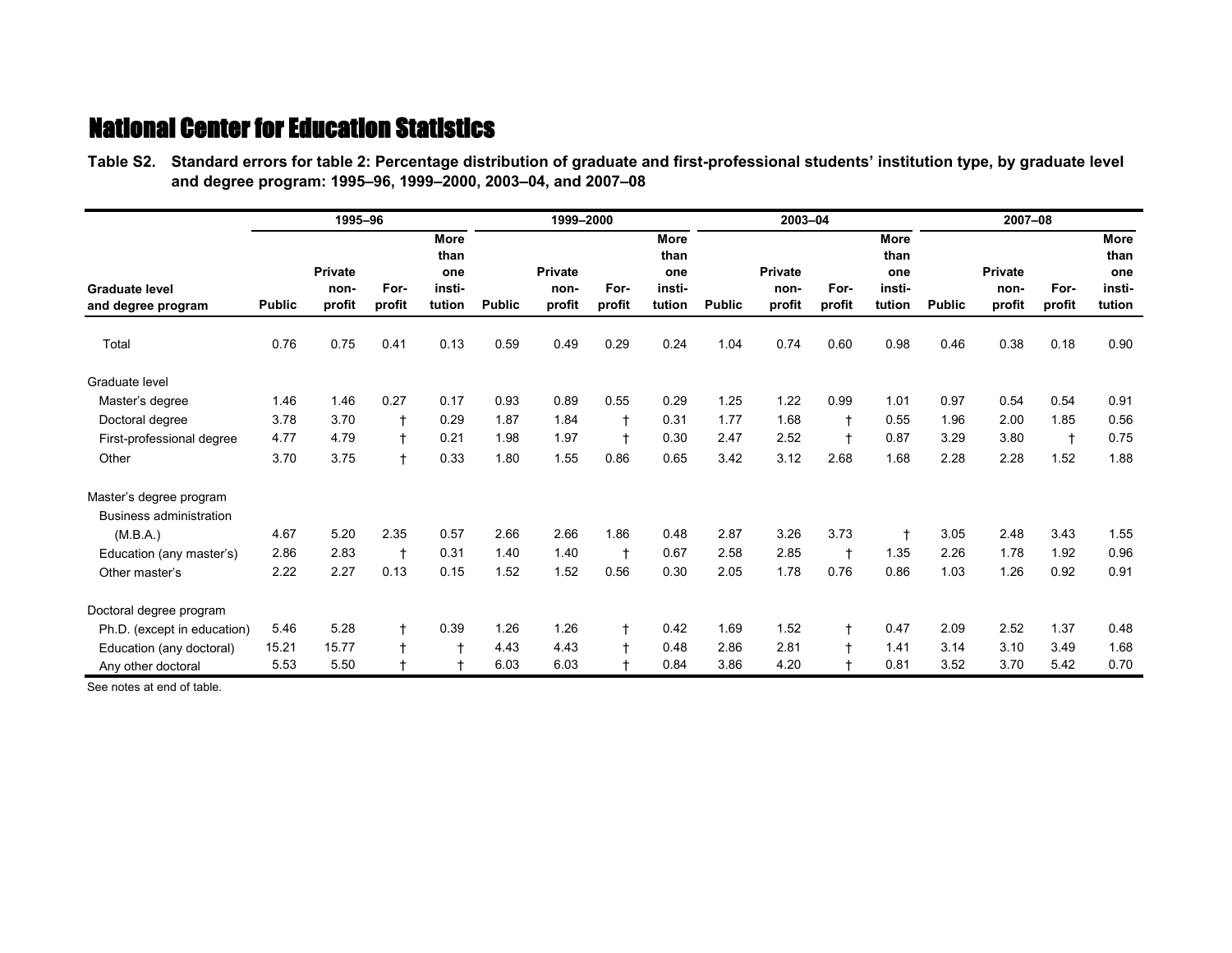**Table S2.—Standard errors for table 2: Percentage distribution of graduate and first-professional students' institution type, by graduate level Table S2.—and degree program: 1995–96, 1999–2000, 2003–04, and 2007–08**

|                                             |               | 1995-96                   |                |                                                |               | 1999-2000                        |                |                                         |               | 2003-04                          |                |                                                |               | 2007-08                          |                |                                         |
|---------------------------------------------|---------------|---------------------------|----------------|------------------------------------------------|---------------|----------------------------------|----------------|-----------------------------------------|---------------|----------------------------------|----------------|------------------------------------------------|---------------|----------------------------------|----------------|-----------------------------------------|
| <b>Graduate level</b><br>and degree program | <b>Public</b> | Private<br>non-<br>profit | For-<br>profit | <b>More</b><br>than<br>one<br>insti-<br>tution | <b>Public</b> | <b>Private</b><br>non-<br>profit | For-<br>profit | More<br>than<br>one<br>insti-<br>tution | <b>Public</b> | <b>Private</b><br>non-<br>profit | For-<br>profit | <b>More</b><br>than<br>one<br>insti-<br>tution | <b>Public</b> | <b>Private</b><br>non-<br>profit | For-<br>profit | More<br>than<br>one<br>insti-<br>tution |
| Total                                       | 0.76          | 0.75                      | 0.41           | 0.13                                           | 0.59          | 0.49                             | 0.29           | 0.24                                    | 1.04          | 0.74                             | 0.60           | 0.98                                           | 0.46          | 0.38                             | 0.18           | 0.90                                    |
| Graduate level                              |               |                           |                |                                                |               |                                  |                |                                         |               |                                  |                |                                                |               |                                  |                |                                         |
| Master's degree                             | 1.46          | 1.46                      | 0.27           | 0.17                                           | 0.93          | 0.89                             | 0.55           | 0.29                                    | 1.25          | 1.22                             | 0.99           | 1.01                                           | 0.97          | 0.54                             | 0.54           | 0.91                                    |
| Doctoral degree                             | 3.78          | 3.70                      | $\ddagger$     | 0.29                                           | 1.87          | 1.84                             | $\mathbf +$    | 0.31                                    | 1.77          | 1.68                             | $\ddagger$     | 0.55                                           | 1.96          | 2.00                             | 1.85           | 0.56                                    |
| First-professional degree                   | 4.77          | 4.79                      | $\ddagger$     | 0.21                                           | 1.98          | 1.97                             | $\ddagger$     | 0.30                                    | 2.47          | 2.52                             | $\ddagger$     | 0.87                                           | 3.29          | 3.80                             | $\ddagger$     | 0.75                                    |
| Other                                       | 3.70          | 3.75                      | $\ddagger$     | 0.33                                           | 1.80          | 1.55                             | 0.86           | 0.65                                    | 3.42          | 3.12                             | 2.68           | 1.68                                           | 2.28          | 2.28                             | 1.52           | 1.88                                    |
| Master's degree program                     |               |                           |                |                                                |               |                                  |                |                                         |               |                                  |                |                                                |               |                                  |                |                                         |
| Business administration                     |               |                           |                |                                                |               |                                  |                |                                         |               |                                  |                |                                                |               |                                  |                |                                         |
| (M.B.A.)                                    | 4.67          | 5.20                      | 2.35           | 0.57                                           | 2.66          | 2.66                             | 1.86           | 0.48                                    | 2.87          | 3.26                             | 3.73           |                                                | 3.05          | 2.48                             | 3.43           | 1.55                                    |
| Education (any master's)                    | 2.86          | 2.83                      | $\overline{1}$ | 0.31                                           | 1.40          | 1.40                             | $\ddagger$     | 0.67                                    | 2.58          | 2.85                             | $\ddagger$     | 1.35                                           | 2.26          | 1.78                             | 1.92           | 0.96                                    |
| Other master's                              | 2.22          | 2.27                      | 0.13           | 0.15                                           | 1.52          | 1.52                             | 0.56           | 0.30                                    | 2.05          | 1.78                             | 0.76           | 0.86                                           | 1.03          | 1.26                             | 0.92           | 0.91                                    |
| Doctoral degree program                     |               |                           |                |                                                |               |                                  |                |                                         |               |                                  |                |                                                |               |                                  |                |                                         |
| Ph.D. (except in education)                 | 5.46          | 5.28                      | $\ddagger$     | 0.39                                           | 1.26          | 1.26                             | $\ddagger$     | 0.42                                    | 1.69          | 1.52                             | $\ddagger$     | 0.47                                           | 2.09          | 2.52                             | 1.37           | 0.48                                    |
| Education (any doctoral)                    | 15.21         | 15.77                     | $\ddagger$     | $\mathsf{t}$                                   | 4.43          | 4.43                             | $\ddagger$     | 0.48                                    | 2.86          | 2.81                             | $\ddagger$     | 1.41                                           | 3.14          | 3.10                             | 3.49           | 1.68                                    |
| Any other doctoral                          | 5.53          | 5.50                      | $\ddagger$     |                                                | 6.03          | 6.03                             |                | 0.84                                    | 3.86          | 4.20                             |                | 0.81                                           | 3.52          | 3.70                             | 5.42           | 0.70                                    |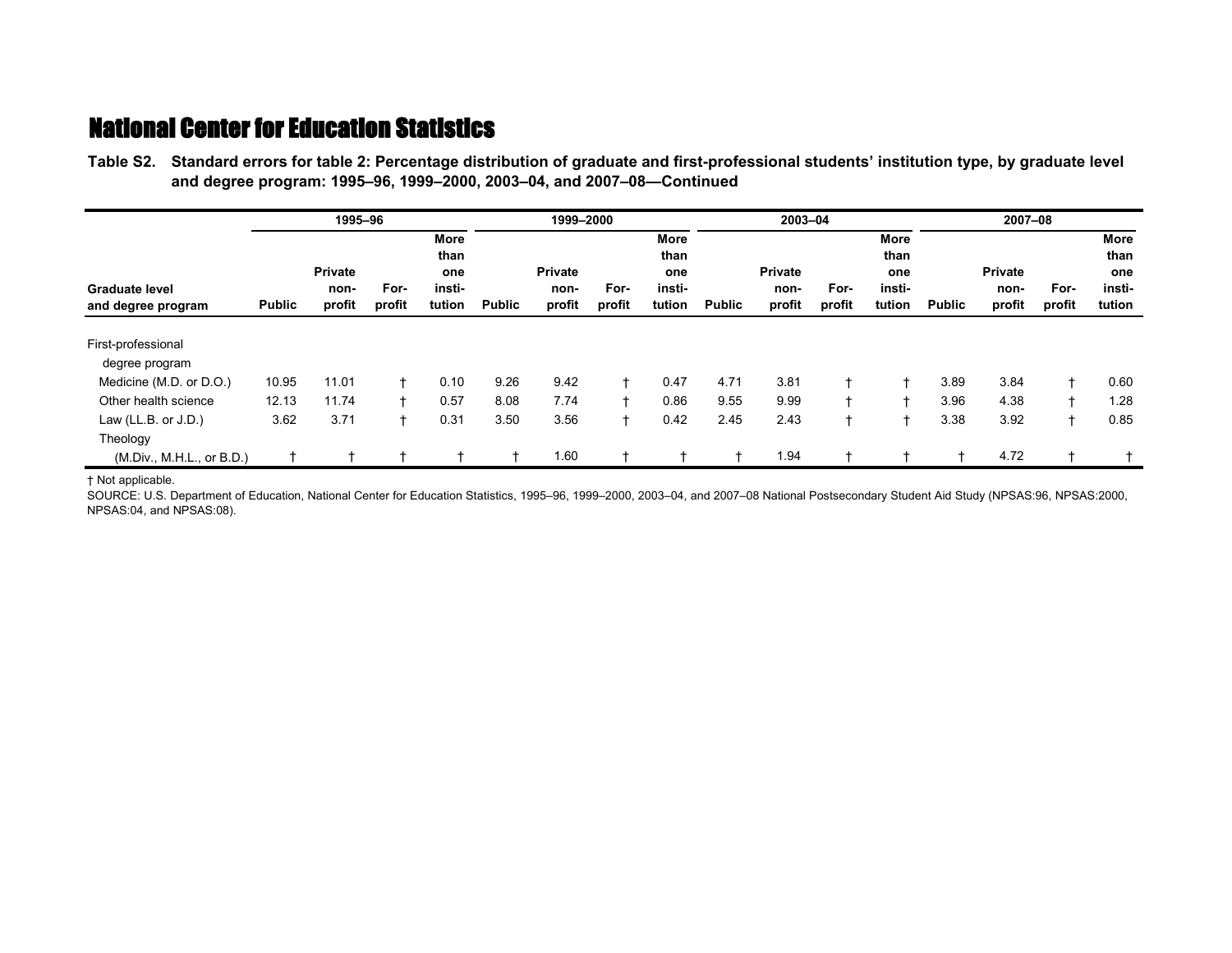**Table S2.—Standard errors for table 2: Percentage distribution of graduate and first-professional students' institution type, by graduate level Table S2.—and degree program: 1995–96, 1999–2000, 2003–04, and 2007–08—Continued**

|                                             |               | 1995-96                          |                |                                                |               | 1999-2000                        |                |                                         |               | 2003-04                          |                |                                                | 2007-08       |                                  |                |                                         |  |
|---------------------------------------------|---------------|----------------------------------|----------------|------------------------------------------------|---------------|----------------------------------|----------------|-----------------------------------------|---------------|----------------------------------|----------------|------------------------------------------------|---------------|----------------------------------|----------------|-----------------------------------------|--|
| <b>Graduate level</b><br>and degree program | <b>Public</b> | <b>Private</b><br>non-<br>profit | For-<br>profit | <b>More</b><br>than<br>one<br>insti-<br>tution | <b>Public</b> | <b>Private</b><br>non-<br>profit | For-<br>profit | More<br>than<br>one<br>insti-<br>tution | <b>Public</b> | <b>Private</b><br>non-<br>profit | For-<br>profit | <b>More</b><br>than<br>one<br>insti-<br>tution | <b>Public</b> | <b>Private</b><br>non-<br>profit | For-<br>profit | More<br>than<br>one<br>insti-<br>tution |  |
| First-professional<br>degree program        |               |                                  |                |                                                |               |                                  |                |                                         |               |                                  |                |                                                |               |                                  |                |                                         |  |
| Medicine (M.D. or D.O.)                     | 10.95         | 11.01                            |                | 0.10                                           | 9.26          | 9.42                             | ÷              | 0.47                                    | 4.71          | 3.81                             |                |                                                | 3.89          | 3.84                             |                | 0.60                                    |  |
| Other health science                        | 12.13         | 11.74                            |                | 0.57                                           | 8.08          | 7.74                             |                | 0.86                                    | 9.55          | 9.99                             | $+$            |                                                | 3.96          | 4.38                             |                | 1.28                                    |  |
| Law (LL.B. or $J.D.$ )<br>Theology          | 3.62          | 3.71                             |                | 0.31                                           | 3.50          | 3.56                             |                | 0.42                                    | 2.45          | 2.43                             |                |                                                | 3.38          | 3.92                             |                | 0.85                                    |  |
| (M.Div., M.H.L., or B.D.)                   |               |                                  |                |                                                |               | 1.60                             |                |                                         |               | 1.94                             |                |                                                |               | 4.72                             |                |                                         |  |

† Not applicable.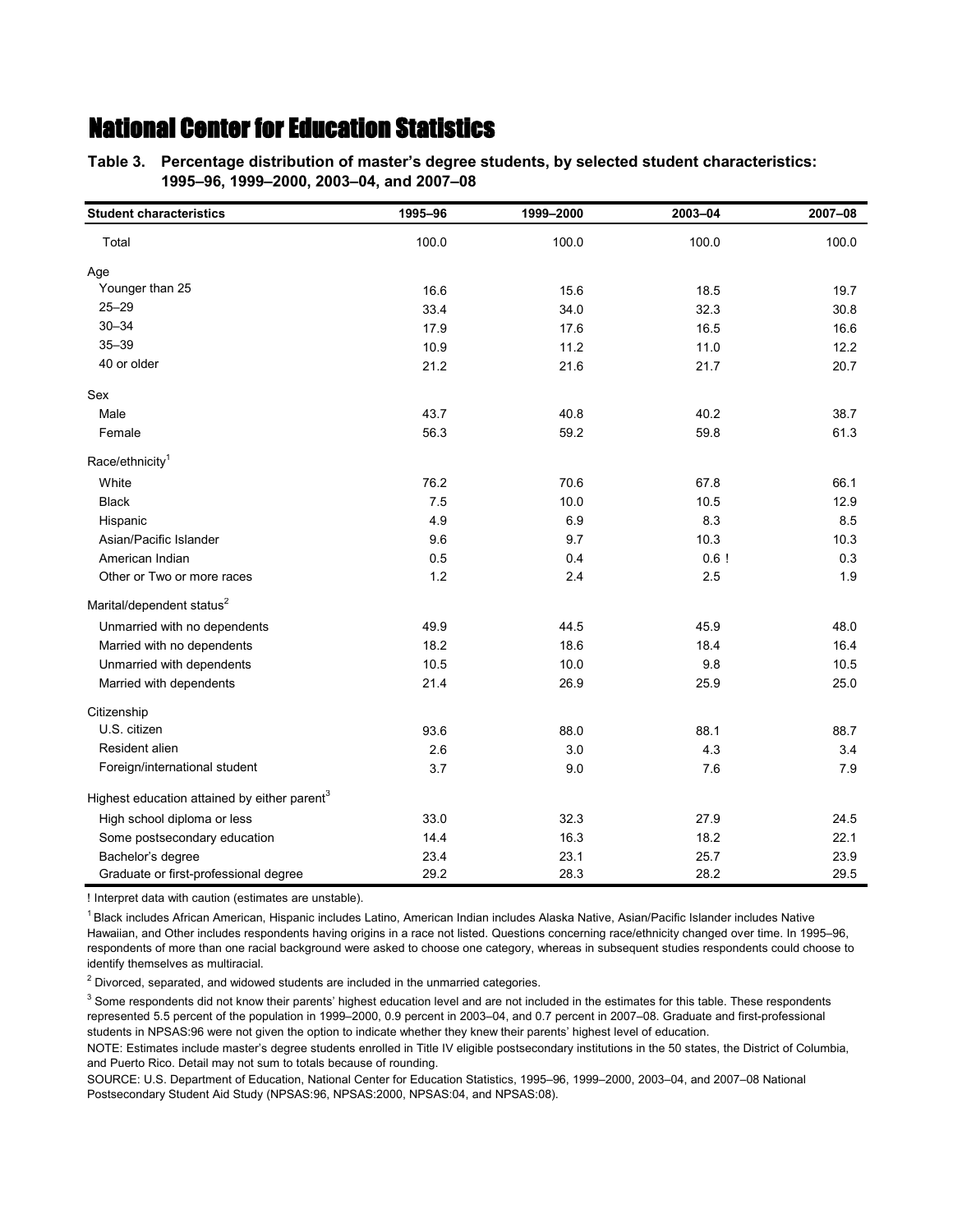**Table 3.—Percentage distribution of master's degree students, by selected student characteristics: Table 3.—1995–96, 1999–2000, 2003–04, and 2007–08**

| <b>Student characteristics</b>                           | 1995-96 | 1999-2000 | 2003-04 | 2007-08 |
|----------------------------------------------------------|---------|-----------|---------|---------|
| Total                                                    | 100.0   | 100.0     | 100.0   | 100.0   |
| Age                                                      |         |           |         |         |
| Younger than 25                                          | 16.6    | 15.6      | 18.5    | 19.7    |
| $25 - 29$                                                | 33.4    | 34.0      | 32.3    | 30.8    |
| $30 - 34$                                                | 17.9    | 17.6      | 16.5    | 16.6    |
| $35 - 39$                                                | 10.9    | 11.2      | 11.0    | 12.2    |
| 40 or older                                              | 21.2    | 21.6      | 21.7    | 20.7    |
| Sex                                                      |         |           |         |         |
| Male                                                     | 43.7    | 40.8      | 40.2    | 38.7    |
| Female                                                   | 56.3    | 59.2      | 59.8    | 61.3    |
| Race/ethnicity <sup>1</sup>                              |         |           |         |         |
| White                                                    | 76.2    | 70.6      | 67.8    | 66.1    |
| <b>Black</b>                                             | 7.5     | 10.0      | 10.5    | 12.9    |
| Hispanic                                                 | 4.9     | 6.9       | 8.3     | 8.5     |
| Asian/Pacific Islander                                   | 9.6     | 9.7       | 10.3    | 10.3    |
| American Indian                                          | 0.5     | 0.4       | 0.6!    | 0.3     |
| Other or Two or more races                               | 1.2     | 2.4       | 2.5     | 1.9     |
| Marital/dependent status <sup>2</sup>                    |         |           |         |         |
| Unmarried with no dependents                             | 49.9    | 44.5      | 45.9    | 48.0    |
| Married with no dependents                               | 18.2    | 18.6      | 18.4    | 16.4    |
| Unmarried with dependents                                | 10.5    | 10.0      | 9.8     | 10.5    |
| Married with dependents                                  | 21.4    | 26.9      | 25.9    | 25.0    |
| Citizenship                                              |         |           |         |         |
| U.S. citizen                                             | 93.6    | 88.0      | 88.1    | 88.7    |
| Resident alien                                           | 2.6     | 3.0       | 4.3     | 3.4     |
| Foreign/international student                            | 3.7     | 9.0       | 7.6     | 7.9     |
| Highest education attained by either parent <sup>3</sup> |         |           |         |         |
| High school diploma or less                              | 33.0    | 32.3      | 27.9    | 24.5    |
| Some postsecondary education                             | 14.4    | 16.3      | 18.2    | 22.1    |
| Bachelor's degree                                        | 23.4    | 23.1      | 25.7    | 23.9    |
| Graduate or first-professional degree                    | 29.2    | 28.3      | 28.2    | 29.5    |

! Interpret data with caution (estimates are unstable).

<sup>1</sup> Black includes African American, Hispanic includes Latino, American Indian includes Alaska Native, Asian/Pacific Islander includes Native Hawaiian, and Other includes respondents having origins in a race not listed. Questions concerning race/ethnicity changed over time. In 1995–96, respondents of more than one racial background were asked to choose one category, whereas in subsequent studies respondents could choose to identify themselves as multiracial.

 $2$  Divorced, separated, and widowed students are included in the unmarried categories.

 $3$  Some respondents did not know their parents' highest education level and are not included in the estimates for this table. These respondents represented 5.5 percent of the population in 1999–2000, 0.9 percent in 2003–04, and 0.7 percent in 2007–08. Graduate and first-professional students in NPSAS:96 were not given the option to indicate whether they knew their parents' highest level of education.

NOTE: Estimates include master's degree students enrolled in Title IV eligible postsecondary institutions in the 50 states, the District of Columbia, and Puerto Rico. Detail may not sum to totals because of rounding.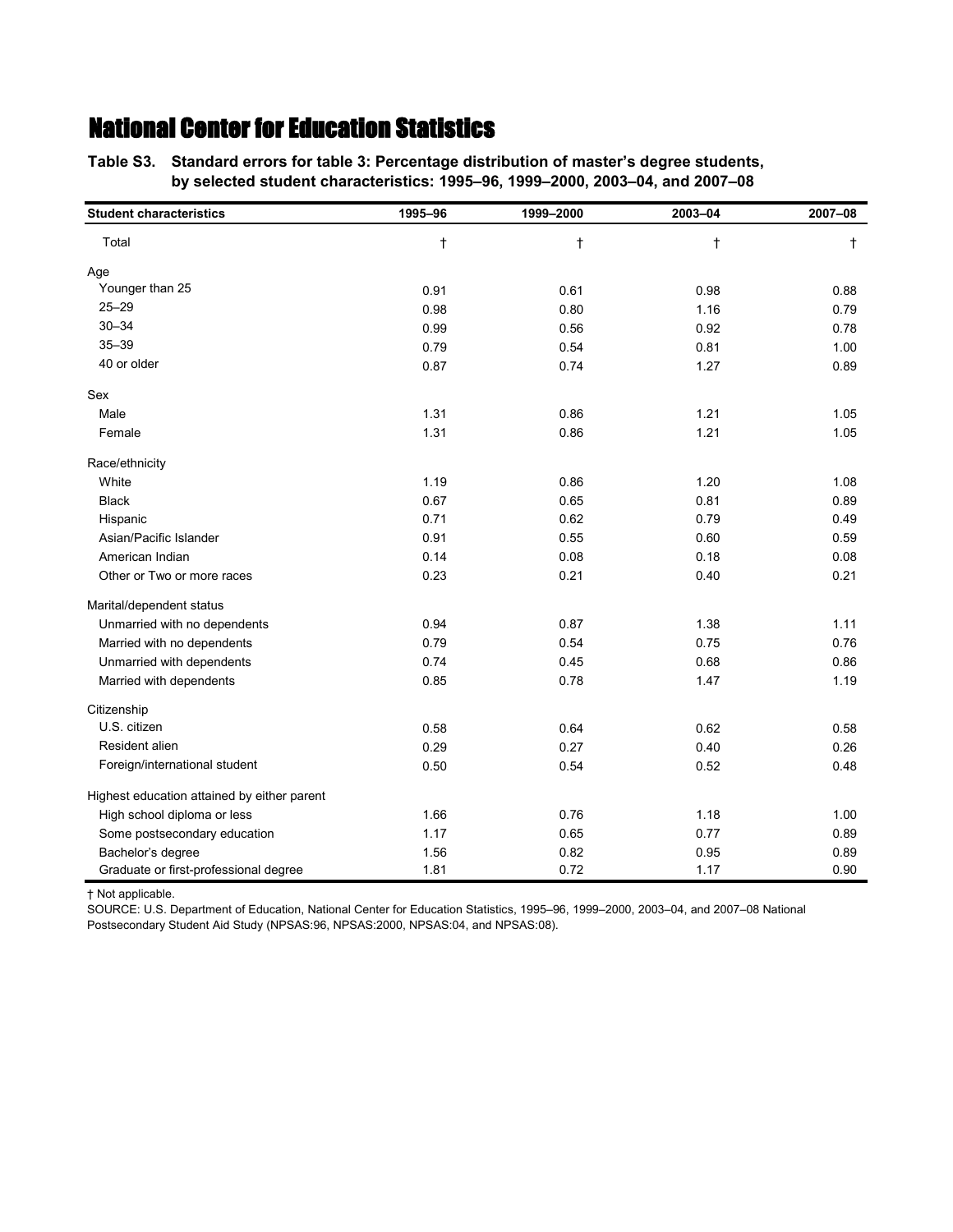**Table S3.—Standard errors for table 3: Percentage distribution of master's degree students, Table S3.—by selected student characteristics: 1995–96, 1999–2000, 2003–04, and 2007–08**

| <b>Student characteristics</b>              | 1995-96    | 1999-2000  | 2003-04    | 2007-08 |
|---------------------------------------------|------------|------------|------------|---------|
| Total                                       | $^\dagger$ | $^\dagger$ | $^\dagger$ | t       |
| Age                                         |            |            |            |         |
| Younger than 25                             | 0.91       | 0.61       | 0.98       | 0.88    |
| $25 - 29$                                   | 0.98       | 0.80       | 1.16       | 0.79    |
| $30 - 34$                                   | 0.99       | 0.56       | 0.92       | 0.78    |
| $35 - 39$                                   | 0.79       | 0.54       | 0.81       | 1.00    |
| 40 or older                                 | 0.87       | 0.74       | 1.27       | 0.89    |
| Sex                                         |            |            |            |         |
| Male                                        | 1.31       | 0.86       | 1.21       | 1.05    |
| Female                                      | 1.31       | 0.86       | 1.21       | 1.05    |
| Race/ethnicity                              |            |            |            |         |
| White                                       | 1.19       | 0.86       | 1.20       | 1.08    |
| <b>Black</b>                                | 0.67       | 0.65       | 0.81       | 0.89    |
| Hispanic                                    | 0.71       | 0.62       | 0.79       | 0.49    |
| Asian/Pacific Islander                      | 0.91       | 0.55       | 0.60       | 0.59    |
| American Indian                             | 0.14       | 0.08       | 0.18       | 0.08    |
| Other or Two or more races                  | 0.23       | 0.21       | 0.40       | 0.21    |
| Marital/dependent status                    |            |            |            |         |
| Unmarried with no dependents                | 0.94       | 0.87       | 1.38       | 1.11    |
| Married with no dependents                  | 0.79       | 0.54       | 0.75       | 0.76    |
| Unmarried with dependents                   | 0.74       | 0.45       | 0.68       | 0.86    |
| Married with dependents                     | 0.85       | 0.78       | 1.47       | 1.19    |
| Citizenship                                 |            |            |            |         |
| U.S. citizen                                | 0.58       | 0.64       | 0.62       | 0.58    |
| Resident alien                              | 0.29       | 0.27       | 0.40       | 0.26    |
| Foreign/international student               | 0.50       | 0.54       | 0.52       | 0.48    |
| Highest education attained by either parent |            |            |            |         |
| High school diploma or less                 | 1.66       | 0.76       | 1.18       | 1.00    |
| Some postsecondary education                | 1.17       | 0.65       | 0.77       | 0.89    |
| Bachelor's degree                           | 1.56       | 0.82       | 0.95       | 0.89    |
| Graduate or first-professional degree       | 1.81       | 0.72       | 1.17       | 0.90    |

† Not applicable.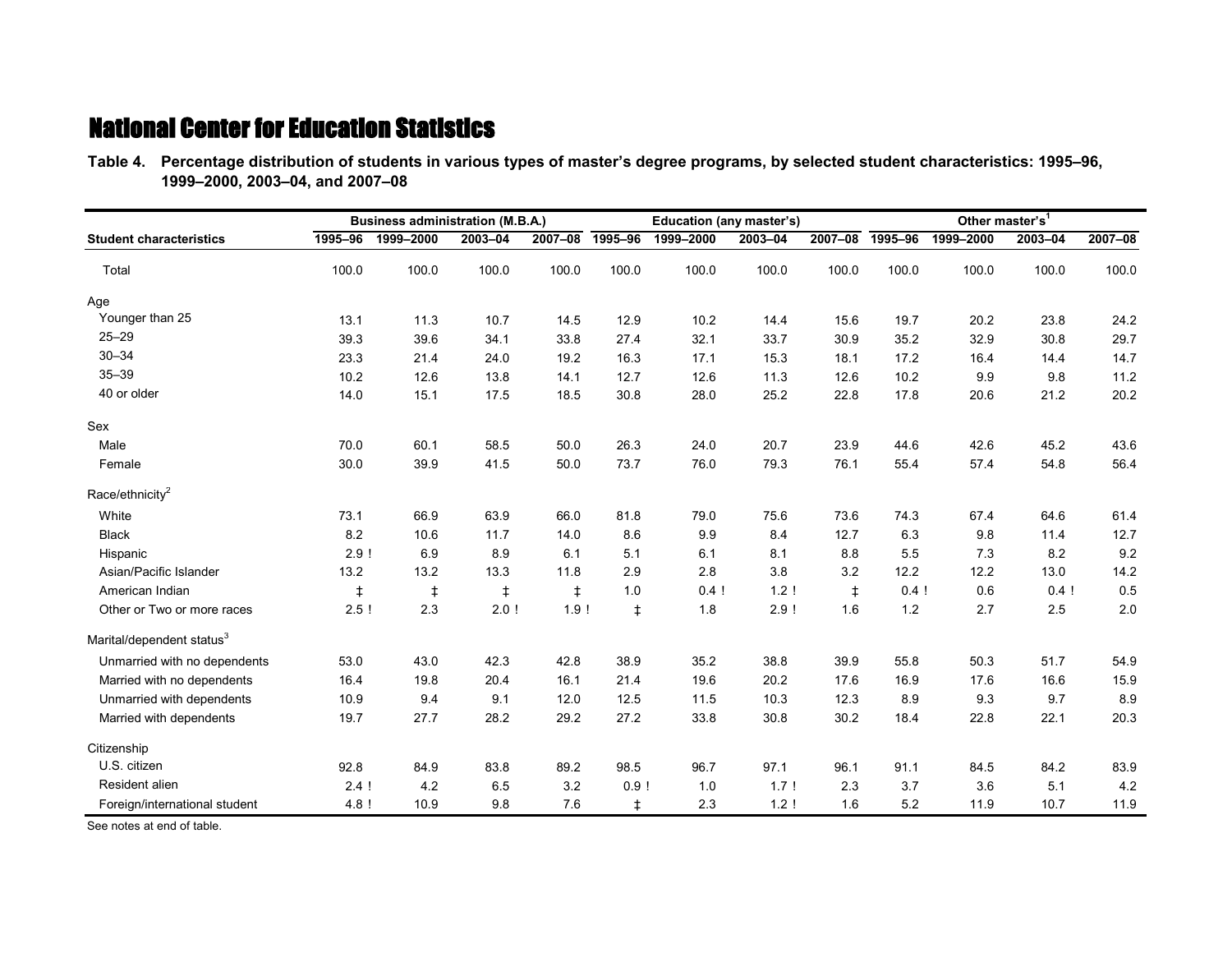**Table 4.—Percentage distribution of students in various types of master's degree programs, by selected student characteristics: 1995–96, Table 4.—1999–2000, 2003–04, and 2007–08**

|                                       |            | <b>Business administration (M.B.A.)</b> |            |            |            | Education (any master's) |         |             |         | Other master's <sup>1</sup> |         |         |
|---------------------------------------|------------|-----------------------------------------|------------|------------|------------|--------------------------|---------|-------------|---------|-----------------------------|---------|---------|
| <b>Student characteristics</b>        | 1995-96    | 1999-2000                               | 2003-04    | 2007-08    | 1995-96    | 1999-2000                | 2003-04 | $2007 - 08$ | 1995-96 | 1999-2000                   | 2003-04 | 2007-08 |
| Total                                 | 100.0      | 100.0                                   | 100.0      | 100.0      | 100.0      | 100.0                    | 100.0   | 100.0       | 100.0   | 100.0                       | 100.0   | 100.0   |
| Age                                   |            |                                         |            |            |            |                          |         |             |         |                             |         |         |
| Younger than 25                       | 13.1       | 11.3                                    | 10.7       | 14.5       | 12.9       | 10.2                     | 14.4    | 15.6        | 19.7    | 20.2                        | 23.8    | 24.2    |
| $25 - 29$                             | 39.3       | 39.6                                    | 34.1       | 33.8       | 27.4       | 32.1                     | 33.7    | 30.9        | 35.2    | 32.9                        | 30.8    | 29.7    |
| $30 - 34$                             | 23.3       | 21.4                                    | 24.0       | 19.2       | 16.3       | 17.1                     | 15.3    | 18.1        | 17.2    | 16.4                        | 14.4    | 14.7    |
| $35 - 39$                             | 10.2       | 12.6                                    | 13.8       | 14.1       | 12.7       | 12.6                     | 11.3    | 12.6        | 10.2    | 9.9                         | 9.8     | 11.2    |
| 40 or older                           | 14.0       | 15.1                                    | 17.5       | 18.5       | 30.8       | 28.0                     | 25.2    | 22.8        | 17.8    | 20.6                        | 21.2    | 20.2    |
| Sex                                   |            |                                         |            |            |            |                          |         |             |         |                             |         |         |
| Male                                  | 70.0       | 60.1                                    | 58.5       | 50.0       | 26.3       | 24.0                     | 20.7    | 23.9        | 44.6    | 42.6                        | 45.2    | 43.6    |
| Female                                | 30.0       | 39.9                                    | 41.5       | 50.0       | 73.7       | 76.0                     | 79.3    | 76.1        | 55.4    | 57.4                        | 54.8    | 56.4    |
| Race/ethnicity <sup>2</sup>           |            |                                         |            |            |            |                          |         |             |         |                             |         |         |
| White                                 | 73.1       | 66.9                                    | 63.9       | 66.0       | 81.8       | 79.0                     | 75.6    | 73.6        | 74.3    | 67.4                        | 64.6    | 61.4    |
| <b>Black</b>                          | 8.2        | 10.6                                    | 11.7       | 14.0       | 8.6        | 9.9                      | 8.4     | 12.7        | 6.3     | 9.8                         | 11.4    | 12.7    |
| Hispanic                              | 2.9!       | 6.9                                     | 8.9        | 6.1        | 5.1        | 6.1                      | 8.1     | 8.8         | 5.5     | 7.3                         | 8.2     | 9.2     |
| Asian/Pacific Islander                | 13.2       | 13.2                                    | 13.3       | 11.8       | 2.9        | 2.8                      | 3.8     | 3.2         | 12.2    | 12.2                        | 13.0    | 14.2    |
| American Indian                       | $\ddagger$ | $\ddagger$                              | $\ddagger$ | $\ddagger$ | 1.0        | 0.4!                     | 1.2     | $\ddagger$  | 0.4!    | 0.6                         | 0.4!    | 0.5     |
| Other or Two or more races            | 2.5!       | 2.3                                     | 2.0!       | 1.9!       | $\ddagger$ | 1.8                      | 2.9!    | 1.6         | $1.2$   | 2.7                         | 2.5     | 2.0     |
| Marital/dependent status <sup>3</sup> |            |                                         |            |            |            |                          |         |             |         |                             |         |         |
| Unmarried with no dependents          | 53.0       | 43.0                                    | 42.3       | 42.8       | 38.9       | 35.2                     | 38.8    | 39.9        | 55.8    | 50.3                        | 51.7    | 54.9    |
| Married with no dependents            | 16.4       | 19.8                                    | 20.4       | 16.1       | 21.4       | 19.6                     | 20.2    | 17.6        | 16.9    | 17.6                        | 16.6    | 15.9    |
| Unmarried with dependents             | 10.9       | 9.4                                     | 9.1        | 12.0       | 12.5       | 11.5                     | 10.3    | 12.3        | 8.9     | 9.3                         | 9.7     | 8.9     |
| Married with dependents               | 19.7       | 27.7                                    | 28.2       | 29.2       | 27.2       | 33.8                     | 30.8    | 30.2        | 18.4    | 22.8                        | 22.1    | 20.3    |
| Citizenship                           |            |                                         |            |            |            |                          |         |             |         |                             |         |         |
| U.S. citizen                          | 92.8       | 84.9                                    | 83.8       | 89.2       | 98.5       | 96.7                     | 97.1    | 96.1        | 91.1    | 84.5                        | 84.2    | 83.9    |
| Resident alien                        | 2.4!       | 4.2                                     | 6.5        | 3.2        | 0.9!       | 1.0                      | 1.7!    | 2.3         | 3.7     | 3.6                         | 5.1     | 4.2     |
| Foreign/international student         | 4.8 !      | 10.9                                    | 9.8        | 7.6        | $\ddagger$ | 2.3                      | 1.2!    | 1.6         | 5.2     | 11.9                        | 10.7    | 11.9    |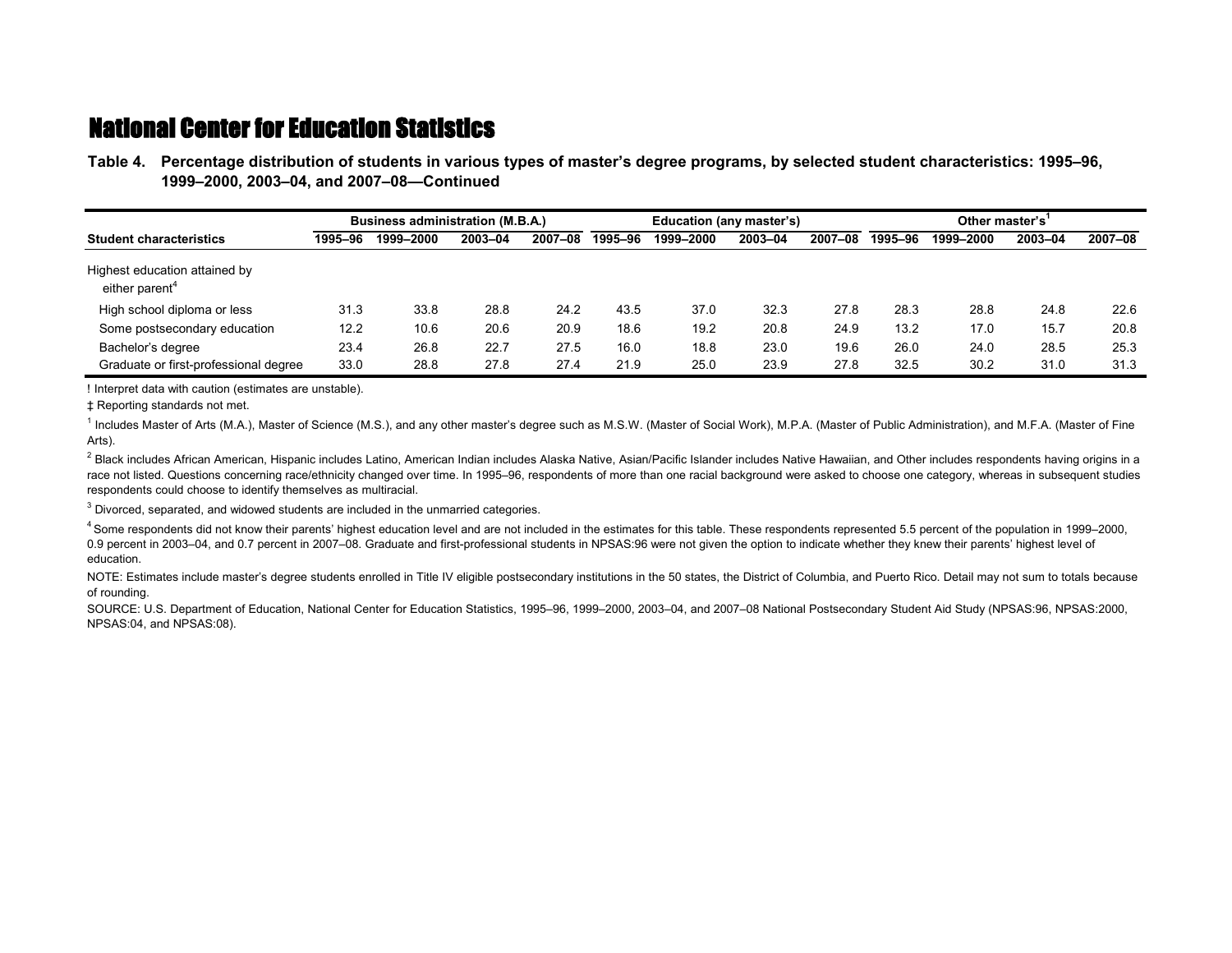**Table 4.—Percentage distribution of students in various types of master's degree programs, by selected student characteristics: 1995–96, Table 4.—1999–2000, 2003–04, and 2007–08—Continued**

|                                                             |         | <b>Business administration (M.B.A.)</b> |         |         |         | Education (any master's) |         |         | Other master's |           |         |         |  |
|-------------------------------------------------------------|---------|-----------------------------------------|---------|---------|---------|--------------------------|---------|---------|----------------|-----------|---------|---------|--|
| <b>Student characteristics</b>                              | 1995-96 | 1999-2000                               | 2003-04 | 2007-08 | 1995–96 | 1999-2000                | 2003-04 | 2007-08 | 1995-96        | 1999-2000 | 2003-04 | 2007-08 |  |
| Highest education attained by<br>either parent <sup>4</sup> |         |                                         |         |         |         |                          |         |         |                |           |         |         |  |
| High school diploma or less                                 | 31.3    | 33.8                                    | 28.8    | 24.2    | 43.5    | 37.0                     | 32.3    | 27.8    | 28.3           | 28.8      | 24.8    | 22.6    |  |
| Some postsecondary education                                | 12.2    | 10.6                                    | 20.6    | 20.9    | 18.6    | 19.2                     | 20.8    | 24.9    | 13.2           | 17.0      | 15.7    | 20.8    |  |
| Bachelor's degree                                           | 23.4    | 26.8                                    | 22.7    | 27.5    | 16.0    | 18.8                     | 23.0    | 19.6    | 26.0           | 24.0      | 28.5    | 25.3    |  |
| Graduate or first-professional degree                       | 33.0    | 28.8                                    | 27.8    | 27.4    | 21.9    | 25.0                     | 23.9    | 27.8    | 32.5           | 30.2      | 31.0    | 31.3    |  |

! Interpret data with caution (estimates are unstable).

‡ Reporting standards not met.

<sup>1</sup> Includes Master of Arts (M.A.), Master of Science (M.S.), and any other master's degree such as M.S.W. (Master of Social Work), M.P.A. (Master of Public Administration), and M.F.A. (Master of Fine Arts).

 $^2$  Black includes African American, Hispanic includes Latino, American Indian includes Alaska Native, Asian/Pacific Islander includes Native Hawaiian, and Other includes respondents having origins in a race not listed. Questions concerning race/ethnicity changed over time. In 1995–96, respondents of more than one racial background were asked to choose one category, whereas in subsequent studies respondents could choose to identify themselves as multiracial.

 $3$  Divorced, separated, and widowed students are included in the unmarried categories.

4 Some respondents did not know their parents' highest education level and are not included in the estimates for this table. These respondents represented 5.5 percent of the population in 1999–2000, 0.9 percent in 2003–04, and 0.7 percent in 2007–08. Graduate and first-professional students in NPSAS:96 were not given the option to indicate whether they knew their parents' highest level of education.

NOTE: Estimates include master's degree students enrolled in Title IV eligible postsecondary institutions in the 50 states, the District of Columbia, and Puerto Rico. Detail may not sum to totals because of rounding.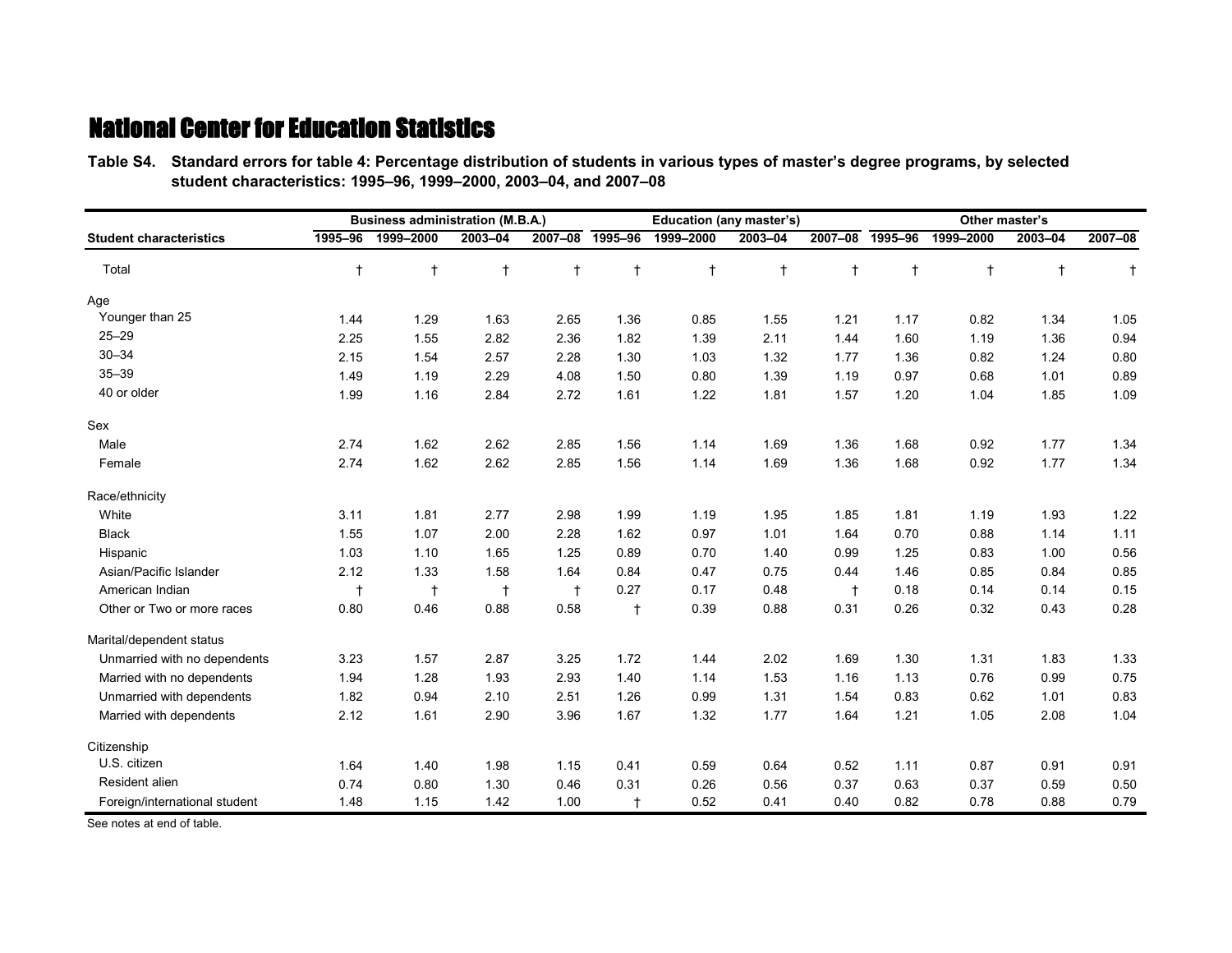**Table S4.—Standard errors for table 4: Percentage distribution of students in various types of master's degree programs, by selected Table S4.—student characteristics: 1995–96, 1999–2000, 2003–04, and 2007–08**

|                                |            | <b>Business administration (M.B.A.)</b> |            |            |            | <b>Education (any master's)</b> |            |             |            | Other master's |            |           |
|--------------------------------|------------|-----------------------------------------|------------|------------|------------|---------------------------------|------------|-------------|------------|----------------|------------|-----------|
| <b>Student characteristics</b> | 1995-96    | 1999-2000                               | 2003-04    | 2007-08    | 1995-96    | 1999-2000                       | 2003-04    | $2007 - 08$ | 1995-96    | 1999-2000      | 2003-04    | 2007-08   |
| Total                          | $\ddagger$ | $^\dagger$                              | $\ddagger$ | $^\dagger$ | $\ddagger$ | $\ddagger$                      | $\ddagger$ | $\ddagger$  | $\ddagger$ | $\ddagger$     | $\ddagger$ | $\dagger$ |
| Age                            |            |                                         |            |            |            |                                 |            |             |            |                |            |           |
| Younger than 25                | 1.44       | 1.29                                    | 1.63       | 2.65       | 1.36       | 0.85                            | 1.55       | 1.21        | 1.17       | 0.82           | 1.34       | 1.05      |
| $25 - 29$                      | 2.25       | 1.55                                    | 2.82       | 2.36       | 1.82       | 1.39                            | 2.11       | 1.44        | 1.60       | 1.19           | 1.36       | 0.94      |
| $30 - 34$                      | 2.15       | 1.54                                    | 2.57       | 2.28       | 1.30       | 1.03                            | 1.32       | 1.77        | 1.36       | 0.82           | 1.24       | 0.80      |
| $35 - 39$                      | 1.49       | 1.19                                    | 2.29       | 4.08       | 1.50       | 0.80                            | 1.39       | 1.19        | 0.97       | 0.68           | 1.01       | 0.89      |
| 40 or older                    | 1.99       | 1.16                                    | 2.84       | 2.72       | 1.61       | 1.22                            | 1.81       | 1.57        | 1.20       | 1.04           | 1.85       | 1.09      |
| Sex                            |            |                                         |            |            |            |                                 |            |             |            |                |            |           |
| Male                           | 2.74       | 1.62                                    | 2.62       | 2.85       | 1.56       | 1.14                            | 1.69       | 1.36        | 1.68       | 0.92           | 1.77       | 1.34      |
| Female                         | 2.74       | 1.62                                    | 2.62       | 2.85       | 1.56       | 1.14                            | 1.69       | 1.36        | 1.68       | 0.92           | 1.77       | 1.34      |
| Race/ethnicity                 |            |                                         |            |            |            |                                 |            |             |            |                |            |           |
| White                          | 3.11       | 1.81                                    | 2.77       | 2.98       | 1.99       | 1.19                            | 1.95       | 1.85        | 1.81       | 1.19           | 1.93       | 1.22      |
| <b>Black</b>                   | 1.55       | 1.07                                    | 2.00       | 2.28       | 1.62       | 0.97                            | 1.01       | 1.64        | 0.70       | 0.88           | 1.14       | 1.11      |
| Hispanic                       | 1.03       | 1.10                                    | 1.65       | 1.25       | 0.89       | 0.70                            | 1.40       | 0.99        | 1.25       | 0.83           | 1.00       | 0.56      |
| Asian/Pacific Islander         | 2.12       | 1.33                                    | 1.58       | 1.64       | 0.84       | 0.47                            | 0.75       | 0.44        | 1.46       | 0.85           | 0.84       | 0.85      |
| American Indian                | $\ddagger$ | $\ddagger$                              | $\ddagger$ | $\ddagger$ | 0.27       | 0.17                            | 0.48       | $\ddagger$  | 0.18       | 0.14           | 0.14       | 0.15      |
| Other or Two or more races     | 0.80       | 0.46                                    | 0.88       | 0.58       | $\ddagger$ | 0.39                            | 0.88       | 0.31        | 0.26       | 0.32           | 0.43       | 0.28      |
| Marital/dependent status       |            |                                         |            |            |            |                                 |            |             |            |                |            |           |
| Unmarried with no dependents   | 3.23       | 1.57                                    | 2.87       | 3.25       | 1.72       | 1.44                            | 2.02       | 1.69        | 1.30       | 1.31           | 1.83       | 1.33      |
| Married with no dependents     | 1.94       | 1.28                                    | 1.93       | 2.93       | 1.40       | 1.14                            | 1.53       | 1.16        | 1.13       | 0.76           | 0.99       | 0.75      |
| Unmarried with dependents      | 1.82       | 0.94                                    | 2.10       | 2.51       | 1.26       | 0.99                            | 1.31       | 1.54        | 0.83       | 0.62           | 1.01       | 0.83      |
| Married with dependents        | 2.12       | 1.61                                    | 2.90       | 3.96       | 1.67       | 1.32                            | 1.77       | 1.64        | 1.21       | 1.05           | 2.08       | 1.04      |
| Citizenship                    |            |                                         |            |            |            |                                 |            |             |            |                |            |           |
| U.S. citizen                   | 1.64       | 1.40                                    | 1.98       | 1.15       | 0.41       | 0.59                            | 0.64       | 0.52        | 1.11       | 0.87           | 0.91       | 0.91      |
| Resident alien                 | 0.74       | 0.80                                    | 1.30       | 0.46       | 0.31       | 0.26                            | 0.56       | 0.37        | 0.63       | 0.37           | 0.59       | 0.50      |
| Foreign/international student  | 1.48       | 1.15                                    | 1.42       | 1.00       | $\ddagger$ | 0.52                            | 0.41       | 0.40        | 0.82       | 0.78           | 0.88       | 0.79      |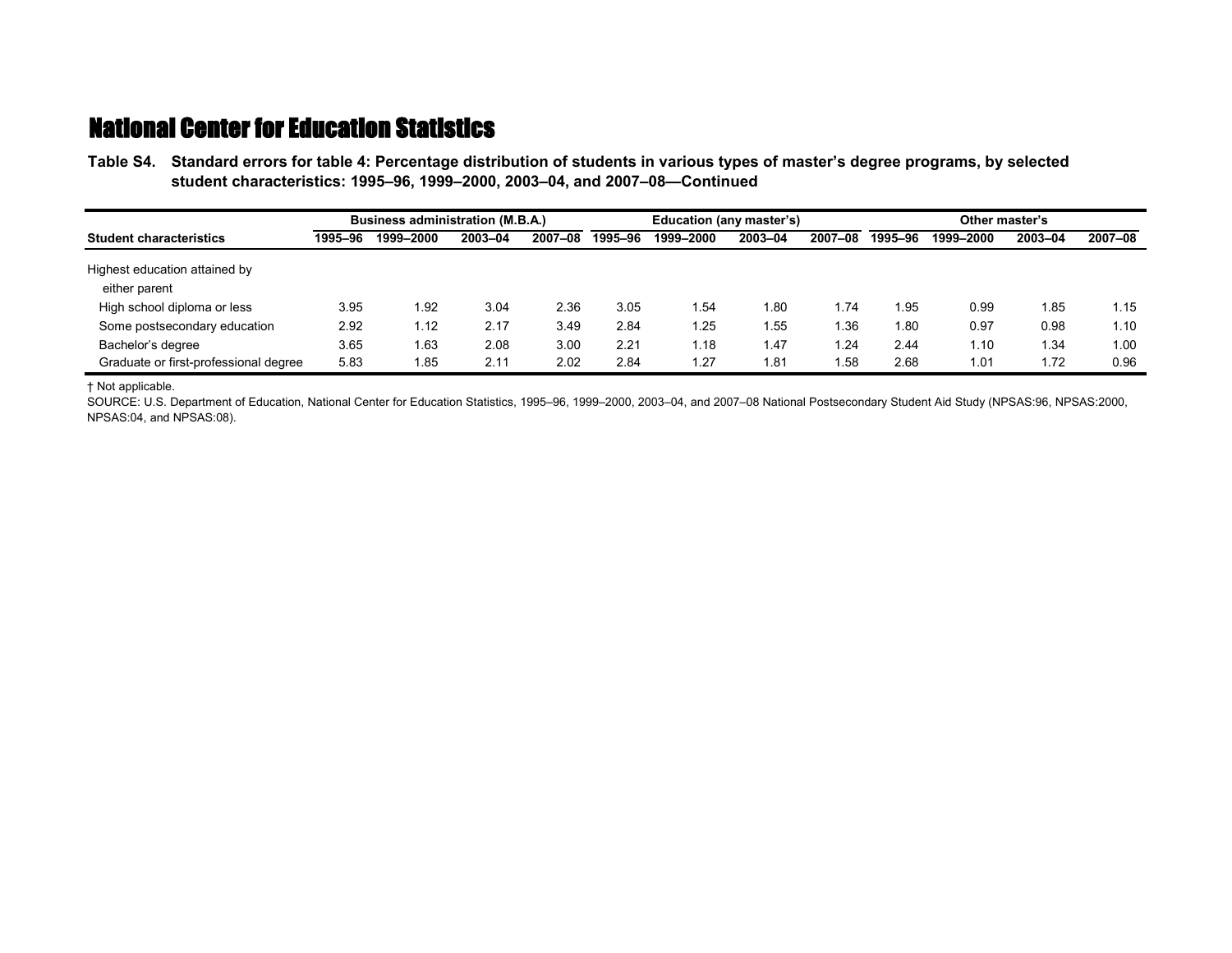**Table S4.—Standard errors for table 4: Percentage distribution of students in various types of master's degree programs, by selected Table S4.—student characteristics: 1995–96, 1999–2000, 2003–04, and 2007–08—Continued**

| Business administration (M.B.A.)               |         |           |         |         | Education (any master's) |           |         | Other master's |         |           |         |         |
|------------------------------------------------|---------|-----------|---------|---------|--------------------------|-----------|---------|----------------|---------|-----------|---------|---------|
| <b>Student characteristics</b>                 | 1995–96 | 1999-2000 | 2003-04 | 2007-08 | 1995-96                  | 1999-2000 | 2003-04 | 2007-08        | 1995-96 | 1999-2000 | 2003-04 | 2007-08 |
| Highest education attained by<br>either parent |         |           |         |         |                          |           |         |                |         |           |         |         |
| High school diploma or less                    | 3.95    | l.92      | 3.04    | 2.36    | 3.05                     | 1.54      | 1.80    | 1.74           | 1.95    | 0.99      | l.85    | 1.15    |
| Some postsecondary education                   | 2.92    | 1.12      | 2.17    | 3.49    | 2.84                     | 1.25      | 1.55    | 1.36           | 1.80    | 0.97      | 0.98    | 1.10    |
| Bachelor's degree                              | 3.65    | 1.63      | 2.08    | 3.00    | 2.21                     | 1.18      | 1.47    | 1.24           | 2.44    | 1.10      | 1.34    | 1.00    |
| Graduate or first-professional degree          | 5.83    | l.85      | 2.11    | 2.02    | 2.84                     | 1.27      | 1.81    | i.58           | 2.68    | 1.01      | 1.72    | 0.96    |

† Not applicable.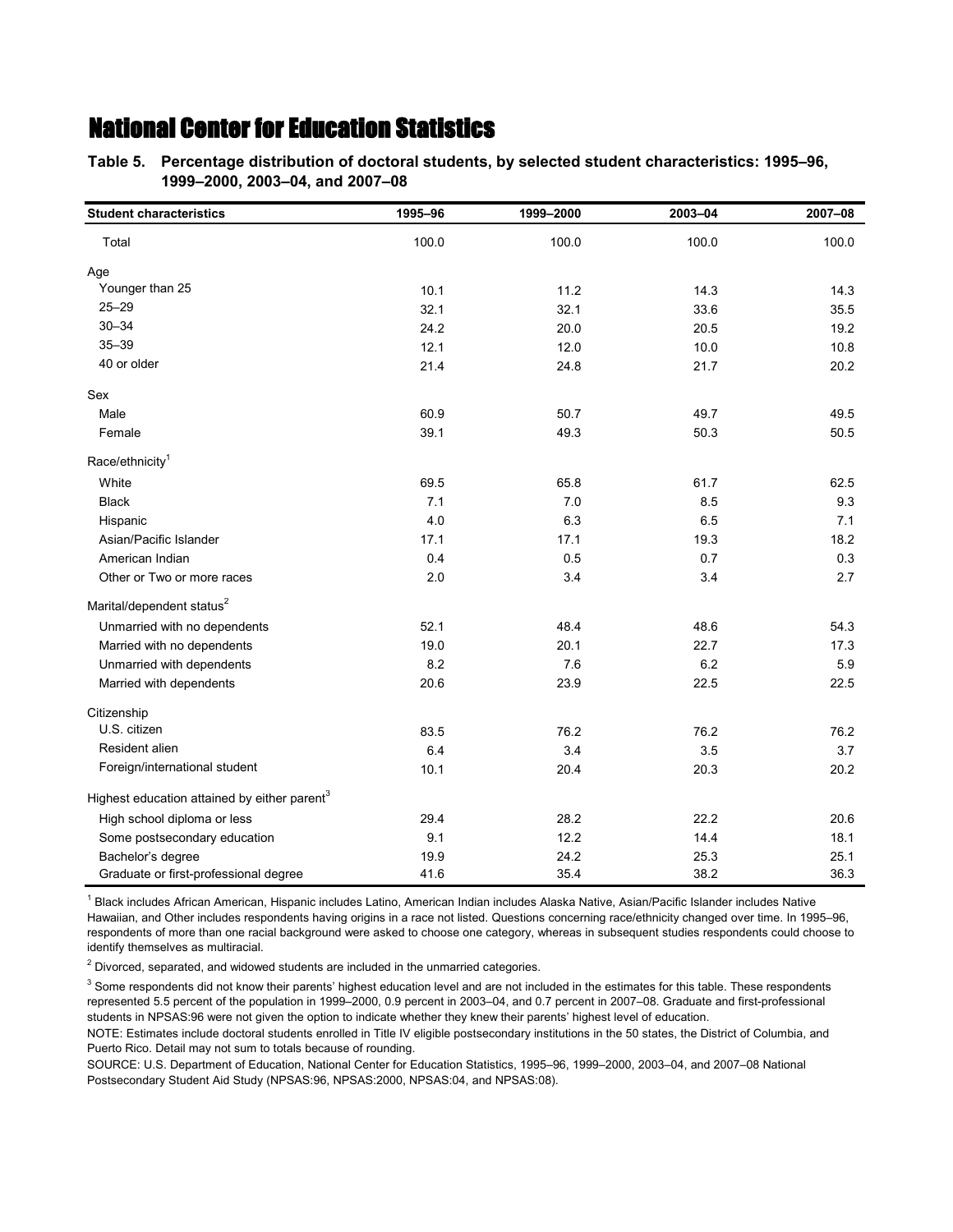**Table 5.—Percentage distribution of doctoral students, by selected student characteristics: 1995–96, Table 5.—1999–2000, 2003–04, and 2007–08**

| <b>Student characteristics</b>                           | 1995-96 | 1999-2000 | 2003-04 | 2007-08 |
|----------------------------------------------------------|---------|-----------|---------|---------|
| Total                                                    | 100.0   | 100.0     | 100.0   | 100.0   |
| Age                                                      |         |           |         |         |
| Younger than 25                                          | 10.1    | 11.2      | 14.3    | 14.3    |
| $25 - 29$                                                | 32.1    | 32.1      | 33.6    | 35.5    |
| $30 - 34$                                                | 24.2    | 20.0      | 20.5    | 19.2    |
| $35 - 39$                                                | 12.1    | 12.0      | 10.0    | 10.8    |
| 40 or older                                              | 21.4    | 24.8      | 21.7    | 20.2    |
| Sex                                                      |         |           |         |         |
| Male                                                     | 60.9    | 50.7      | 49.7    | 49.5    |
| Female                                                   | 39.1    | 49.3      | 50.3    | 50.5    |
| Race/ethnicity <sup>1</sup>                              |         |           |         |         |
| White                                                    | 69.5    | 65.8      | 61.7    | 62.5    |
| <b>Black</b>                                             | 7.1     | 7.0       | 8.5     | 9.3     |
| Hispanic                                                 | 4.0     | 6.3       | 6.5     | 7.1     |
| Asian/Pacific Islander                                   | 17.1    | 17.1      | 19.3    | 18.2    |
| American Indian                                          | 0.4     | 0.5       | 0.7     | 0.3     |
| Other or Two or more races                               | 2.0     | 3.4       | 3.4     | 2.7     |
| Marital/dependent status <sup>2</sup>                    |         |           |         |         |
| Unmarried with no dependents                             | 52.1    | 48.4      | 48.6    | 54.3    |
| Married with no dependents                               | 19.0    | 20.1      | 22.7    | 17.3    |
| Unmarried with dependents                                | 8.2     | 7.6       | 6.2     | 5.9     |
| Married with dependents                                  | 20.6    | 23.9      | 22.5    | 22.5    |
| Citizenship                                              |         |           |         |         |
| U.S. citizen                                             | 83.5    | 76.2      | 76.2    | 76.2    |
| Resident alien                                           | 6.4     | 3.4       | 3.5     | 3.7     |
| Foreign/international student                            | 10.1    | 20.4      | 20.3    | 20.2    |
| Highest education attained by either parent <sup>3</sup> |         |           |         |         |
| High school diploma or less                              | 29.4    | 28.2      | 22.2    | 20.6    |
| Some postsecondary education                             | 9.1     | 12.2      | 14.4    | 18.1    |
| Bachelor's degree                                        | 19.9    | 24.2      | 25.3    | 25.1    |
| Graduate or first-professional degree                    | 41.6    | 35.4      | 38.2    | 36.3    |

<sup>1</sup> Black includes African American, Hispanic includes Latino, American Indian includes Alaska Native, Asian/Pacific Islander includes Native Hawaiian, and Other includes respondents having origins in a race not listed. Questions concerning race/ethnicity changed over time. In 1995–96, respondents of more than one racial background were asked to choose one category, whereas in subsequent studies respondents could choose to identify themselves as multiracial.

 $2$  Divorced, separated, and widowed students are included in the unmarried categories.

 $3$  Some respondents did not know their parents' highest education level and are not included in the estimates for this table. These respondents represented 5.5 percent of the population in 1999–2000, 0.9 percent in 2003–04, and 0.7 percent in 2007–08. Graduate and first-professional students in NPSAS:96 were not given the option to indicate whether they knew their parents' highest level of education.

NOTE: Estimates include doctoral students enrolled in Title IV eligible postsecondary institutions in the 50 states, the District of Columbia, and Puerto Rico. Detail may not sum to totals because of rounding.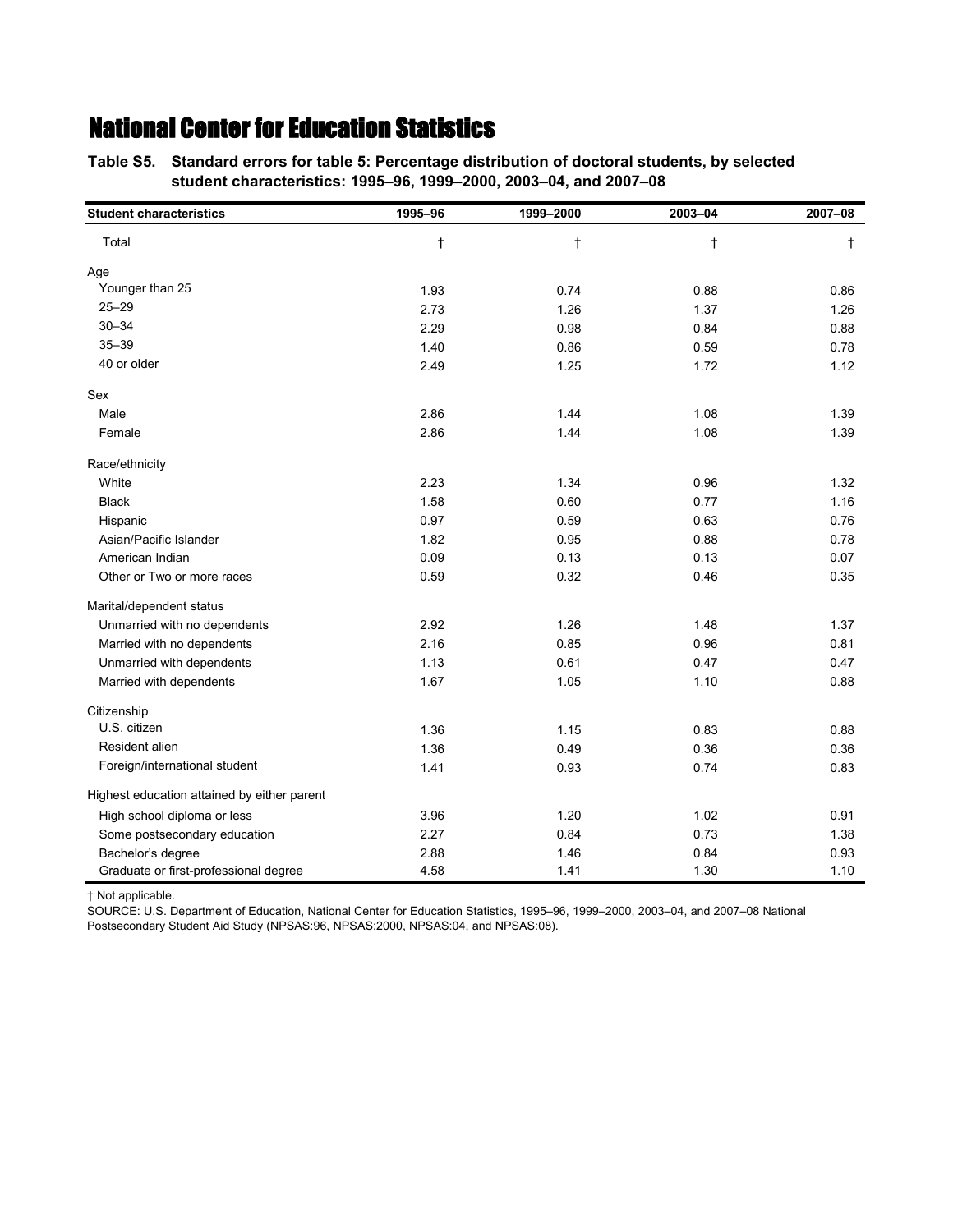**Table S5.—Standard errors for table 5: Percentage distribution of doctoral students, by selected Table S5.—student characteristics: 1995–96, 1999–2000, 2003–04, and 2007–08**

| <b>Student characteristics</b>              | 1995-96    | 1999-2000 | 2003-04    | 2007-08    |
|---------------------------------------------|------------|-----------|------------|------------|
| Total                                       | $^\dagger$ | $\dagger$ | $\ddagger$ | $\ddagger$ |
| Age                                         |            |           |            |            |
| Younger than 25                             | 1.93       | 0.74      | 0.88       | 0.86       |
| $25 - 29$                                   | 2.73       | 1.26      | 1.37       | 1.26       |
| $30 - 34$                                   | 2.29       | 0.98      | 0.84       | 0.88       |
| $35 - 39$                                   | 1.40       | 0.86      | 0.59       | 0.78       |
| 40 or older                                 | 2.49       | 1.25      | 1.72       | 1.12       |
| Sex                                         |            |           |            |            |
| Male                                        | 2.86       | 1.44      | 1.08       | 1.39       |
| Female                                      | 2.86       | 1.44      | 1.08       | 1.39       |
| Race/ethnicity                              |            |           |            |            |
| White                                       | 2.23       | 1.34      | 0.96       | 1.32       |
| <b>Black</b>                                | 1.58       | 0.60      | 0.77       | 1.16       |
| Hispanic                                    | 0.97       | 0.59      | 0.63       | 0.76       |
| Asian/Pacific Islander                      | 1.82       | 0.95      | 0.88       | 0.78       |
| American Indian                             | 0.09       | 0.13      | 0.13       | 0.07       |
| Other or Two or more races                  | 0.59       | 0.32      | 0.46       | 0.35       |
| Marital/dependent status                    |            |           |            |            |
| Unmarried with no dependents                | 2.92       | 1.26      | 1.48       | 1.37       |
| Married with no dependents                  | 2.16       | 0.85      | 0.96       | 0.81       |
| Unmarried with dependents                   | 1.13       | 0.61      | 0.47       | 0.47       |
| Married with dependents                     | 1.67       | 1.05      | 1.10       | 0.88       |
| Citizenship                                 |            |           |            |            |
| U.S. citizen                                | 1.36       | 1.15      | 0.83       | 0.88       |
| Resident alien                              | 1.36       | 0.49      | 0.36       | 0.36       |
| Foreign/international student               | 1.41       | 0.93      | 0.74       | 0.83       |
| Highest education attained by either parent |            |           |            |            |
| High school diploma or less                 | 3.96       | 1.20      | 1.02       | 0.91       |
| Some postsecondary education                | 2.27       | 0.84      | 0.73       | 1.38       |
| Bachelor's degree                           | 2.88       | 1.46      | 0.84       | 0.93       |
| Graduate or first-professional degree       | 4.58       | 1.41      | 1.30       | 1.10       |

† Not applicable.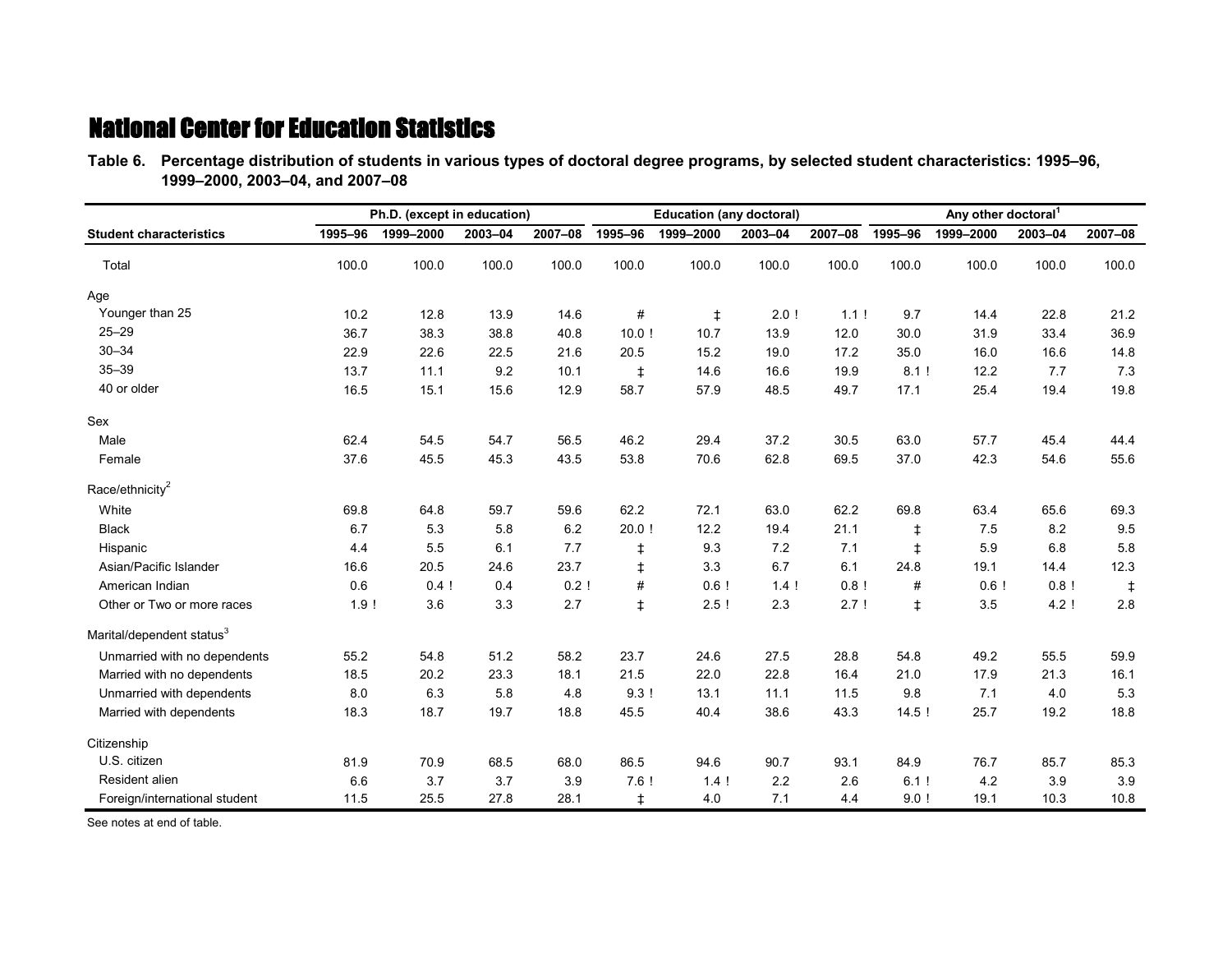**Table 6.—Percentage distribution of students in various types of doctoral degree programs, by selected student characteristics: 1995–96, Table 6.—1999–2000, 2003–04, and 2007–08**

|                                       |         | Ph.D. (except in education) |         |         |            | <b>Education (any doctoral)</b> |         |         | Any other doctoral <sup>1</sup> |           |         |         |
|---------------------------------------|---------|-----------------------------|---------|---------|------------|---------------------------------|---------|---------|---------------------------------|-----------|---------|---------|
| <b>Student characteristics</b>        | 1995-96 | 1999-2000                   | 2003-04 | 2007-08 | 1995-96    | 1999-2000                       | 2003-04 | 2007-08 | 1995-96                         | 1999-2000 | 2003-04 | 2007-08 |
| Total                                 | 100.0   | 100.0                       | 100.0   | 100.0   | 100.0      | 100.0                           | 100.0   | 100.0   | 100.0                           | 100.0     | 100.0   | 100.0   |
| Age                                   |         |                             |         |         |            |                                 |         |         |                                 |           |         |         |
| Younger than 25                       | 10.2    | 12.8                        | 13.9    | 14.6    | #          | $\ddagger$                      | 2.0!    | 1.1!    | 9.7                             | 14.4      | 22.8    | 21.2    |
| $25 - 29$                             | 36.7    | 38.3                        | 38.8    | 40.8    | 10.0!      | 10.7                            | 13.9    | 12.0    | 30.0                            | 31.9      | 33.4    | 36.9    |
| $30 - 34$                             | 22.9    | 22.6                        | 22.5    | 21.6    | 20.5       | 15.2                            | 19.0    | 17.2    | 35.0                            | 16.0      | 16.6    | 14.8    |
| $35 - 39$                             | 13.7    | 11.1                        | 9.2     | 10.1    | ŧ          | 14.6                            | 16.6    | 19.9    | 8.1!                            | 12.2      | 7.7     | 7.3     |
| 40 or older                           | 16.5    | 15.1                        | 15.6    | 12.9    | 58.7       | 57.9                            | 48.5    | 49.7    | 17.1                            | 25.4      | 19.4    | 19.8    |
| Sex                                   |         |                             |         |         |            |                                 |         |         |                                 |           |         |         |
| Male                                  | 62.4    | 54.5                        | 54.7    | 56.5    | 46.2       | 29.4                            | 37.2    | 30.5    | 63.0                            | 57.7      | 45.4    | 44.4    |
| Female                                | 37.6    | 45.5                        | 45.3    | 43.5    | 53.8       | 70.6                            | 62.8    | 69.5    | 37.0                            | 42.3      | 54.6    | 55.6    |
| Race/ethnicity <sup>2</sup>           |         |                             |         |         |            |                                 |         |         |                                 |           |         |         |
| White                                 | 69.8    | 64.8                        | 59.7    | 59.6    | 62.2       | 72.1                            | 63.0    | 62.2    | 69.8                            | 63.4      | 65.6    | 69.3    |
| <b>Black</b>                          | 6.7     | 5.3                         | 5.8     | 6.2     | $20.0$ !   | 12.2                            | 19.4    | 21.1    | $\ddagger$                      | 7.5       | 8.2     | 9.5     |
| Hispanic                              | 4.4     | 5.5                         | 6.1     | 7.7     | $\ddagger$ | 9.3                             | 7.2     | 7.1     | $\ddagger$                      | 5.9       | 6.8     | 5.8     |
| Asian/Pacific Islander                | 16.6    | 20.5                        | 24.6    | 23.7    | $\ddagger$ | 3.3                             | 6.7     | 6.1     | 24.8                            | 19.1      | 14.4    | 12.3    |
| American Indian                       | 0.6     | 0.4!                        | 0.4     | 0.2!    | #          | 0.6!                            | 1.4!    | 0.8!    | #                               | 0.6!      | 0.8!    | ŧ       |
| Other or Two or more races            | 1.9!    | 3.6                         | 3.3     | 2.7     | $\ddagger$ | 2.5!                            | 2.3     | 2.7!    | $\ddagger$                      | 3.5       | 4.2!    | 2.8     |
| Marital/dependent status <sup>3</sup> |         |                             |         |         |            |                                 |         |         |                                 |           |         |         |
| Unmarried with no dependents          | 55.2    | 54.8                        | 51.2    | 58.2    | 23.7       | 24.6                            | 27.5    | 28.8    | 54.8                            | 49.2      | 55.5    | 59.9    |
| Married with no dependents            | 18.5    | 20.2                        | 23.3    | 18.1    | 21.5       | 22.0                            | 22.8    | 16.4    | 21.0                            | 17.9      | 21.3    | 16.1    |
| Unmarried with dependents             | 8.0     | 6.3                         | 5.8     | 4.8     | 9.3!       | 13.1                            | 11.1    | 11.5    | 9.8                             | 7.1       | 4.0     | 5.3     |
| Married with dependents               | 18.3    | 18.7                        | 19.7    | 18.8    | 45.5       | 40.4                            | 38.6    | 43.3    | 14.5!                           | 25.7      | 19.2    | 18.8    |
| Citizenship                           |         |                             |         |         |            |                                 |         |         |                                 |           |         |         |
| U.S. citizen                          | 81.9    | 70.9                        | 68.5    | 68.0    | 86.5       | 94.6                            | 90.7    | 93.1    | 84.9                            | 76.7      | 85.7    | 85.3    |
| Resident alien                        | 6.6     | 3.7                         | 3.7     | 3.9     | 7.6!       | 14!                             | 2.2     | 2.6     | 6.1!                            | 4.2       | 3.9     | 3.9     |
| Foreign/international student         | 11.5    | 25.5                        | 27.8    | 28.1    | $\ddagger$ | 4.0                             | 7.1     | 4.4     | 9.0!                            | 19.1      | 10.3    | 10.8    |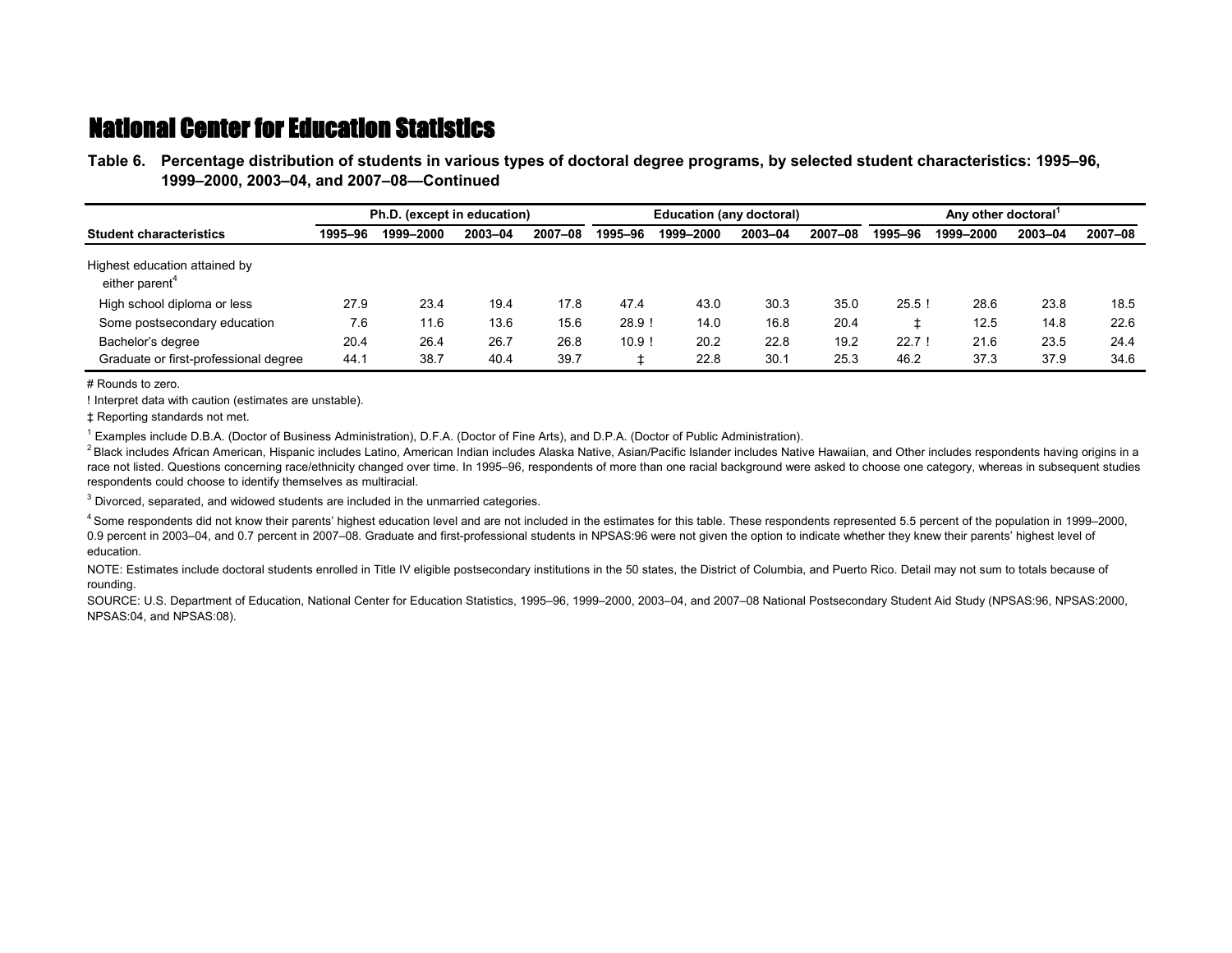**Table 6.—Percentage distribution of students in various types of doctoral degree programs, by selected student characteristics: 1995–96, Table 6.—1999–2000, 2003–04, and 2007–08—Continued**

|                                                             | Ph.D. (except in education) |           |         |         |         | <b>Education (any doctoral)</b> |         |         | Any other doctoral |           |         |         |
|-------------------------------------------------------------|-----------------------------|-----------|---------|---------|---------|---------------------------------|---------|---------|--------------------|-----------|---------|---------|
| <b>Student characteristics</b>                              | 1995-96                     | 1999-2000 | 2003-04 | 2007-08 | 1995-96 | 1999–2000                       | 2003-04 | 2007-08 | 1995-96            | 1999-2000 | 2003-04 | 2007-08 |
| Highest education attained by<br>either parent <sup>4</sup> |                             |           |         |         |         |                                 |         |         |                    |           |         |         |
| High school diploma or less                                 | 27.9                        | 23.4      | 19.4    | 17.8    | 47.4    | 43.0                            | 30.3    | 35.0    | 25.5!              | 28.6      | 23.8    | 18.5    |
| Some postsecondary education                                | 7.6                         | 11.6      | 13.6    | 15.6    | 28.9!   | 14.0                            | 16.8    | 20.4    |                    | 12.5      | 14.8    | 22.6    |
| Bachelor's degree                                           | 20.4                        | 26.4      | 26.7    | 26.8    | 10.9    | 20.2                            | 22.8    | 19.2    | 22.7!              | 21.6      | 23.5    | 24.4    |
| Graduate or first-professional degree                       | 44.1                        | 38.7      | 40.4    | 39.7    |         | 22.8                            | 30.1    | 25.3    | 46.2               | 37.3      | 37.9    | 34.6    |

# Rounds to zero.

! Interpret data with caution (estimates are unstable).

‡ Reporting standards not met.

1 Examples include D.B.A. (Doctor of Business Administration), D.F.A. (Doctor of Fine Arts), and D.P.A. (Doctor of Public Administration).

<sup>2</sup> Black includes African American, Hispanic includes Latino, American Indian includes Alaska Native, Asian/Pacific Islander includes Native Hawaiian, and Other includes respondents having origins in a race not listed. Questions concerning race/ethnicity changed over time. In 1995–96, respondents of more than one racial background were asked to choose one category, whereas in subsequent studies respondents could choose to identify themselves as multiracial.

 $3$  Divorced, separated, and widowed students are included in the unmarried categories.

<sup>4</sup> Some respondents did not know their parents' highest education level and are not included in the estimates for this table. These respondents represented 5.5 percent of the population in 1999–2000, 0.9 percent in 2003–04, and 0.7 percent in 2007–08. Graduate and first-professional students in NPSAS:96 were not given the option to indicate whether they knew their parents' highest level of education.

NOTE: Estimates include doctoral students enrolled in Title IV eligible postsecondary institutions in the 50 states, the District of Columbia, and Puerto Rico. Detail may not sum to totals because of rounding.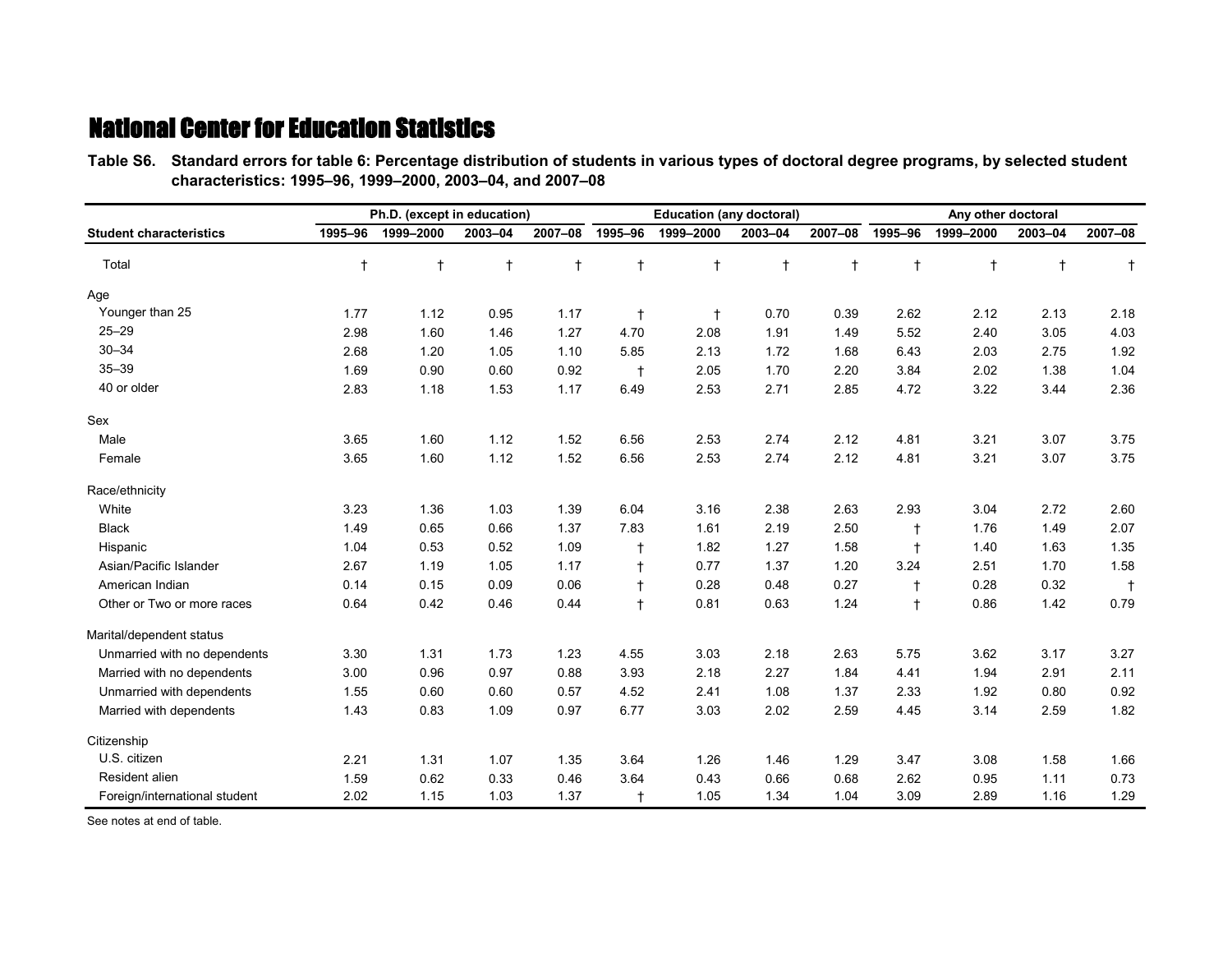**Table S6.—Standard errors for table 6: Percentage distribution of students in various types of doctoral degree programs, by selected student Table S6.—characteristics: 1995–96, 1999–2000, 2003–04, and 2007–08**

|                                |            | Ph.D. (except in education) |            |            |              | <b>Education (any doctoral)</b> |            |              | Any other doctoral |            |            |            |  |
|--------------------------------|------------|-----------------------------|------------|------------|--------------|---------------------------------|------------|--------------|--------------------|------------|------------|------------|--|
| <b>Student characteristics</b> | 1995-96    | 1999-2000                   | 2003-04    | 2007-08    | 1995-96      | 1999-2000                       | 2003-04    | 2007-08      | 1995-96            | 1999-2000  | 2003-04    | 2007-08    |  |
| Total                          | $\ddagger$ | $\ddagger$                  | $\ddagger$ | $\ddagger$ | $\ddagger$   | $\ddagger$                      | $\ddagger$ | $\mathsf{t}$ | $\ddagger$         | $\ddagger$ | $\ddagger$ | $\ddagger$ |  |
| Age                            |            |                             |            |            |              |                                 |            |              |                    |            |            |            |  |
| Younger than 25                | 1.77       | 1.12                        | 0.95       | 1.17       | $\ddagger$   | $\ddagger$                      | 0.70       | 0.39         | 2.62               | 2.12       | 2.13       | 2.18       |  |
| $25 - 29$                      | 2.98       | 1.60                        | 1.46       | 1.27       | 4.70         | 2.08                            | 1.91       | 1.49         | 5.52               | 2.40       | 3.05       | 4.03       |  |
| $30 - 34$                      | 2.68       | 1.20                        | 1.05       | 1.10       | 5.85         | 2.13                            | 1.72       | 1.68         | 6.43               | 2.03       | 2.75       | 1.92       |  |
| $35 - 39$                      | 1.69       | 0.90                        | 0.60       | 0.92       | $\ddagger$   | 2.05                            | 1.70       | 2.20         | 3.84               | 2.02       | 1.38       | 1.04       |  |
| 40 or older                    | 2.83       | 1.18                        | 1.53       | 1.17       | 6.49         | 2.53                            | 2.71       | 2.85         | 4.72               | 3.22       | 3.44       | 2.36       |  |
| Sex                            |            |                             |            |            |              |                                 |            |              |                    |            |            |            |  |
| Male                           | 3.65       | 1.60                        | 1.12       | 1.52       | 6.56         | 2.53                            | 2.74       | 2.12         | 4.81               | 3.21       | 3.07       | 3.75       |  |
| Female                         | 3.65       | 1.60                        | 1.12       | 1.52       | 6.56         | 2.53                            | 2.74       | 2.12         | 4.81               | 3.21       | 3.07       | 3.75       |  |
| Race/ethnicity                 |            |                             |            |            |              |                                 |            |              |                    |            |            |            |  |
| White                          | 3.23       | 1.36                        | 1.03       | 1.39       | 6.04         | 3.16                            | 2.38       | 2.63         | 2.93               | 3.04       | 2.72       | 2.60       |  |
| <b>Black</b>                   | 1.49       | 0.65                        | 0.66       | 1.37       | 7.83         | 1.61                            | 2.19       | 2.50         | $\ddagger$         | 1.76       | 1.49       | 2.07       |  |
| Hispanic                       | 1.04       | 0.53                        | 0.52       | 1.09       | $\mathsf{f}$ | 1.82                            | 1.27       | 1.58         | $\ddagger$         | 1.40       | 1.63       | 1.35       |  |
| Asian/Pacific Islander         | 2.67       | 1.19                        | 1.05       | 1.17       |              | 0.77                            | 1.37       | 1.20         | 3.24               | 2.51       | 1.70       | 1.58       |  |
| American Indian                | 0.14       | 0.15                        | 0.09       | 0.06       | $\ddagger$   | 0.28                            | 0.48       | 0.27         | $\ddagger$         | 0.28       | 0.32       | $\ddagger$ |  |
| Other or Two or more races     | 0.64       | 0.42                        | 0.46       | 0.44       | $\ddagger$   | 0.81                            | 0.63       | 1.24         | $\ddagger$         | 0.86       | 1.42       | 0.79       |  |
| Marital/dependent status       |            |                             |            |            |              |                                 |            |              |                    |            |            |            |  |
| Unmarried with no dependents   | 3.30       | 1.31                        | 1.73       | 1.23       | 4.55         | 3.03                            | 2.18       | 2.63         | 5.75               | 3.62       | 3.17       | 3.27       |  |
| Married with no dependents     | 3.00       | 0.96                        | 0.97       | 0.88       | 3.93         | 2.18                            | 2.27       | 1.84         | 4.41               | 1.94       | 2.91       | 2.11       |  |
| Unmarried with dependents      | 1.55       | 0.60                        | 0.60       | 0.57       | 4.52         | 2.41                            | 1.08       | 1.37         | 2.33               | 1.92       | 0.80       | 0.92       |  |
| Married with dependents        | 1.43       | 0.83                        | 1.09       | 0.97       | 6.77         | 3.03                            | 2.02       | 2.59         | 4.45               | 3.14       | 2.59       | 1.82       |  |
| Citizenship                    |            |                             |            |            |              |                                 |            |              |                    |            |            |            |  |
| U.S. citizen                   | 2.21       | 1.31                        | 1.07       | 1.35       | 3.64         | 1.26                            | 1.46       | 1.29         | 3.47               | 3.08       | 1.58       | 1.66       |  |
| Resident alien                 | 1.59       | 0.62                        | 0.33       | 0.46       | 3.64         | 0.43                            | 0.66       | 0.68         | 2.62               | 0.95       | 1.11       | 0.73       |  |
| Foreign/international student  | 2.02       | 1.15                        | 1.03       | 1.37       | $\ddagger$   | 1.05                            | 1.34       | 1.04         | 3.09               | 2.89       | 1.16       | 1.29       |  |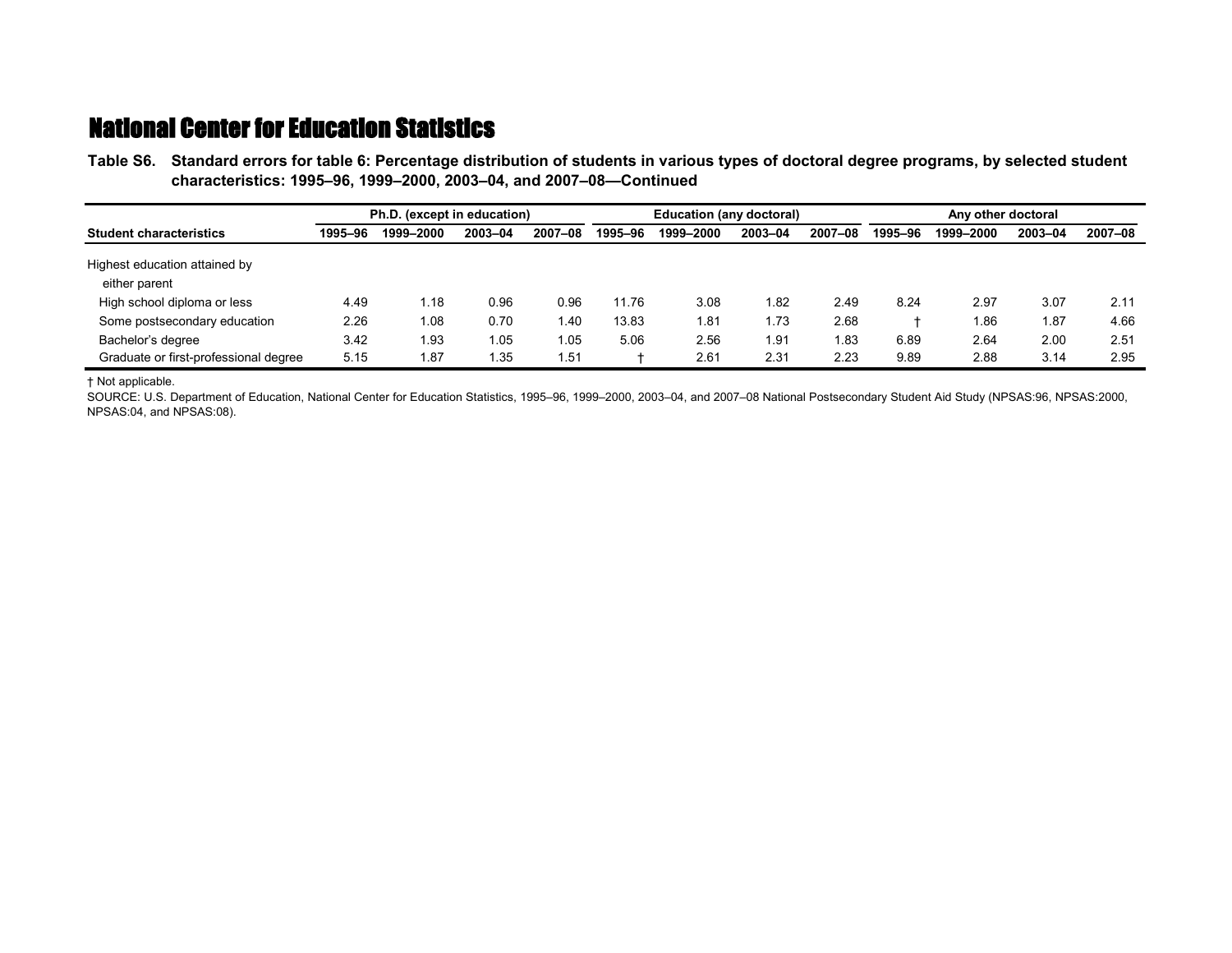**Table S6.—Standard errors for table 6: Percentage distribution of students in various types of doctoral degree programs, by selected student Table S6.—characteristics: 1995–96, 1999–2000, 2003–04, and 2007–08—Continued**

|                                                | Ph.D. (except in education) |           |         |         |         | <b>Education (any doctoral)</b> |         |         |         | Any other doctoral |         |         |  |
|------------------------------------------------|-----------------------------|-----------|---------|---------|---------|---------------------------------|---------|---------|---------|--------------------|---------|---------|--|
| <b>Student characteristics</b>                 | 1995-96                     | 1999-2000 | 2003-04 | 2007-08 | 1995-96 | 1999-2000                       | 2003-04 | 2007-08 | 1995-96 | 1999-2000          | 2003-04 | 2007-08 |  |
| Highest education attained by<br>either parent |                             |           |         |         |         |                                 |         |         |         |                    |         |         |  |
| High school diploma or less                    | 4.49                        | 1.18      | 0.96    | 0.96    | 11.76   | 3.08                            | l.82    | 2.49    | 8.24    | 2.97               | 3.07    | 2.11    |  |
| Some postsecondary education                   | 2.26                        | 1.08      | 0.70    | 40. ا   | 13.83   | 1.81                            | l.73    | 2.68    |         | 1.86               | 1.87    | 4.66    |  |
| Bachelor's degree                              | 3.42                        | 1.93      | l.05    | l.05    | 5.06    | 2.56                            | 1.91    | 1.83    | 6.89    | 2.64               | 2.00    | 2.51    |  |
| Graduate or first-professional degree          | 5.15                        | 1.87      | 1.35    | 51.،    |         | 2.61                            | 2.31    | 2.23    | 9.89    | 2.88               | 3.14    | 2.95    |  |

† Not applicable.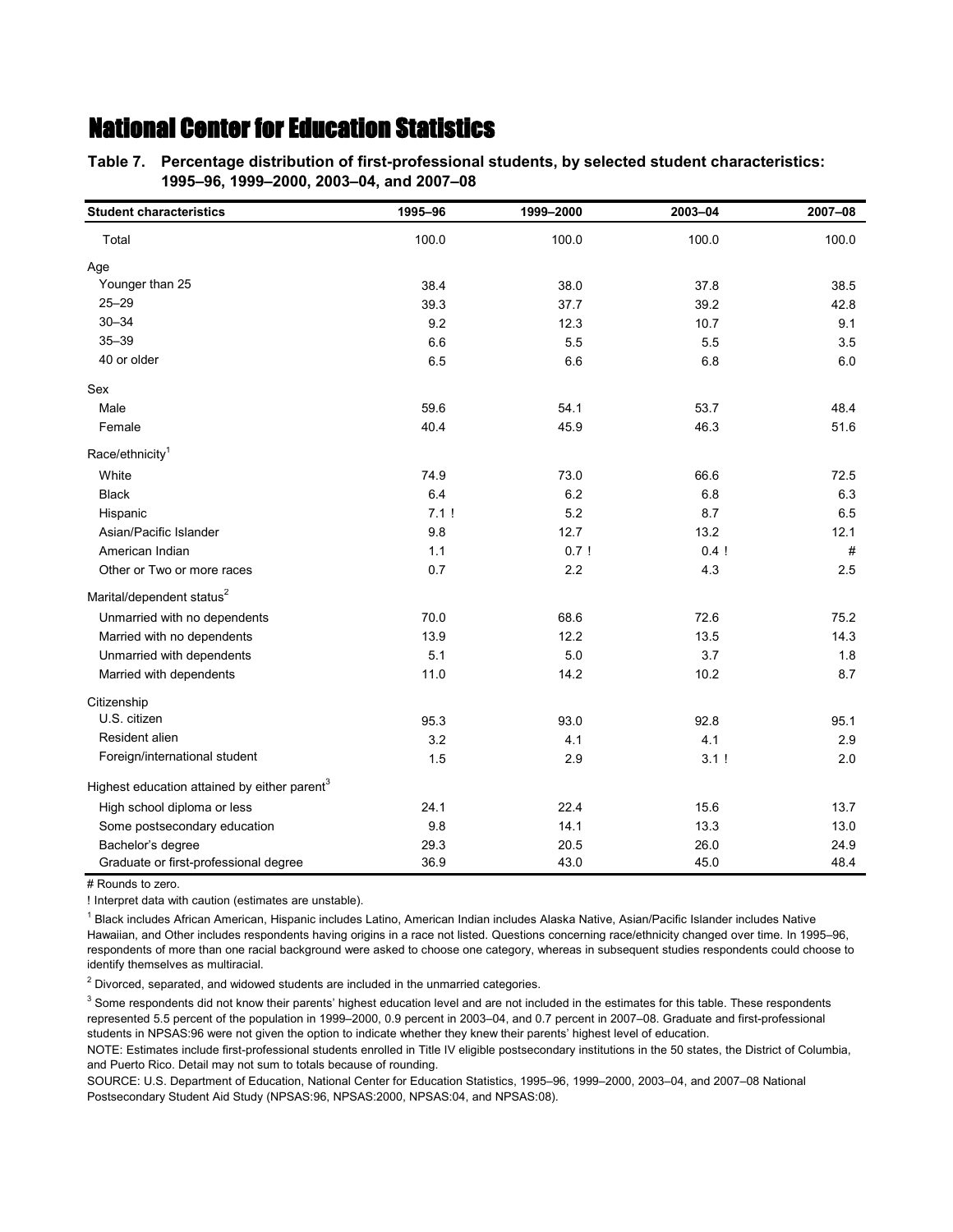**Table 7.—Percentage distribution of first-professional students, by selected student characteristics: Table 7.—1995–96, 1999–2000, 2003–04, and 2007–08**

| <b>Student characteristics</b>                           | 1995-96 | 1999-2000 | 2003-04 | 2007-08 |
|----------------------------------------------------------|---------|-----------|---------|---------|
| Total                                                    | 100.0   | 100.0     | 100.0   | 100.0   |
| Age                                                      |         |           |         |         |
| Younger than 25                                          | 38.4    | 38.0      | 37.8    | 38.5    |
| $25 - 29$                                                | 39.3    | 37.7      | 39.2    | 42.8    |
| $30 - 34$                                                | 9.2     | 12.3      | 10.7    | 9.1     |
| $35 - 39$                                                | 6.6     | 5.5       | 5.5     | 3.5     |
| 40 or older                                              | 6.5     | 6.6       | 6.8     | 6.0     |
| Sex                                                      |         |           |         |         |
| Male                                                     | 59.6    | 54.1      | 53.7    | 48.4    |
| Female                                                   | 40.4    | 45.9      | 46.3    | 51.6    |
| Race/ethnicity <sup>1</sup>                              |         |           |         |         |
| White                                                    | 74.9    | 73.0      | 66.6    | 72.5    |
| <b>Black</b>                                             | 6.4     | 6.2       | 6.8     | 6.3     |
| Hispanic                                                 | 7.1!    | 5.2       | 8.7     | 6.5     |
| Asian/Pacific Islander                                   | 9.8     | 12.7      | 13.2    | 12.1    |
| American Indian                                          | 1.1     | 0.7!      | 0.4!    | #       |
| Other or Two or more races                               | 0.7     | 2.2       | 4.3     | 2.5     |
| Marital/dependent status <sup>2</sup>                    |         |           |         |         |
| Unmarried with no dependents                             | 70.0    | 68.6      | 72.6    | 75.2    |
| Married with no dependents                               | 13.9    | 12.2      | 13.5    | 14.3    |
| Unmarried with dependents                                | 5.1     | 5.0       | 3.7     | 1.8     |
| Married with dependents                                  | 11.0    | 14.2      | 10.2    | 8.7     |
| Citizenship                                              |         |           |         |         |
| U.S. citizen                                             | 95.3    | 93.0      | 92.8    | 95.1    |
| Resident alien                                           | 3.2     | 4.1       | 4.1     | 2.9     |
| Foreign/international student                            | 1.5     | 2.9       | 3.1!    | 2.0     |
| Highest education attained by either parent <sup>3</sup> |         |           |         |         |
| High school diploma or less                              | 24.1    | 22.4      | 15.6    | 13.7    |
| Some postsecondary education                             | 9.8     | 14.1      | 13.3    | 13.0    |
| Bachelor's degree                                        | 29.3    | 20.5      | 26.0    | 24.9    |
| Graduate or first-professional degree                    | 36.9    | 43.0      | 45.0    | 48.4    |

# Rounds to zero.

! Interpret data with caution (estimates are unstable).

<sup>1</sup> Black includes African American, Hispanic includes Latino, American Indian includes Alaska Native, Asian/Pacific Islander includes Native Hawaiian, and Other includes respondents having origins in a race not listed. Questions concerning race/ethnicity changed over time. In 1995–96, respondents of more than one racial background were asked to choose one category, whereas in subsequent studies respondents could choose to identify themselves as multiracial.

 $2$  Divorced, separated, and widowed students are included in the unmarried categories.

 $3$  Some respondents did not know their parents' highest education level and are not included in the estimates for this table. These respondents represented 5.5 percent of the population in 1999–2000, 0.9 percent in 2003–04, and 0.7 percent in 2007–08. Graduate and first-professional students in NPSAS:96 were not given the option to indicate whether they knew their parents' highest level of education.

NOTE: Estimates include first-professional students enrolled in Title IV eligible postsecondary institutions in the 50 states, the District of Columbia, and Puerto Rico. Detail may not sum to totals because of rounding.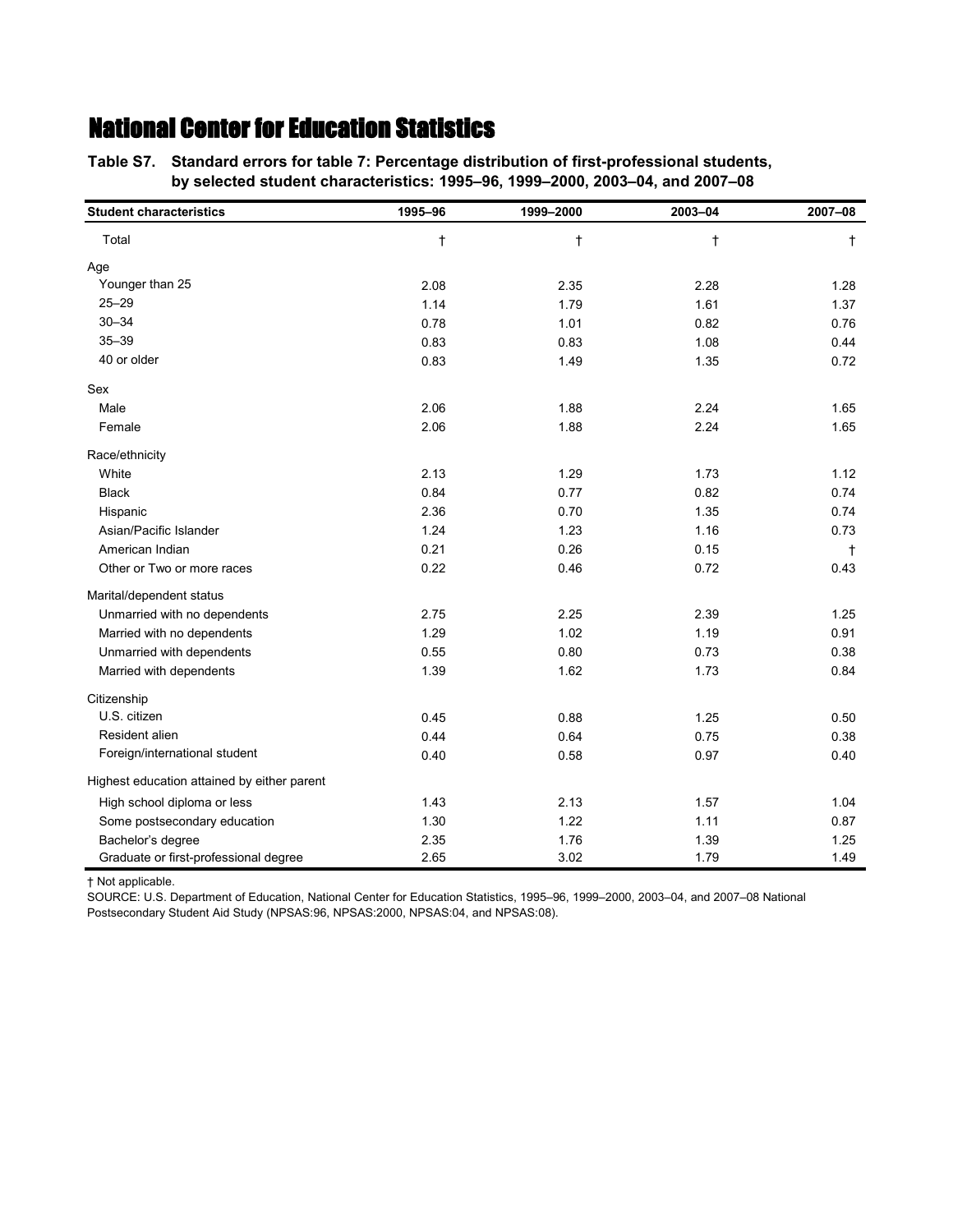**Table S7.—Standard errors for table 7: Percentage distribution of first-professional students, Table S7.—by selected student characteristics: 1995–96, 1999–2000, 2003–04, and 2007–08**

| <b>Student characteristics</b>              | 1995-96   | 1999-2000  | 2003-04   | 2007-08    |
|---------------------------------------------|-----------|------------|-----------|------------|
| Total                                       | $\dagger$ | $^\dagger$ | $\dagger$ | $\ddagger$ |
| Age                                         |           |            |           |            |
| Younger than 25                             | 2.08      | 2.35       | 2.28      | 1.28       |
| $25 - 29$                                   | 1.14      | 1.79       | 1.61      | 1.37       |
| $30 - 34$                                   | 0.78      | 1.01       | 0.82      | 0.76       |
| $35 - 39$                                   | 0.83      | 0.83       | 1.08      | 0.44       |
| 40 or older                                 | 0.83      | 1.49       | 1.35      | 0.72       |
| Sex                                         |           |            |           |            |
| Male                                        | 2.06      | 1.88       | 2.24      | 1.65       |
| Female                                      | 2.06      | 1.88       | 2.24      | 1.65       |
| Race/ethnicity                              |           |            |           |            |
| White                                       | 2.13      | 1.29       | 1.73      | 1.12       |
| <b>Black</b>                                | 0.84      | 0.77       | 0.82      | 0.74       |
| Hispanic                                    | 2.36      | 0.70       | 1.35      | 0.74       |
| Asian/Pacific Islander                      | 1.24      | 1.23       | 1.16      | 0.73       |
| American Indian                             | 0.21      | 0.26       | 0.15      | t          |
| Other or Two or more races                  | 0.22      | 0.46       | 0.72      | 0.43       |
| Marital/dependent status                    |           |            |           |            |
| Unmarried with no dependents                | 2.75      | 2.25       | 2.39      | 1.25       |
| Married with no dependents                  | 1.29      | 1.02       | 1.19      | 0.91       |
| Unmarried with dependents                   | 0.55      | 0.80       | 0.73      | 0.38       |
| Married with dependents                     | 1.39      | 1.62       | 1.73      | 0.84       |
| Citizenship                                 |           |            |           |            |
| U.S. citizen                                | 0.45      | 0.88       | 1.25      | 0.50       |
| Resident alien                              | 0.44      | 0.64       | 0.75      | 0.38       |
| Foreign/international student               | 0.40      | 0.58       | 0.97      | 0.40       |
| Highest education attained by either parent |           |            |           |            |
| High school diploma or less                 | 1.43      | 2.13       | 1.57      | 1.04       |
| Some postsecondary education                | 1.30      | 1.22       | 1.11      | 0.87       |
| Bachelor's degree                           | 2.35      | 1.76       | 1.39      | 1.25       |
| Graduate or first-professional degree       | 2.65      | 3.02       | 1.79      | 1.49       |

† Not applicable.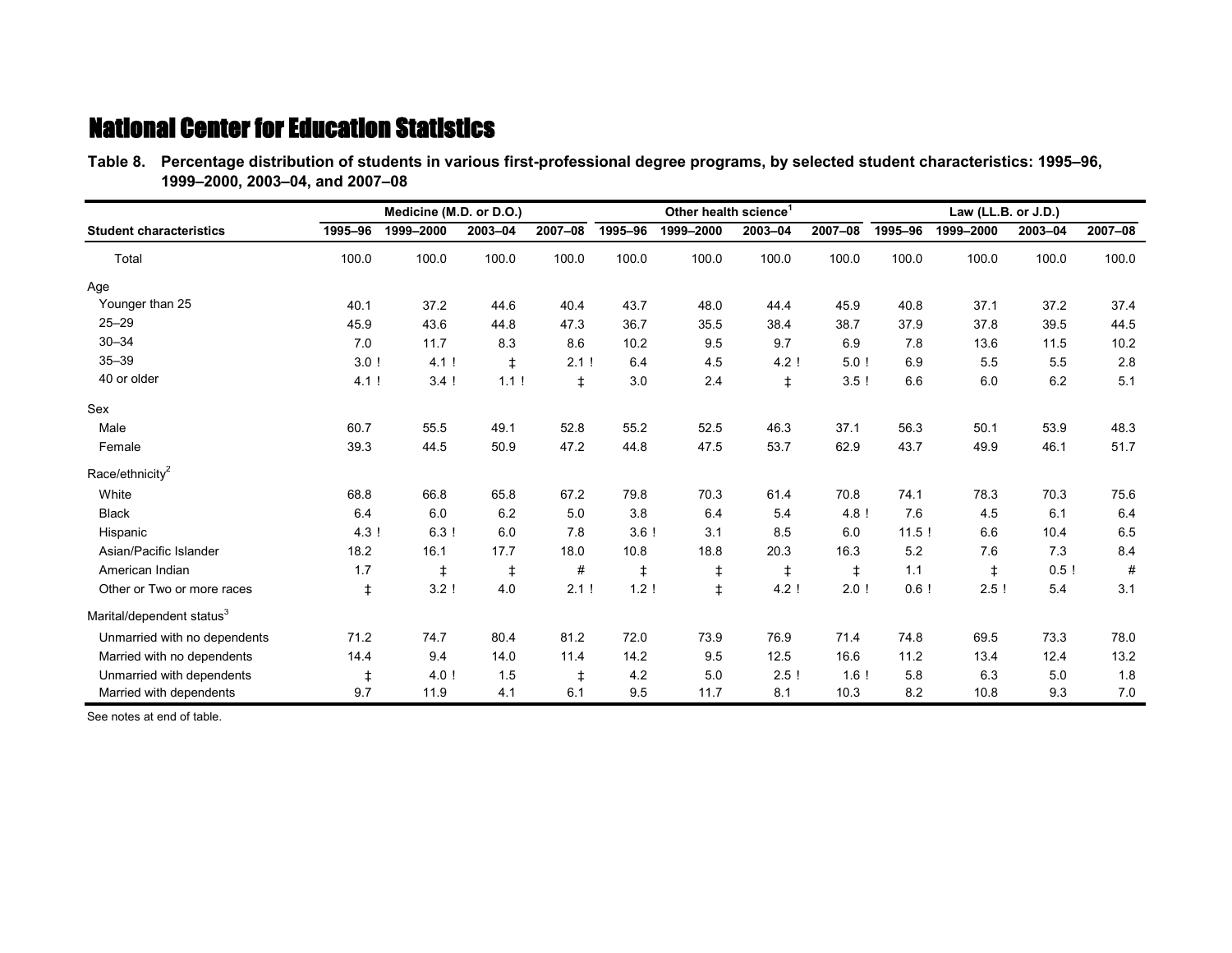**Table 8.—Percentage distribution of students in various first-professional degree programs, by selected student characteristics: 1995–96, Table 8.—1999–2000, 2003–04, and 2007–08**

|                                       |            | Medicine (M.D. or D.O.) |            |            |                  | Other health science <sup>1</sup> |            |            | Law (LL.B. or J.D.) |            |         |         |
|---------------------------------------|------------|-------------------------|------------|------------|------------------|-----------------------------------|------------|------------|---------------------|------------|---------|---------|
| <b>Student characteristics</b>        | 1995-96    | 1999-2000               | 2003-04    | 2007-08    | 1995-96          | 1999-2000                         | 2003-04    | 2007-08    | 1995-96             | 1999-2000  | 2003-04 | 2007-08 |
| Total                                 | 100.0      | 100.0                   | 100.0      | 100.0      | 100.0            | 100.0                             | 100.0      | 100.0      | 100.0               | 100.0      | 100.0   | 100.0   |
| Age                                   |            |                         |            |            |                  |                                   |            |            |                     |            |         |         |
| Younger than 25                       | 40.1       | 37.2                    | 44.6       | 40.4       | 43.7             | 48.0                              | 44.4       | 45.9       | 40.8                | 37.1       | 37.2    | 37.4    |
| $25 - 29$                             | 45.9       | 43.6                    | 44.8       | 47.3       | 36.7             | 35.5                              | 38.4       | 38.7       | 37.9                | 37.8       | 39.5    | 44.5    |
| $30 - 34$                             | 7.0        | 11.7                    | 8.3        | 8.6        | 10.2             | 9.5                               | 9.7        | 6.9        | 7.8                 | 13.6       | 11.5    | 10.2    |
| $35 - 39$                             | 3.0!       | 4.1!                    | ŧ          | 2.1!       | 6.4              | 4.5                               | 4.2!       | 5.0!       | 6.9                 | 5.5        | 5.5     | 2.8     |
| 40 or older                           | 4.1!       | 3.4!                    | 1.1!       | $\ddagger$ | 3.0              | 2.4                               | $\ddagger$ | 3.5!       | 6.6                 | 6.0        | 6.2     | 5.1     |
| Sex                                   |            |                         |            |            |                  |                                   |            |            |                     |            |         |         |
| Male                                  | 60.7       | 55.5                    | 49.1       | 52.8       | 55.2             | 52.5                              | 46.3       | 37.1       | 56.3                | 50.1       | 53.9    | 48.3    |
| Female                                | 39.3       | 44.5                    | 50.9       | 47.2       | 44.8             | 47.5                              | 53.7       | 62.9       | 43.7                | 49.9       | 46.1    | 51.7    |
| Race/ethnicity <sup>2</sup>           |            |                         |            |            |                  |                                   |            |            |                     |            |         |         |
| White                                 | 68.8       | 66.8                    | 65.8       | 67.2       | 79.8             | 70.3                              | 61.4       | 70.8       | 74.1                | 78.3       | 70.3    | 75.6    |
| <b>Black</b>                          | 6.4        | 6.0                     | 6.2        | 5.0        | 3.8              | 6.4                               | 5.4        | 4.8!       | 7.6                 | 4.5        | 6.1     | 6.4     |
| Hispanic                              | 4.3!       | 63!                     | 6.0        | 7.8        | 3.6!             | 3.1                               | 8.5        | 6.0        | 11.5!               | 6.6        | 10.4    | 6.5     |
| Asian/Pacific Islander                | 18.2       | 16.1                    | 17.7       | 18.0       | 10.8             | 18.8                              | 20.3       | 16.3       | 5.2                 | 7.6        | 7.3     | 8.4     |
| American Indian                       | 1.7        | $\ddagger$              | $\ddagger$ | #          | ŧ                | $\ddagger$                        | $\ddagger$ | $\ddagger$ | 1.1                 | $\ddagger$ | 0.5!    | #       |
| Other or Two or more races            | $\ddagger$ | 3.2!                    | 4.0        | 2.1!       | 1.2 <sup>1</sup> | $\ddagger$                        | 4.2!       | 2.0!       | 0.6!                | 2.5!       | 5.4     | 3.1     |
| Marital/dependent status <sup>3</sup> |            |                         |            |            |                  |                                   |            |            |                     |            |         |         |
| Unmarried with no dependents          | 71.2       | 74.7                    | 80.4       | 81.2       | 72.0             | 73.9                              | 76.9       | 71.4       | 74.8                | 69.5       | 73.3    | 78.0    |
| Married with no dependents            | 14.4       | 9.4                     | 14.0       | 11.4       | 14.2             | 9.5                               | 12.5       | 16.6       | 11.2                | 13.4       | 12.4    | 13.2    |
| Unmarried with dependents             | $\ddagger$ | 4.0!                    | 1.5        | $\ddagger$ | 4.2              | 5.0                               | 2.5!       | $1.6$ !    | 5.8                 | 6.3        | 5.0     | 1.8     |
| Married with dependents               | 9.7        | 11.9                    | 4.1        | 6.1        | 9.5              | 11.7                              | 8.1        | 10.3       | 8.2                 | 10.8       | 9.3     | 7.0     |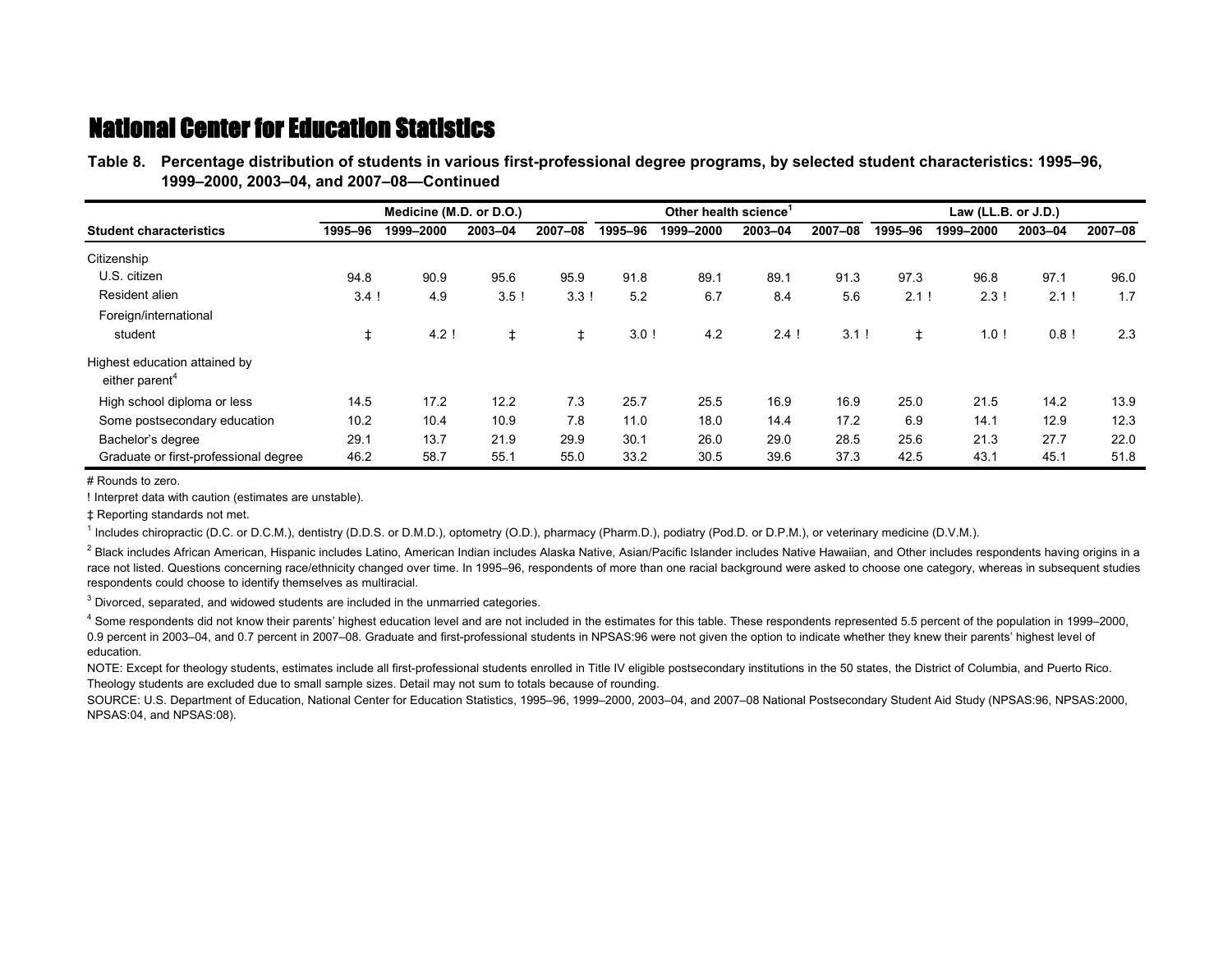**Table 8.—Percentage distribution of students in various first-professional degree programs, by selected student characteristics: 1995–96, Table 8.—1999–2000, 2003–04, and 2007–08—Continued**

|                                                             | Medicine (M.D. or D.O.) |           |         |         | Other health science <sup>1</sup> |           |         |         | Law (LL.B. or J.D.) |           |         |         |
|-------------------------------------------------------------|-------------------------|-----------|---------|---------|-----------------------------------|-----------|---------|---------|---------------------|-----------|---------|---------|
| <b>Student characteristics</b>                              | 1995-96                 | 1999-2000 | 2003-04 | 2007-08 | 1995-96                           | 1999-2000 | 2003-04 | 2007-08 | 1995-96             | 1999-2000 | 2003-04 | 2007-08 |
| Citizenship                                                 |                         |           |         |         |                                   |           |         |         |                     |           |         |         |
| U.S. citizen                                                | 94.8                    | 90.9      | 95.6    | 95.9    | 91.8                              | 89.1      | 89.1    | 91.3    | 97.3                | 96.8      | 97.1    | 96.0    |
| Resident alien                                              | $3.4$ !                 | 4.9       | 3.5!    | 3.3!    | 5.2                               | 6.7       | 8.4     | 5.6     | 2.1                 | 2.3!      | 2.1     | 1.7     |
| Foreign/international                                       |                         |           |         |         |                                   |           |         |         |                     |           |         |         |
| student                                                     |                         | $4.2$ !   |         |         | $3.0$ !                           | 4.2       | 2.4!    | 3.1!    | ŧ                   | 1.0!      | $0.8$ ! | 2.3     |
| Highest education attained by<br>either parent <sup>4</sup> |                         |           |         |         |                                   |           |         |         |                     |           |         |         |
| High school diploma or less                                 | 14.5                    | 17.2      | 12.2    | 7.3     | 25.7                              | 25.5      | 16.9    | 16.9    | 25.0                | 21.5      | 14.2    | 13.9    |
| Some postsecondary education                                | 10.2                    | 10.4      | 10.9    | 7.8     | 11.0                              | 18.0      | 14.4    | 17.2    | 6.9                 | 14.1      | 12.9    | 12.3    |
| Bachelor's degree                                           | 29.1                    | 13.7      | 21.9    | 29.9    | 30.1                              | 26.0      | 29.0    | 28.5    | 25.6                | 21.3      | 27.7    | 22.0    |
| Graduate or first-professional degree                       | 46.2                    | 58.7      | 55.1    | 55.0    | 33.2                              | 30.5      | 39.6    | 37.3    | 42.5                | 43.1      | 45.1    | 51.8    |

# Rounds to zero.

! Interpret data with caution (estimates are unstable).

‡ Reporting standards not met.

<sup>1</sup> Includes chiropractic (D.C. or D.C.M.), dentistry (D.D.S. or D.M.D.), optometry (O.D.), pharmacy (Pharm.D.), podiatry (Pod.D. or D.P.M.), or veterinary medicine (D.V.M.).

 $^2$  Black includes African American, Hispanic includes Latino, American Indian includes Alaska Native, Asian/Pacific Islander includes Native Hawaiian, and Other includes respondents having origins in a race not listed. Questions concerning race/ethnicity changed over time. In 1995–96, respondents of more than one racial background were asked to choose one category, whereas in subsequent studies respondents could choose to identify themselves as multiracial.

 $3$  Divorced, separated, and widowed students are included in the unmarried categories.

<sup>4</sup> Some respondents did not know their parents' highest education level and are not included in the estimates for this table. These respondents represented 5.5 percent of the population in 1999–2000, 0.9 percent in 2003–04, and 0.7 percent in 2007–08. Graduate and first-professional students in NPSAS:96 were not given the option to indicate whether they knew their parents' highest level of education.

NOTE: Except for theology students, estimates include all first-professional students enrolled in Title IV eligible postsecondary institutions in the 50 states, the District of Columbia, and Puerto Rico. Theology students are excluded due to small sample sizes. Detail may not sum to totals because of rounding.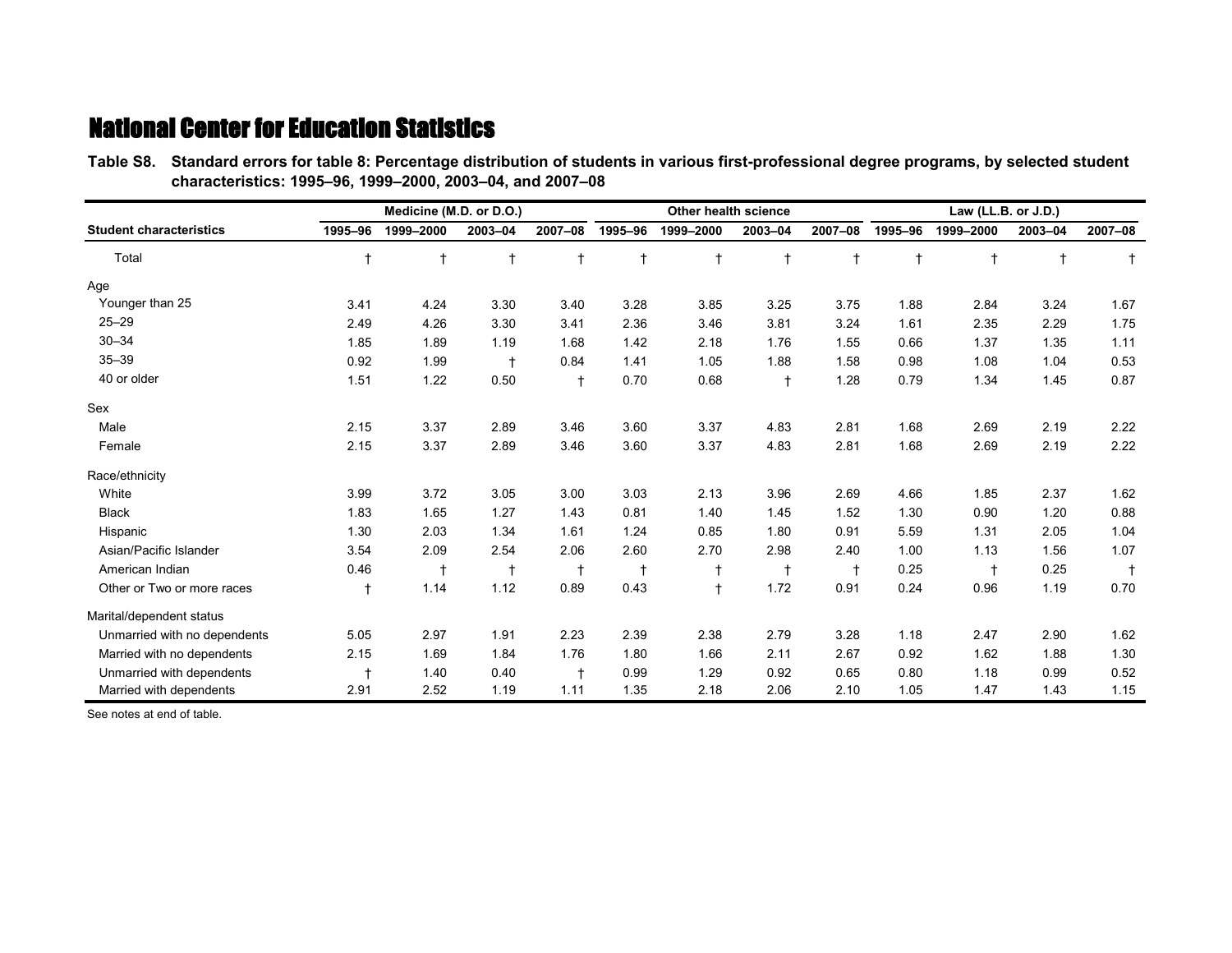**Table S8.—Standard errors for table 8: Percentage distribution of students in various first-professional degree programs, by selected student Table S8.—characteristics: 1995–96, 1999–2000, 2003–04, and 2007–08**

|                                |            | Medicine (M.D. or D.O.) |            |            |            | Other health science |            |            | Law (LL.B. or J.D.) |            |            |         |
|--------------------------------|------------|-------------------------|------------|------------|------------|----------------------|------------|------------|---------------------|------------|------------|---------|
| <b>Student characteristics</b> | 1995-96    | 1999-2000               | 2003-04    | 2007-08    | 1995-96    | 1999-2000            | 2003-04    | 2007-08    | 1995-96             | 1999-2000  | 2003-04    | 2007-08 |
| Total                          | $\ddagger$ | $^\dagger$              | $^\dagger$ | $\ddagger$ | $\ddagger$ | $\dagger$            | $\ddagger$ | $\ddagger$ | $\ddagger$          | $\ddagger$ | $\ddagger$ |         |
| Age                            |            |                         |            |            |            |                      |            |            |                     |            |            |         |
| Younger than 25                | 3.41       | 4.24                    | 3.30       | 3.40       | 3.28       | 3.85                 | 3.25       | 3.75       | 1.88                | 2.84       | 3.24       | 1.67    |
| $25 - 29$                      | 2.49       | 4.26                    | 3.30       | 3.41       | 2.36       | 3.46                 | 3.81       | 3.24       | 1.61                | 2.35       | 2.29       | 1.75    |
| $30 - 34$                      | 1.85       | 1.89                    | 1.19       | 1.68       | 1.42       | 2.18                 | 1.76       | 1.55       | 0.66                | 1.37       | 1.35       | 1.11    |
| $35 - 39$                      | 0.92       | 1.99                    | $\ddagger$ | 0.84       | 1.41       | 1.05                 | 1.88       | 1.58       | 0.98                | 1.08       | 1.04       | 0.53    |
| 40 or older                    | 1.51       | 1.22                    | 0.50       | $\ddagger$ | 0.70       | 0.68                 | $\ddagger$ | 1.28       | 0.79                | 1.34       | 1.45       | 0.87    |
| Sex                            |            |                         |            |            |            |                      |            |            |                     |            |            |         |
| Male                           | 2.15       | 3.37                    | 2.89       | 3.46       | 3.60       | 3.37                 | 4.83       | 2.81       | 1.68                | 2.69       | 2.19       | 2.22    |
| Female                         | 2.15       | 3.37                    | 2.89       | 3.46       | 3.60       | 3.37                 | 4.83       | 2.81       | 1.68                | 2.69       | 2.19       | 2.22    |
| Race/ethnicity                 |            |                         |            |            |            |                      |            |            |                     |            |            |         |
| White                          | 3.99       | 3.72                    | 3.05       | 3.00       | 3.03       | 2.13                 | 3.96       | 2.69       | 4.66                | 1.85       | 2.37       | 1.62    |
| <b>Black</b>                   | 1.83       | 1.65                    | 1.27       | 1.43       | 0.81       | 1.40                 | 1.45       | 1.52       | 1.30                | 0.90       | 1.20       | 0.88    |
| Hispanic                       | 1.30       | 2.03                    | 1.34       | 1.61       | 1.24       | 0.85                 | 1.80       | 0.91       | 5.59                | 1.31       | 2.05       | 1.04    |
| Asian/Pacific Islander         | 3.54       | 2.09                    | 2.54       | 2.06       | 2.60       | 2.70                 | 2.98       | 2.40       | 1.00                | 1.13       | 1.56       | 1.07    |
| American Indian                | 0.46       | $\ddagger$              | $\ddagger$ | $\ddagger$ | $\ddagger$ |                      | $\ddagger$ |            | 0.25                | $\ddagger$ | 0.25       |         |
| Other or Two or more races     | $\ddagger$ | 1.14                    | 1.12       | 0.89       | 0.43       | $\ddagger$           | 1.72       | 0.91       | 0.24                | 0.96       | 1.19       | 0.70    |
| Marital/dependent status       |            |                         |            |            |            |                      |            |            |                     |            |            |         |
| Unmarried with no dependents   | 5.05       | 2.97                    | 1.91       | 2.23       | 2.39       | 2.38                 | 2.79       | 3.28       | 1.18                | 2.47       | 2.90       | 1.62    |
| Married with no dependents     | 2.15       | 1.69                    | 1.84       | 1.76       | 1.80       | 1.66                 | 2.11       | 2.67       | 0.92                | 1.62       | 1.88       | 1.30    |
| Unmarried with dependents      |            | 1.40                    | 0.40       | $\ddagger$ | 0.99       | 1.29                 | 0.92       | 0.65       | 0.80                | 1.18       | 0.99       | 0.52    |
| Married with dependents        | 2.91       | 2.52                    | 1.19       | 1.11       | 1.35       | 2.18                 | 2.06       | 2.10       | 1.05                | 1.47       | 1.43       | 1.15    |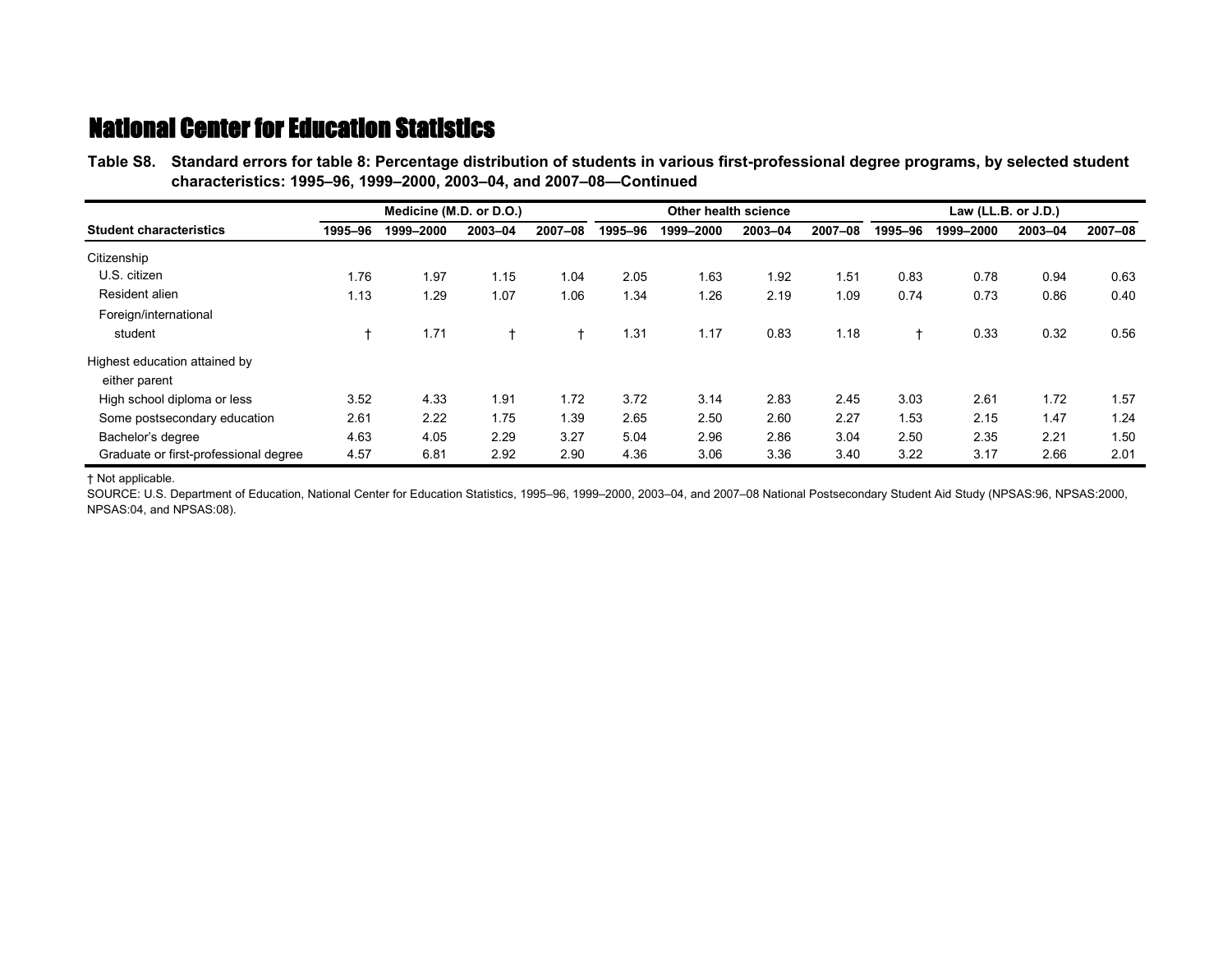**Table S8.—Standard errors for table 8: Percentage distribution of students in various first-professional degree programs, by selected student Table S8.—characteristics: 1995–96, 1999–2000, 2003–04, and 2007–08—Continued**

|                                       |         | Medicine (M.D. or D.O.) |         |         |         | Other health science |         |         |                | Law $(LL.B. or J.D.)$ |         |         |  |
|---------------------------------------|---------|-------------------------|---------|---------|---------|----------------------|---------|---------|----------------|-----------------------|---------|---------|--|
| <b>Student characteristics</b>        | 1995-96 | 1999-2000               | 2003-04 | 2007-08 | 1995-96 | 1999-2000            | 2003-04 | 2007-08 | 1995-96        | 1999-2000             | 2003-04 | 2007-08 |  |
| Citizenship                           |         |                         |         |         |         |                      |         |         |                |                       |         |         |  |
| U.S. citizen                          | 1.76    | 1.97                    | 1.15    | 1.04    | 2.05    | 1.63                 | 1.92    | 1.51    | 0.83           | 0.78                  | 0.94    | 0.63    |  |
| Resident alien                        | 1.13    | 1.29                    | 1.07    | 1.06    | 1.34    | 1.26                 | 2.19    | 1.09    | 0.74           | 0.73                  | 0.86    | 0.40    |  |
| Foreign/international                 |         |                         |         |         |         |                      |         |         |                |                       |         |         |  |
| student                               |         | 1.71                    | ÷.      | ÷       | 1.31    | 1.17                 | 0.83    | 1.18    | $\overline{1}$ | 0.33                  | 0.32    | 0.56    |  |
| Highest education attained by         |         |                         |         |         |         |                      |         |         |                |                       |         |         |  |
| either parent                         |         |                         |         |         |         |                      |         |         |                |                       |         |         |  |
| High school diploma or less           | 3.52    | 4.33                    | 1.91    | 1.72    | 3.72    | 3.14                 | 2.83    | 2.45    | 3.03           | 2.61                  | 1.72    | 1.57    |  |
| Some postsecondary education          | 2.61    | 2.22                    | 1.75    | 1.39    | 2.65    | 2.50                 | 2.60    | 2.27    | 1.53           | 2.15                  | 1.47    | 1.24    |  |
| Bachelor's degree                     | 4.63    | 4.05                    | 2.29    | 3.27    | 5.04    | 2.96                 | 2.86    | 3.04    | 2.50           | 2.35                  | 2.21    | 1.50    |  |
| Graduate or first-professional degree | 4.57    | 6.81                    | 2.92    | 2.90    | 4.36    | 3.06                 | 3.36    | 3.40    | 3.22           | 3.17                  | 2.66    | 2.01    |  |

† Not applicable.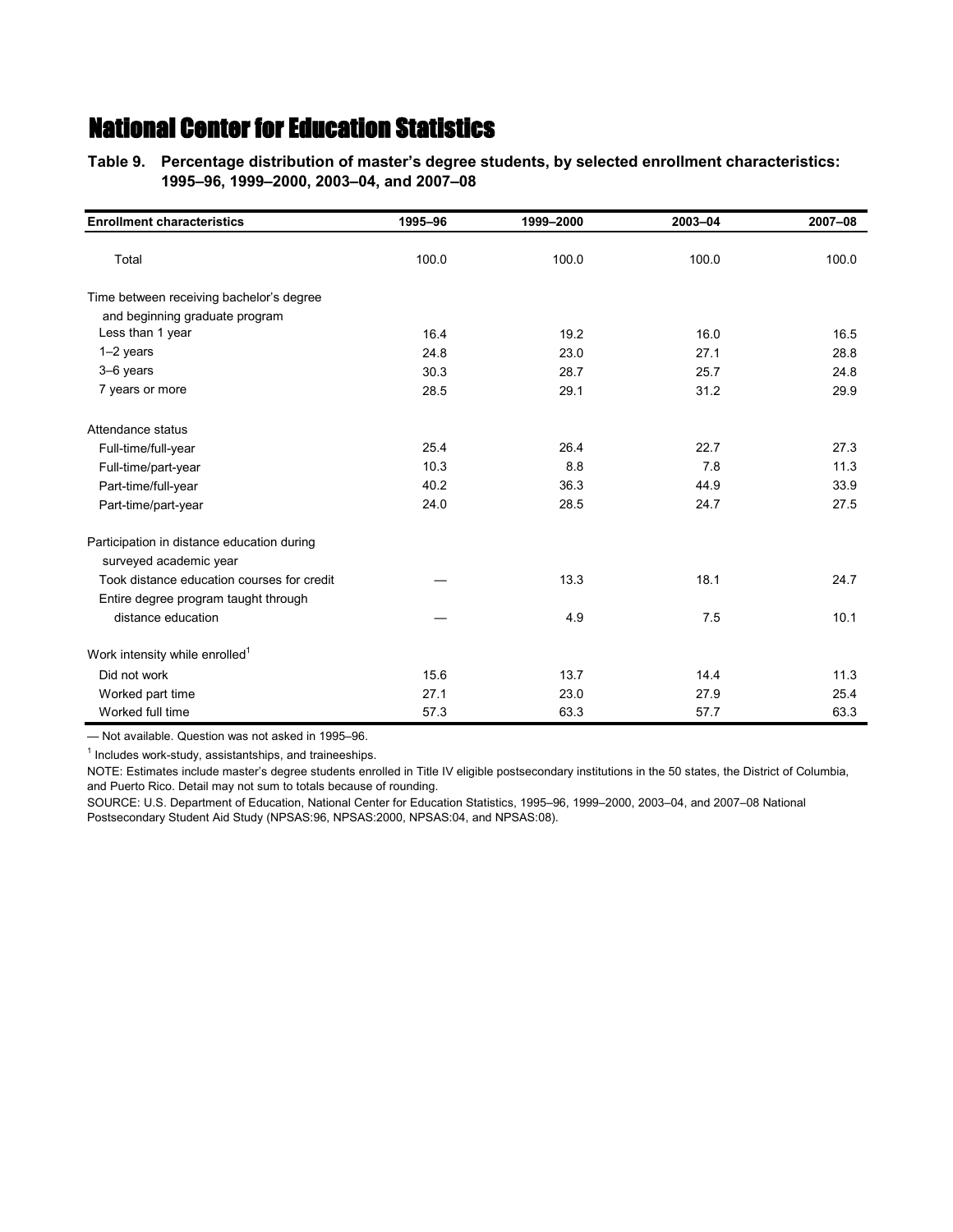**Table 9.—Percentage distribution of master's degree students, by selected enrollment characteristics: Table 9.—1995–96, 1999–2000, 2003–04, and 2007–08**

| <b>Enrollment characteristics</b>          | 1995-96 | 1999-2000 | 2003-04 | 2007-08 |
|--------------------------------------------|---------|-----------|---------|---------|
| Total                                      | 100.0   | 100.0     | 100.0   | 100.0   |
| Time between receiving bachelor's degree   |         |           |         |         |
| and beginning graduate program             |         |           |         |         |
| Less than 1 year                           | 16.4    | 19.2      | 16.0    | 16.5    |
| $1-2$ years                                | 24.8    | 23.0      | 27.1    | 28.8    |
| 3-6 years                                  | 30.3    | 28.7      | 25.7    | 24.8    |
| 7 years or more                            | 28.5    | 29.1      | 31.2    | 29.9    |
| Attendance status                          |         |           |         |         |
| Full-time/full-year                        | 25.4    | 26.4      | 22.7    | 27.3    |
| Full-time/part-year                        | 10.3    | 8.8       | 7.8     | 11.3    |
| Part-time/full-year                        | 40.2    | 36.3      | 44.9    | 33.9    |
| Part-time/part-year                        | 24.0    | 28.5      | 24.7    | 27.5    |
| Participation in distance education during |         |           |         |         |
| surveyed academic year                     |         |           |         |         |
| Took distance education courses for credit |         | 13.3      | 18.1    | 24.7    |
| Entire degree program taught through       |         |           |         |         |
| distance education                         |         | 4.9       | 7.5     | 10.1    |
| Work intensity while enrolled <sup>1</sup> |         |           |         |         |
| Did not work                               | 15.6    | 13.7      | 14.4    | 11.3    |
| Worked part time                           | 27.1    | 23.0      | 27.9    | 25.4    |
| Worked full time                           | 57.3    | 63.3      | 57.7    | 63.3    |

— Not available. Question was not asked in 1995–96.

<sup>1</sup> Includes work-study, assistantships, and traineeships.

NOTE: Estimates include master's degree students enrolled in Title IV eligible postsecondary institutions in the 50 states, the District of Columbia, and Puerto Rico. Detail may not sum to totals because of rounding.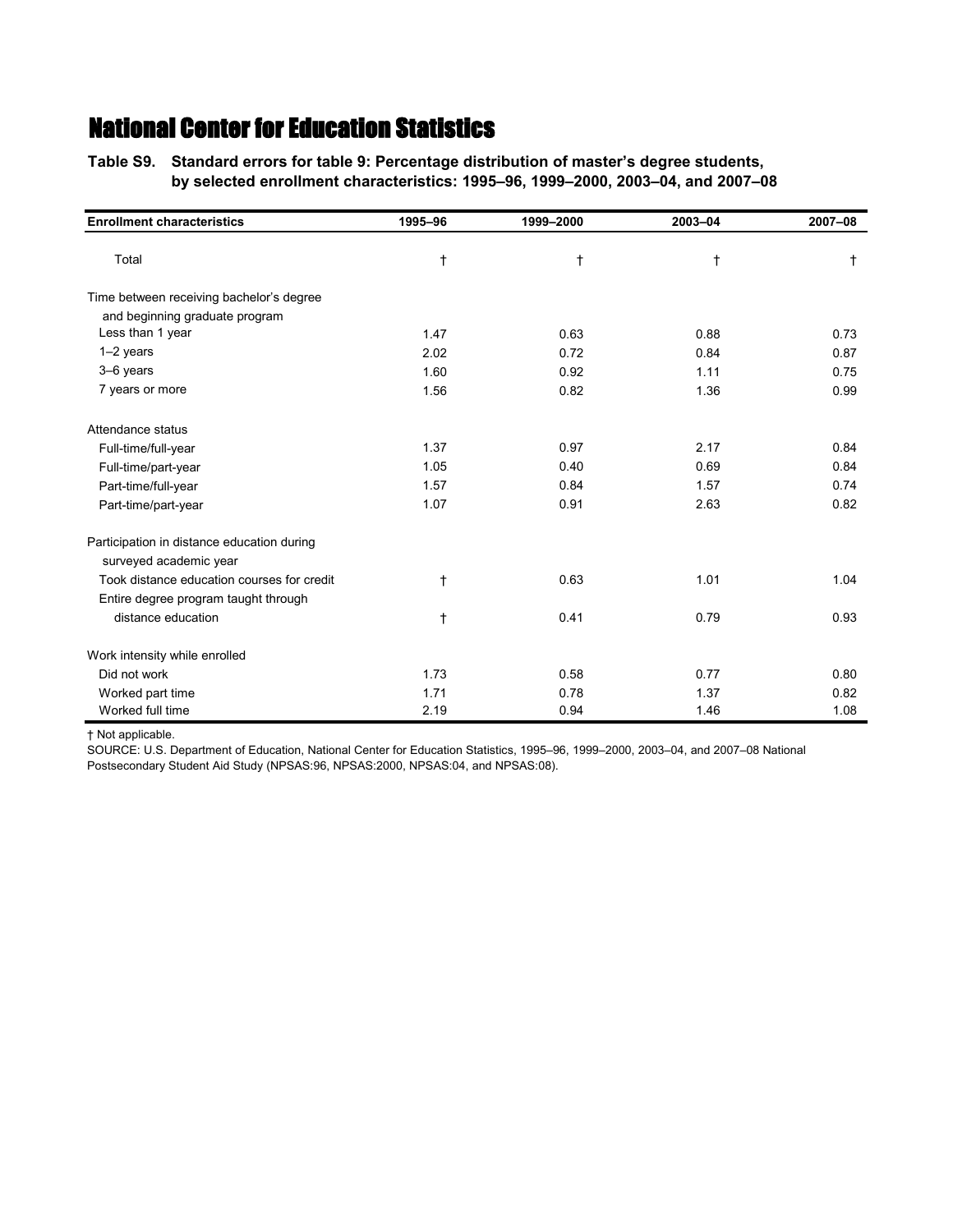**Table S9.—Standard errors for table 9: Percentage distribution of master's degree students, Table S9.—by selected enrollment characteristics: 1995–96, 1999–2000, 2003–04, and 2007–08**

| <b>Enrollment characteristics</b>          | 1995-96    | 1999-2000 | 2003-04    | 2007-08    |
|--------------------------------------------|------------|-----------|------------|------------|
| Total                                      | $\ddagger$ | $\dagger$ | $\ddagger$ | $\ddagger$ |
| Time between receiving bachelor's degree   |            |           |            |            |
| and beginning graduate program             |            |           |            |            |
| Less than 1 year                           | 1.47       | 0.63      | 0.88       | 0.73       |
| $1-2$ years                                | 2.02       | 0.72      | 0.84       | 0.87       |
| 3-6 years                                  | 1.60       | 0.92      | 1.11       | 0.75       |
| 7 years or more                            | 1.56       | 0.82      | 1.36       | 0.99       |
| Attendance status                          |            |           |            |            |
| Full-time/full-year                        | 1.37       | 0.97      | 2.17       | 0.84       |
| Full-time/part-year                        | 1.05       | 0.40      | 0.69       | 0.84       |
| Part-time/full-year                        | 1.57       | 0.84      | 1.57       | 0.74       |
| Part-time/part-year                        | 1.07       | 0.91      | 2.63       | 0.82       |
| Participation in distance education during |            |           |            |            |
| surveyed academic year                     |            |           |            |            |
| Took distance education courses for credit | $\ddagger$ | 0.63      | 1.01       | 1.04       |
| Entire degree program taught through       |            |           |            |            |
| distance education                         | $\dagger$  | 0.41      | 0.79       | 0.93       |
| Work intensity while enrolled              |            |           |            |            |
| Did not work                               | 1.73       | 0.58      | 0.77       | 0.80       |
| Worked part time                           | 1.71       | 0.78      | 1.37       | 0.82       |
| Worked full time                           | 2.19       | 0.94      | 1.46       | 1.08       |

† Not applicable.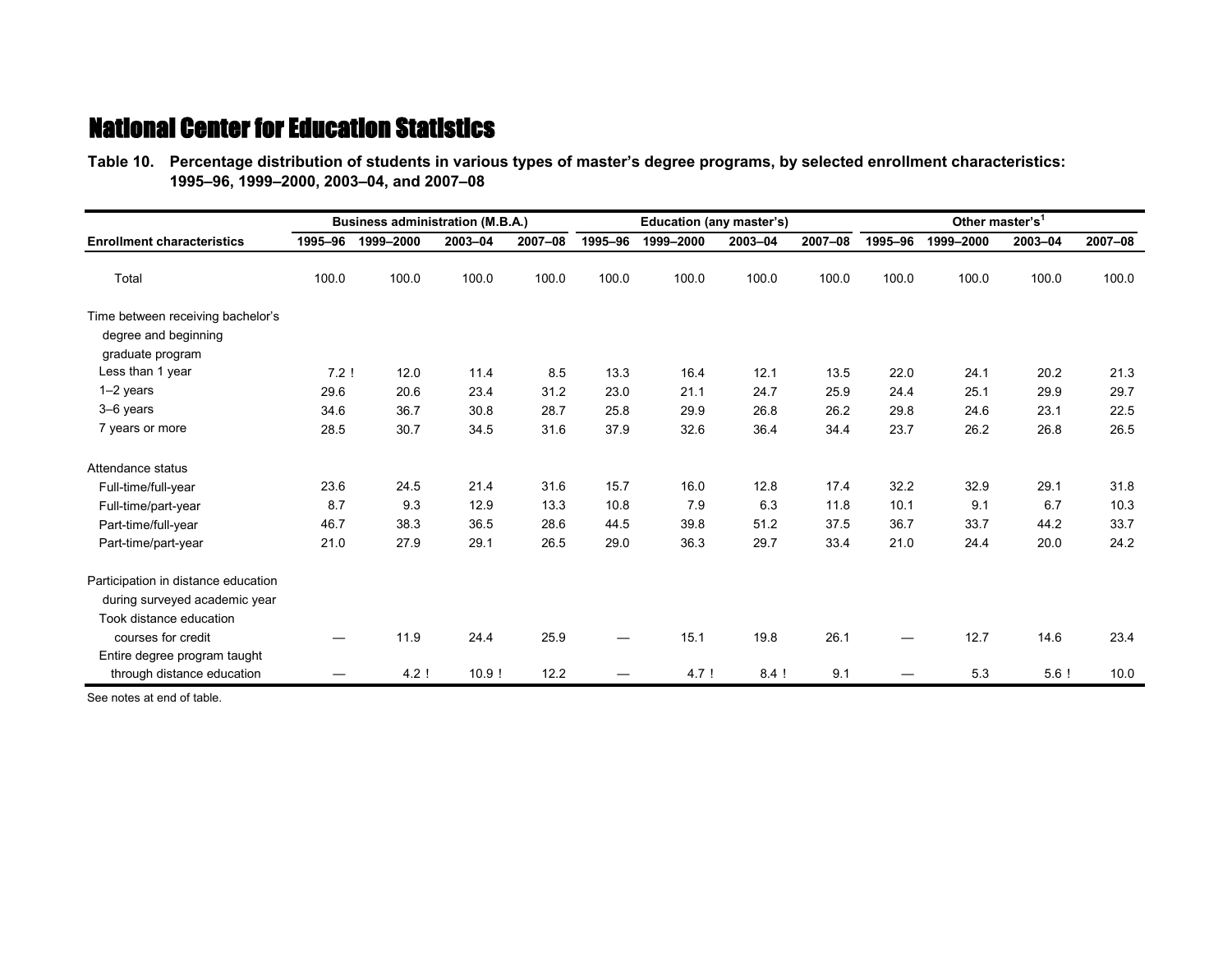**Table 10.—Percentage distribution of students in various types of master's degree programs, by selected enrollment characteristics: Table 10.—1995–96, 1999–2000, 2003–04, and 2007–08**

|                                                                                                 | <b>Business administration (M.B.A.)</b> |           |         |         |         | Education (any master's) |         |         | Other master's <sup>1</sup> |           |         |         |
|-------------------------------------------------------------------------------------------------|-----------------------------------------|-----------|---------|---------|---------|--------------------------|---------|---------|-----------------------------|-----------|---------|---------|
| <b>Enrollment characteristics</b>                                                               | 1995-96                                 | 1999-2000 | 2003-04 | 2007-08 | 1995-96 | 1999-2000                | 2003-04 | 2007-08 | 1995-96                     | 1999-2000 | 2003-04 | 2007-08 |
| Total                                                                                           | 100.0                                   | 100.0     | 100.0   | 100.0   | 100.0   | 100.0                    | 100.0   | 100.0   | 100.0                       | 100.0     | 100.0   | 100.0   |
| Time between receiving bachelor's<br>degree and beginning<br>graduate program                   |                                         |           |         |         |         |                          |         |         |                             |           |         |         |
| Less than 1 year                                                                                | $7.2$ !                                 | 12.0      | 11.4    | 8.5     | 13.3    | 16.4                     | 12.1    | 13.5    | 22.0                        | 24.1      | 20.2    | 21.3    |
| 1-2 years                                                                                       | 29.6                                    | 20.6      | 23.4    | 31.2    | 23.0    | 21.1                     | 24.7    | 25.9    | 24.4                        | 25.1      | 29.9    | 29.7    |
| 3-6 years                                                                                       | 34.6                                    | 36.7      | 30.8    | 28.7    | 25.8    | 29.9                     | 26.8    | 26.2    | 29.8                        | 24.6      | 23.1    | 22.5    |
| 7 years or more                                                                                 | 28.5                                    | 30.7      | 34.5    | 31.6    | 37.9    | 32.6                     | 36.4    | 34.4    | 23.7                        | 26.2      | 26.8    | 26.5    |
| Attendance status                                                                               |                                         |           |         |         |         |                          |         |         |                             |           |         |         |
| Full-time/full-year                                                                             | 23.6                                    | 24.5      | 21.4    | 31.6    | 15.7    | 16.0                     | 12.8    | 17.4    | 32.2                        | 32.9      | 29.1    | 31.8    |
| Full-time/part-year                                                                             | 8.7                                     | 9.3       | 12.9    | 13.3    | 10.8    | 7.9                      | 6.3     | 11.8    | 10.1                        | 9.1       | 6.7     | 10.3    |
| Part-time/full-year                                                                             | 46.7                                    | 38.3      | 36.5    | 28.6    | 44.5    | 39.8                     | 51.2    | 37.5    | 36.7                        | 33.7      | 44.2    | 33.7    |
| Part-time/part-year                                                                             | 21.0                                    | 27.9      | 29.1    | 26.5    | 29.0    | 36.3                     | 29.7    | 33.4    | 21.0                        | 24.4      | 20.0    | 24.2    |
| Participation in distance education<br>during surveyed academic year<br>Took distance education |                                         |           |         |         |         |                          |         |         |                             |           |         |         |
| courses for credit                                                                              |                                         | 11.9      | 24.4    | 25.9    |         | 15.1                     | 19.8    | 26.1    |                             | 12.7      | 14.6    | 23.4    |
| Entire degree program taught<br>through distance education                                      |                                         | 4.2!      | 10.9!   | 12.2    |         | 4.7!                     | $8.4$ ! | 9.1     |                             | 5.3       | $5.6$ ! | 10.0    |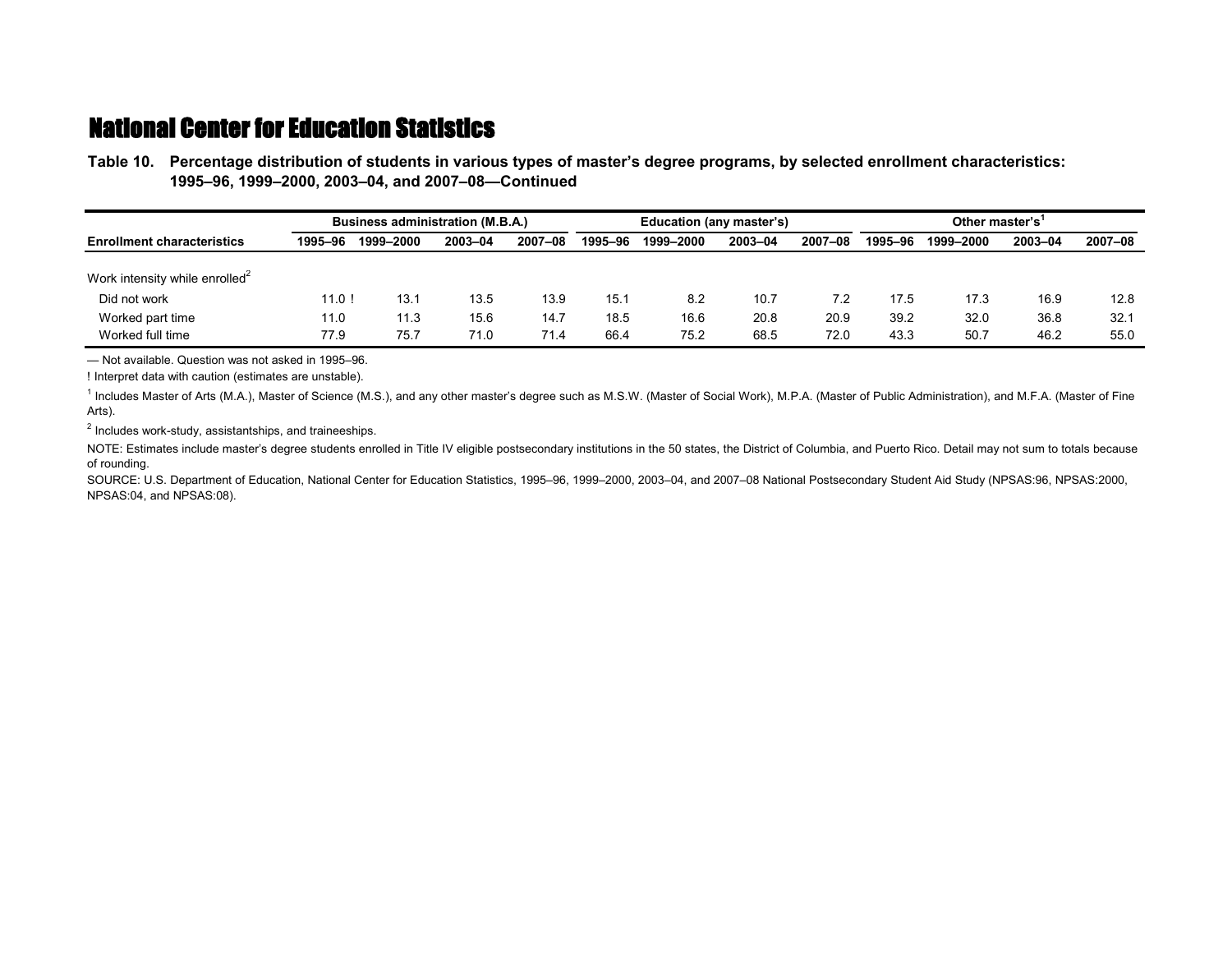**Table 10.—Percentage distribution of students in various types of master's degree programs, by selected enrollment characteristics: Table 10.—1995–96, 1999–2000, 2003–04, and 2007–08—Continued**

|                                            |         | <b>Business administration (M.B.A.)</b> |         |         |         | Education (any master's) |         |         |         | Other master's <sup>1</sup> |         |         |  |
|--------------------------------------------|---------|-----------------------------------------|---------|---------|---------|--------------------------|---------|---------|---------|-----------------------------|---------|---------|--|
| <b>Enrollment characteristics</b>          | 1995-96 | 1999-2000                               | 2003-04 | 2007-08 | 1995-96 | 1999-2000                | 2003-04 | 2007-08 | 1995-96 | 1999-2000                   | 2003-04 | 2007-08 |  |
|                                            |         |                                         |         |         |         |                          |         |         |         |                             |         |         |  |
| Work intensity while enrolled <sup>2</sup> |         |                                         |         |         |         |                          |         |         |         |                             |         |         |  |
| Did not work                               | 11.0!   | 13.1                                    | 13.5    | 13.9    | 15.1    | 8.2                      | 10.7    | 7.2     | 17.5    | 17.3                        | 16.9    | 12.8    |  |
| Worked part time                           | 11.0    | 11.3                                    | 15.6    | 14.7    | 18.5    | 16.6                     | 20.8    | 20.9    | 39.2    | 32.0                        | 36.8    | 32.1    |  |
| Worked full time                           | 77.9    | 75.7                                    | 71.0    | 71.4    | 66.4    | 75.2                     | 68.5    | 72.0    | 43.3    | 50.7                        | 46.2    | 55.0    |  |

— Not available. Question was not asked in 1995–96.

! Interpret data with caution (estimates are unstable).

<sup>1</sup> Includes Master of Arts (M.A.), Master of Science (M.S.), and any other master's degree such as M.S.W. (Master of Social Work), M.P.A. (Master of Public Administration), and M.F.A. (Master of Fine Arts).

<sup>2</sup> Includes work-study, assistantships, and traineeships.

NOTE: Estimates include master's degree students enrolled in Title IV eligible postsecondary institutions in the 50 states, the District of Columbia, and Puerto Rico. Detail may not sum to totals because of rounding.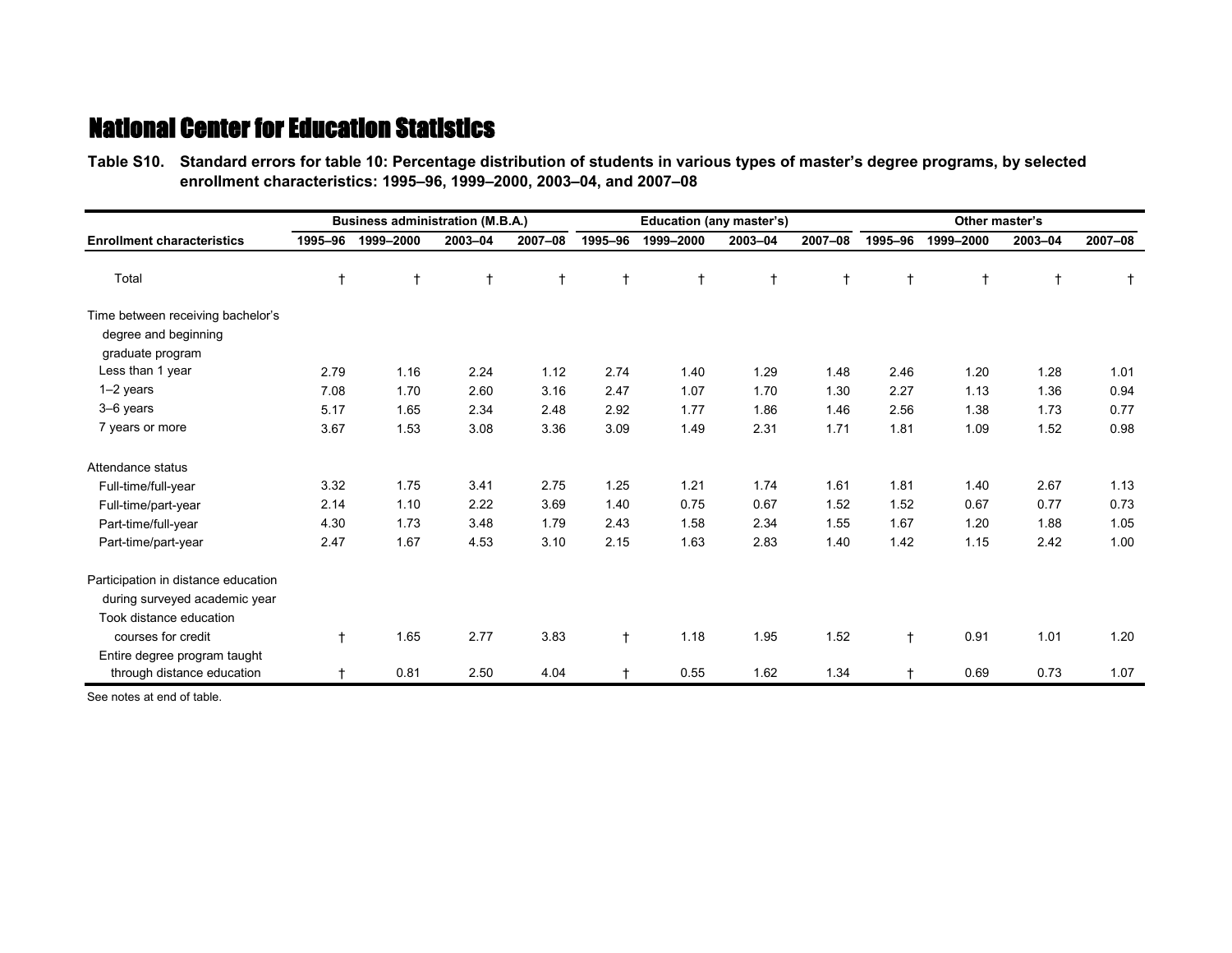**Table S10.—Standard errors for table 10: Percentage distribution of students in various types of master's degree programs, by selected Table S10.—enrollment characteristics: 1995–96, 1999–2000, 2003–04, and 2007–08**

|                                                                                                 |            | <b>Business administration (M.B.A.)</b> |            |            |            | Education (any master's) |            |            | Other master's |            |         |            |
|-------------------------------------------------------------------------------------------------|------------|-----------------------------------------|------------|------------|------------|--------------------------|------------|------------|----------------|------------|---------|------------|
| <b>Enrollment characteristics</b>                                                               | 1995-96    | 1999-2000                               | 2003-04    | 2007-08    | 1995-96    | 1999-2000                | 2003-04    | 2007-08    | 1995-96        | 1999-2000  | 2003-04 | 2007-08    |
| Total                                                                                           | $\ddagger$ | t                                       | $\ddagger$ | $\ddagger$ | $\ddagger$ | $\ddagger$               | $\ddagger$ | $\ddagger$ |                | $\ddagger$ | t       | $\ddagger$ |
| Time between receiving bachelor's<br>degree and beginning<br>graduate program                   |            |                                         |            |            |            |                          |            |            |                |            |         |            |
| Less than 1 year                                                                                | 2.79       | 1.16                                    | 2.24       | 1.12       | 2.74       | 1.40                     | 1.29       | 1.48       | 2.46           | 1.20       | 1.28    | 1.01       |
| 1-2 years                                                                                       | 7.08       | 1.70                                    | 2.60       | 3.16       | 2.47       | 1.07                     | 1.70       | 1.30       | 2.27           | 1.13       | 1.36    | 0.94       |
| 3-6 years                                                                                       | 5.17       | 1.65                                    | 2.34       | 2.48       | 2.92       | 1.77                     | 1.86       | 1.46       | 2.56           | 1.38       | 1.73    | 0.77       |
| 7 years or more                                                                                 | 3.67       | 1.53                                    | 3.08       | 3.36       | 3.09       | 1.49                     | 2.31       | 1.71       | 1.81           | 1.09       | 1.52    | 0.98       |
| Attendance status                                                                               |            |                                         |            |            |            |                          |            |            |                |            |         |            |
| Full-time/full-year                                                                             | 3.32       | 1.75                                    | 3.41       | 2.75       | 1.25       | 1.21                     | 1.74       | 1.61       | 1.81           | 1.40       | 2.67    | 1.13       |
| Full-time/part-year                                                                             | 2.14       | 1.10                                    | 2.22       | 3.69       | 1.40       | 0.75                     | 0.67       | 1.52       | 1.52           | 0.67       | 0.77    | 0.73       |
| Part-time/full-year                                                                             | 4.30       | 1.73                                    | 3.48       | 1.79       | 2.43       | 1.58                     | 2.34       | 1.55       | 1.67           | 1.20       | 1.88    | 1.05       |
| Part-time/part-year                                                                             | 2.47       | 1.67                                    | 4.53       | 3.10       | 2.15       | 1.63                     | 2.83       | 1.40       | 1.42           | 1.15       | 2.42    | 1.00       |
| Participation in distance education<br>during surveyed academic year<br>Took distance education |            |                                         |            |            |            |                          |            |            |                |            |         |            |
| courses for credit<br>Entire degree program taught                                              | $\ddagger$ | 1.65                                    | 2.77       | 3.83       | $\ddagger$ | 1.18                     | 1.95       | 1.52       | $^{\dagger}$   | 0.91       | 1.01    | 1.20       |
| through distance education                                                                      |            | 0.81                                    | 2.50       | 4.04       |            | 0.55                     | 1.62       | 1.34       |                | 0.69       | 0.73    | 1.07       |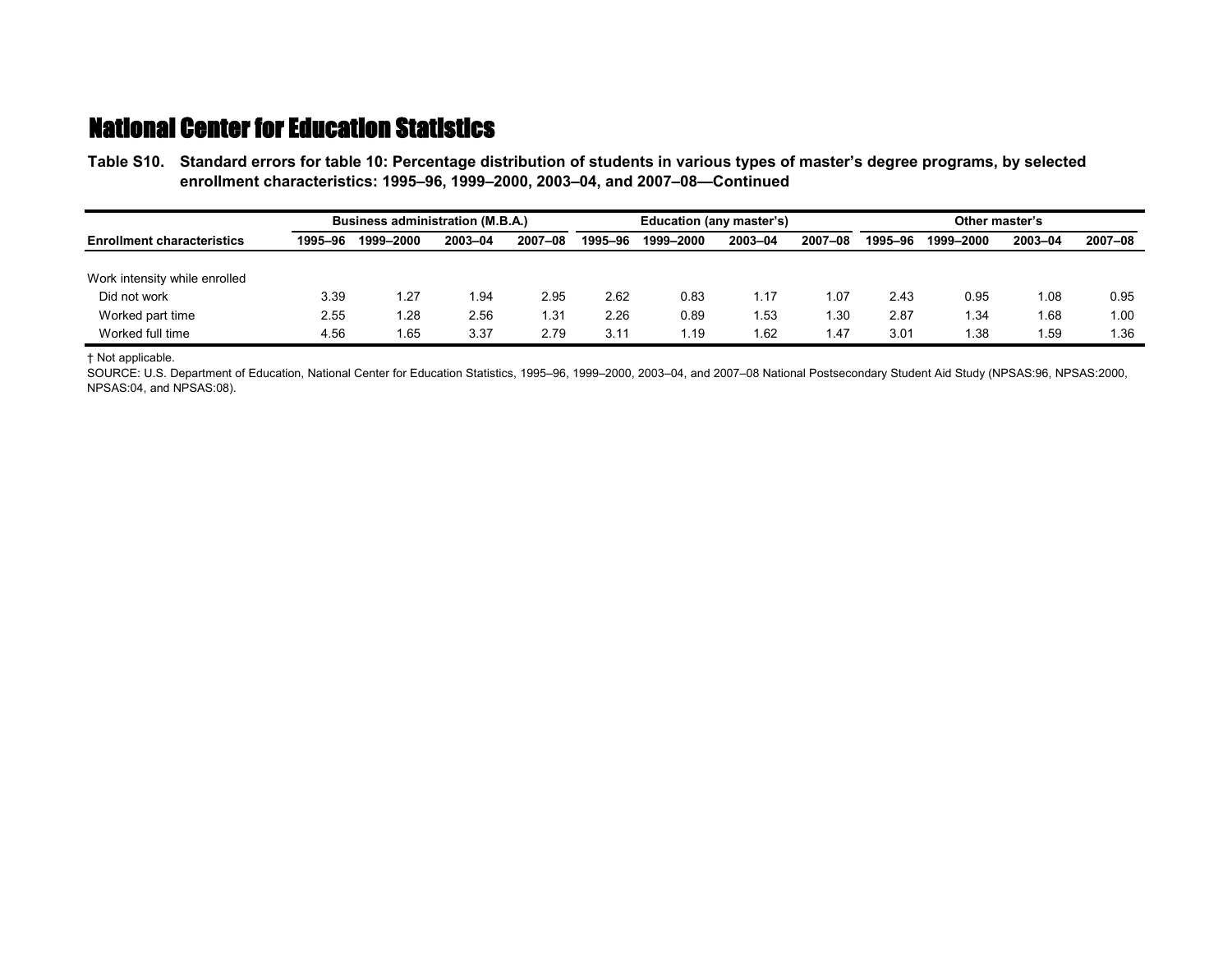**Table S10.—Standard errors for table 10: Percentage distribution of students in various types of master's degree programs, by selected Table S10.—enrollment characteristics: 1995–96, 1999–2000, 2003–04, and 2007–08—Continued**

|                                   | <b>Business administration (M.B.A.)</b> |           |         |         | Education (any master's) |           |         |         | Other master's |           |         |         |
|-----------------------------------|-----------------------------------------|-----------|---------|---------|--------------------------|-----------|---------|---------|----------------|-----------|---------|---------|
| <b>Enrollment characteristics</b> | 1995-96                                 | 1999-2000 | 2003-04 | 2007-08 | 1995-96                  | 1999-2000 | 2003-04 | 2007-08 | 1995–96        | 1999-2000 | 2003-04 | 2007-08 |
|                                   |                                         |           |         |         |                          |           |         |         |                |           |         |         |
| Work intensity while enrolled     |                                         |           |         |         |                          |           |         |         |                |           |         |         |
| Did not work                      | 3.39                                    | 1.27      | .94     | 2.95    | 2.62                     | 0.83      | 1.17    | l.O7    | 2.43           | 0.95      | 1.08    | 0.95    |
| Worked part time                  | 2.55                                    | 1.28      | 2.56    | 1.31    | 2.26                     | 0.89      | 1.53    | 30. ا   | 2.87           | 1.34      | 1.68    | 1.00    |
| Worked full time                  | 4.56                                    | l.65      | 3.37    | 2.79    | 3.11                     | i.19      | 1.62    | 1.47    | 3.01           | l.38      | 59،،    | . 36    |

† Not applicable.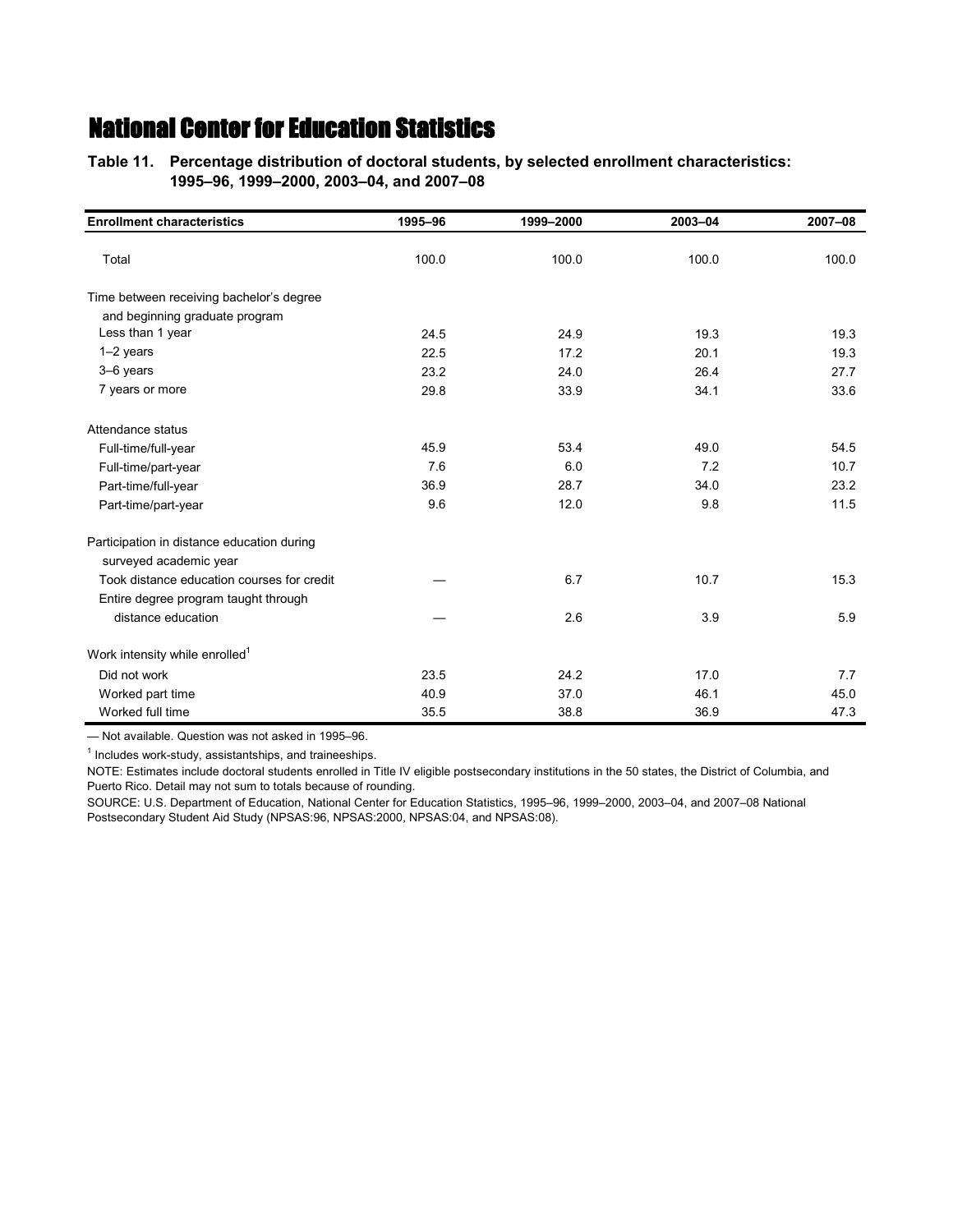**Table 11.—Percentage distribution of doctoral students, by selected enrollment characteristics: Table 11.—1995–96, 1999–2000, 2003–04, and 2007–08**

| <b>Enrollment characteristics</b>          | 1995-96 | 1999-2000 | 2003-04 | 2007-08 |
|--------------------------------------------|---------|-----------|---------|---------|
| Total                                      | 100.0   | 100.0     | 100.0   | 100.0   |
| Time between receiving bachelor's degree   |         |           |         |         |
| and beginning graduate program             |         |           |         |         |
| Less than 1 year                           | 24.5    | 24.9      | 19.3    | 19.3    |
| $1-2$ years                                | 22.5    | 17.2      | 20.1    | 19.3    |
| 3-6 years                                  | 23.2    | 24.0      | 26.4    | 27.7    |
| 7 years or more                            | 29.8    | 33.9      | 34.1    | 33.6    |
| Attendance status                          |         |           |         |         |
| Full-time/full-year                        | 45.9    | 53.4      | 49.0    | 54.5    |
| Full-time/part-year                        | 7.6     | 6.0       | 7.2     | 10.7    |
| Part-time/full-year                        | 36.9    | 28.7      | 34.0    | 23.2    |
| Part-time/part-year                        | 9.6     | 12.0      | 9.8     | 11.5    |
| Participation in distance education during |         |           |         |         |
| surveyed academic year                     |         |           |         |         |
| Took distance education courses for credit |         | 6.7       | 10.7    | 15.3    |
| Entire degree program taught through       |         |           |         |         |
| distance education                         |         | 2.6       | 3.9     | 5.9     |
| Work intensity while enrolled <sup>1</sup> |         |           |         |         |
| Did not work                               | 23.5    | 24.2      | 17.0    | 7.7     |
| Worked part time                           | 40.9    | 37.0      | 46.1    | 45.0    |
| Worked full time                           | 35.5    | 38.8      | 36.9    | 47.3    |

— Not available. Question was not asked in 1995–96.

<sup>1</sup> Includes work-study, assistantships, and traineeships.

NOTE: Estimates include doctoral students enrolled in Title IV eligible postsecondary institutions in the 50 states, the District of Columbia, and Puerto Rico. Detail may not sum to totals because of rounding.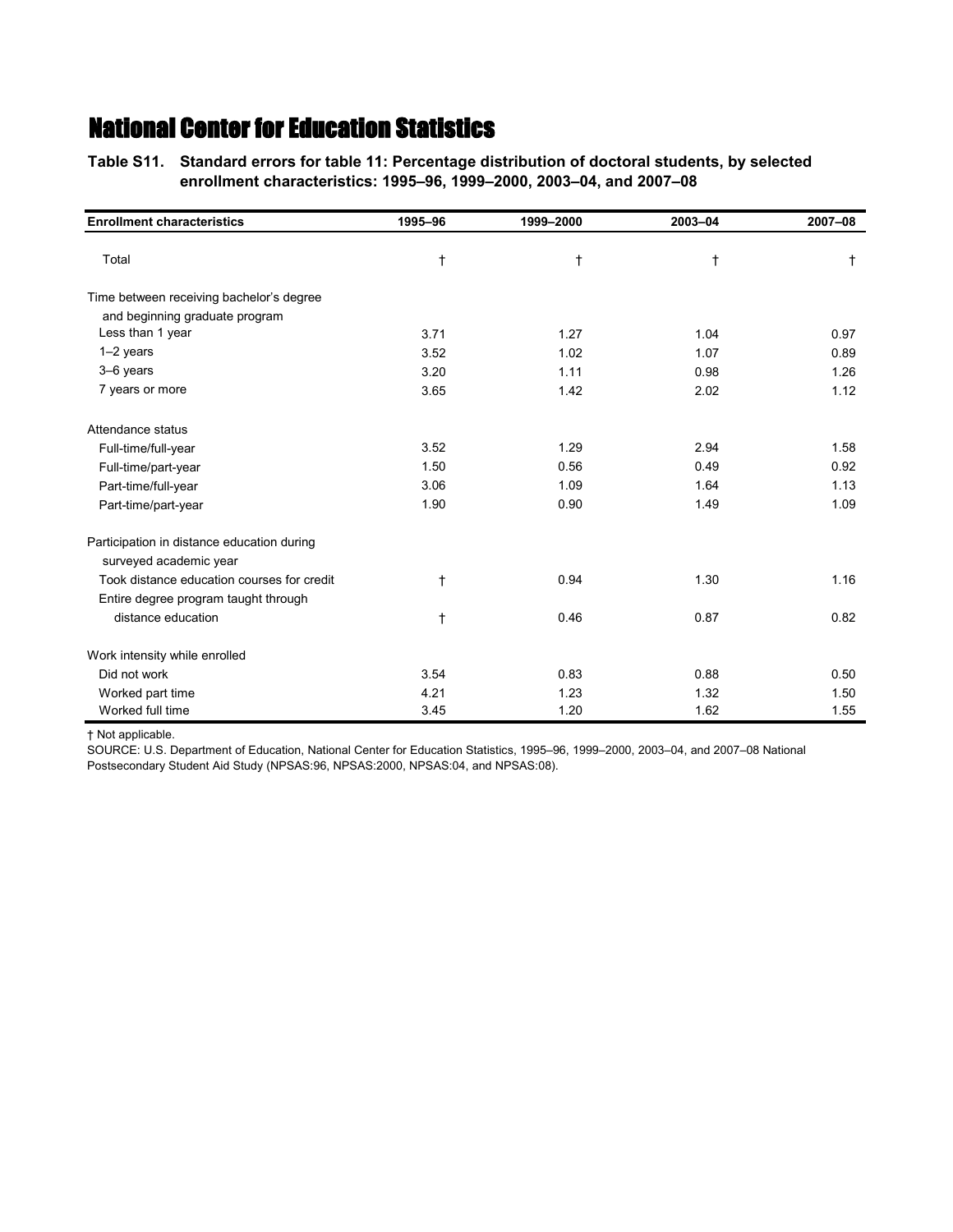**Table S11.—Standard errors for table 11: Percentage distribution of doctoral students, by selected Table S11.—enrollment characteristics: 1995–96, 1999–2000, 2003–04, and 2007–08**

| <b>Enrollment characteristics</b>          | 1995-96    | 1999-2000 | 2003-04    | 2007-08    |
|--------------------------------------------|------------|-----------|------------|------------|
| Total                                      | $^\dagger$ | $\dagger$ | $\ddagger$ | $\ddagger$ |
| Time between receiving bachelor's degree   |            |           |            |            |
| and beginning graduate program             |            |           |            |            |
| Less than 1 year                           | 3.71       | 1.27      | 1.04       | 0.97       |
| $1-2$ years                                | 3.52       | 1.02      | 1.07       | 0.89       |
| 3-6 years                                  | 3.20       | 1.11      | 0.98       | 1.26       |
| 7 years or more                            | 3.65       | 1.42      | 2.02       | 1.12       |
| Attendance status                          |            |           |            |            |
| Full-time/full-year                        | 3.52       | 1.29      | 2.94       | 1.58       |
| Full-time/part-year                        | 1.50       | 0.56      | 0.49       | 0.92       |
| Part-time/full-year                        | 3.06       | 1.09      | 1.64       | 1.13       |
| Part-time/part-year                        | 1.90       | 0.90      | 1.49       | 1.09       |
| Participation in distance education during |            |           |            |            |
| surveyed academic year                     |            |           |            |            |
| Took distance education courses for credit | t          | 0.94      | 1.30       | 1.16       |
| Entire degree program taught through       |            |           |            |            |
| distance education                         | $^\dagger$ | 0.46      | 0.87       | 0.82       |
| Work intensity while enrolled              |            |           |            |            |
| Did not work                               | 3.54       | 0.83      | 0.88       | 0.50       |
| Worked part time                           | 4.21       | 1.23      | 1.32       | 1.50       |
| Worked full time                           | 3.45       | 1.20      | 1.62       | 1.55       |

† Not applicable.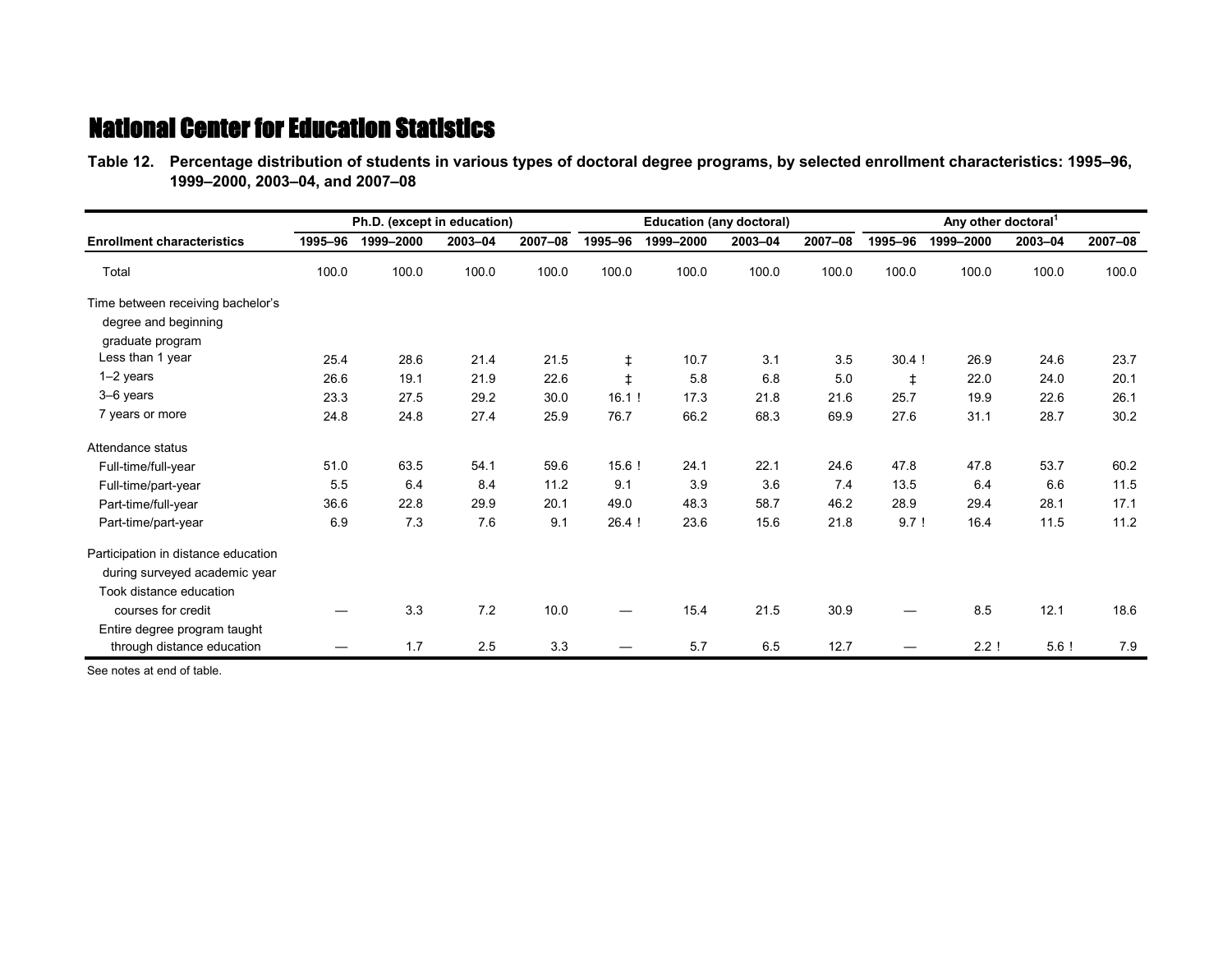**Table 12.—Percentage distribution of students in various types of doctoral degree programs, by selected enrollment characteristics: 1995–96, Table 12.—1999–2000, 2003–04, and 2007–08**

|                                     |         | Ph.D. (except in education) |         |         |            | <b>Education (any doctoral)</b> |         |         | Any other doctoral <sup>1</sup> |           |                  |         |
|-------------------------------------|---------|-----------------------------|---------|---------|------------|---------------------------------|---------|---------|---------------------------------|-----------|------------------|---------|
| <b>Enrollment characteristics</b>   | 1995-96 | 1999-2000                   | 2003-04 | 2007-08 | 1995-96    | 1999-2000                       | 2003-04 | 2007-08 | 1995-96                         | 1999-2000 | 2003-04          | 2007-08 |
| Total                               | 100.0   | 100.0                       | 100.0   | 100.0   | 100.0      | 100.0                           | 100.0   | 100.0   | 100.0                           | 100.0     | 100.0            | 100.0   |
| Time between receiving bachelor's   |         |                             |         |         |            |                                 |         |         |                                 |           |                  |         |
| degree and beginning                |         |                             |         |         |            |                                 |         |         |                                 |           |                  |         |
| graduate program                    |         |                             |         |         |            |                                 |         |         |                                 |           |                  |         |
| Less than 1 year                    | 25.4    | 28.6                        | 21.4    | 21.5    | $\ddagger$ | 10.7                            | 3.1     | 3.5     | $30.4$ !                        | 26.9      | 24.6             | 23.7    |
| $1-2$ years                         | 26.6    | 19.1                        | 21.9    | 22.6    | $\ddagger$ | 5.8                             | 6.8     | 5.0     | $\ddagger$                      | 22.0      | 24.0             | 20.1    |
| 3-6 years                           | 23.3    | 27.5                        | 29.2    | 30.0    | 16.1!      | 17.3                            | 21.8    | 21.6    | 25.7                            | 19.9      | 22.6             | 26.1    |
| 7 years or more                     | 24.8    | 24.8                        | 27.4    | 25.9    | 76.7       | 66.2                            | 68.3    | 69.9    | 27.6                            | 31.1      | 28.7             | 30.2    |
| Attendance status                   |         |                             |         |         |            |                                 |         |         |                                 |           |                  |         |
| Full-time/full-year                 | 51.0    | 63.5                        | 54.1    | 59.6    | $15.6$ !   | 24.1                            | 22.1    | 24.6    | 47.8                            | 47.8      | 53.7             | 60.2    |
| Full-time/part-year                 | 5.5     | 6.4                         | 8.4     | 11.2    | 9.1        | 3.9                             | 3.6     | 7.4     | 13.5                            | 6.4       | 6.6              | 11.5    |
| Part-time/full-year                 | 36.6    | 22.8                        | 29.9    | 20.1    | 49.0       | 48.3                            | 58.7    | 46.2    | 28.9                            | 29.4      | 28.1             | 17.1    |
| Part-time/part-year                 | 6.9     | 7.3                         | 7.6     | 9.1     | 26.4       | 23.6                            | 15.6    | 21.8    | 9.7!                            | 16.4      | 11.5             | 11.2    |
| Participation in distance education |         |                             |         |         |            |                                 |         |         |                                 |           |                  |         |
| during surveyed academic year       |         |                             |         |         |            |                                 |         |         |                                 |           |                  |         |
| Took distance education             |         |                             |         |         |            |                                 |         |         |                                 |           |                  |         |
| courses for credit                  |         | 3.3                         | 7.2     | 10.0    |            | 15.4                            | 21.5    | 30.9    |                                 | 8.5       | 12.1             | 18.6    |
| Entire degree program taught        |         |                             |         |         |            |                                 |         |         |                                 |           |                  |         |
| through distance education          |         | 1.7                         | 2.5     | 3.3     |            | 5.7                             | 6.5     | 12.7    |                                 | 2.2!      | 5.6 <sub>1</sub> | 7.9     |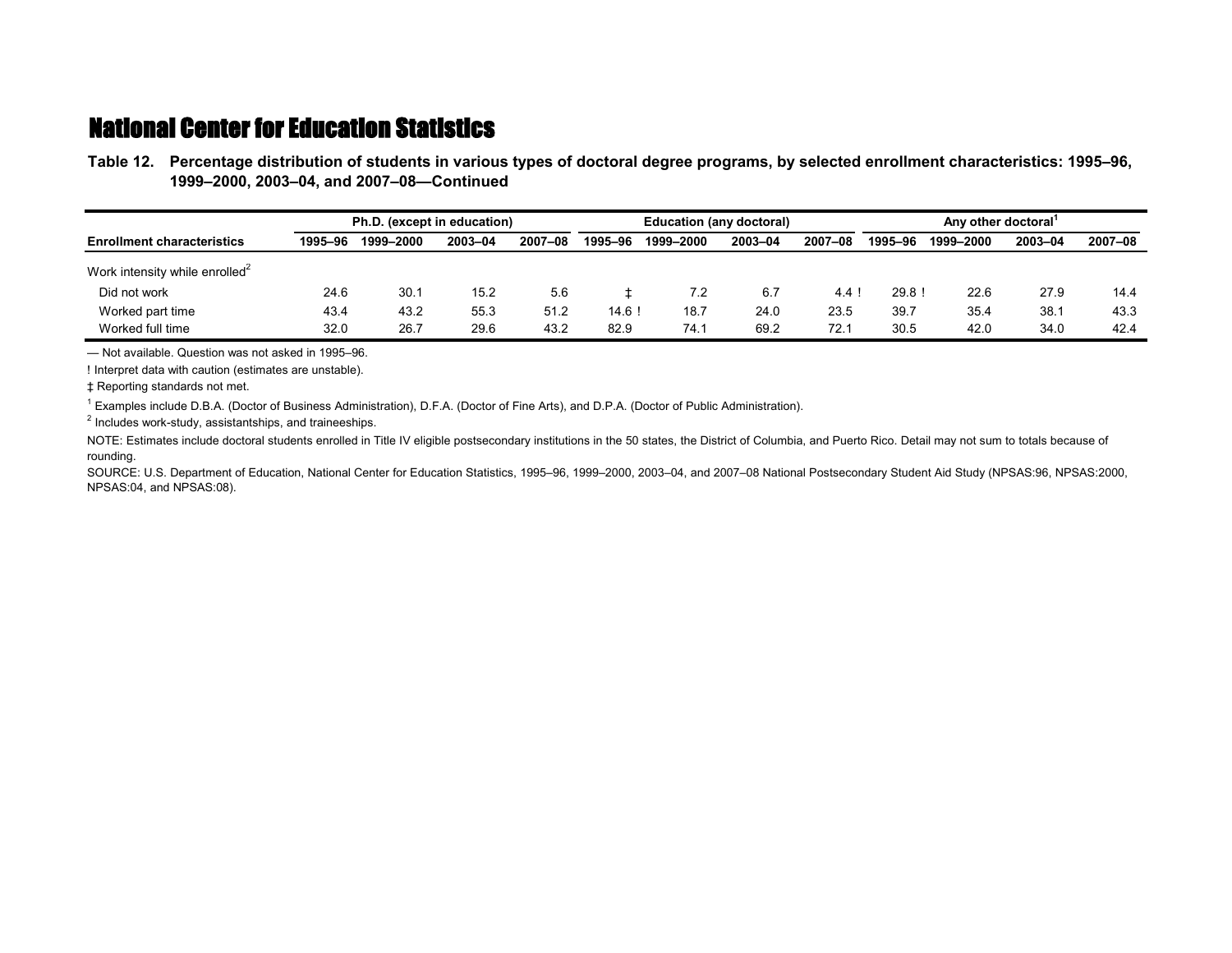**Table 12.—Percentage distribution of students in various types of doctoral degree programs, by selected enrollment characteristics: 1995–96, Table 12.—1999–2000, 2003–04, and 2007–08—Continued**

|                                            | Ph.D. (except in education) |           |         |         |         | <b>Education (any doctoral)</b> |         |         | Any other doctoral |           |         |         |
|--------------------------------------------|-----------------------------|-----------|---------|---------|---------|---------------------------------|---------|---------|--------------------|-----------|---------|---------|
| <b>Enrollment characteristics</b>          | 1995-96                     | 1999-2000 | 2003-04 | 2007-08 | 1995–96 | 1999-2000                       | 2003-04 | 2007-08 | 1995–96            | 1999-2000 | 2003-04 | 2007-08 |
| Work intensity while enrolled <sup>2</sup> |                             |           |         |         |         |                                 |         |         |                    |           |         |         |
| Did not work                               | 24.6                        | 30.7      | 15.2    | 5.6     |         | 7.2                             | 6.7     | 4.4     | 29.8!              | 22.6      | 27.9    | 14.4    |
| Worked part time                           | 43.4                        | 43.2      | 55.3    | 51.2    | 14.6!   | 18.7                            | 24.0    | 23.5    | 39.7               | 35.4      | 38.1    | 43.3    |
| Worked full time                           | 32.0                        | 26.7      | 29.6    | 43.2    | 82.9    | 74.1                            | 69.2    | 72.1    | 30.5               | 42.0      | 34.0    | 42.4    |

— Not available. Question was not asked in 1995–96.

! Interpret data with caution (estimates are unstable).

‡ Reporting standards not met.

1 Examples include D.B.A. (Doctor of Business Administration), D.F.A. (Doctor of Fine Arts), and D.P.A. (Doctor of Public Administration).

<sup>2</sup> Includes work-study, assistantships, and traineeships.

NOTE: Estimates include doctoral students enrolled in Title IV eligible postsecondary institutions in the 50 states, the District of Columbia, and Puerto Rico. Detail may not sum to totals because of rounding.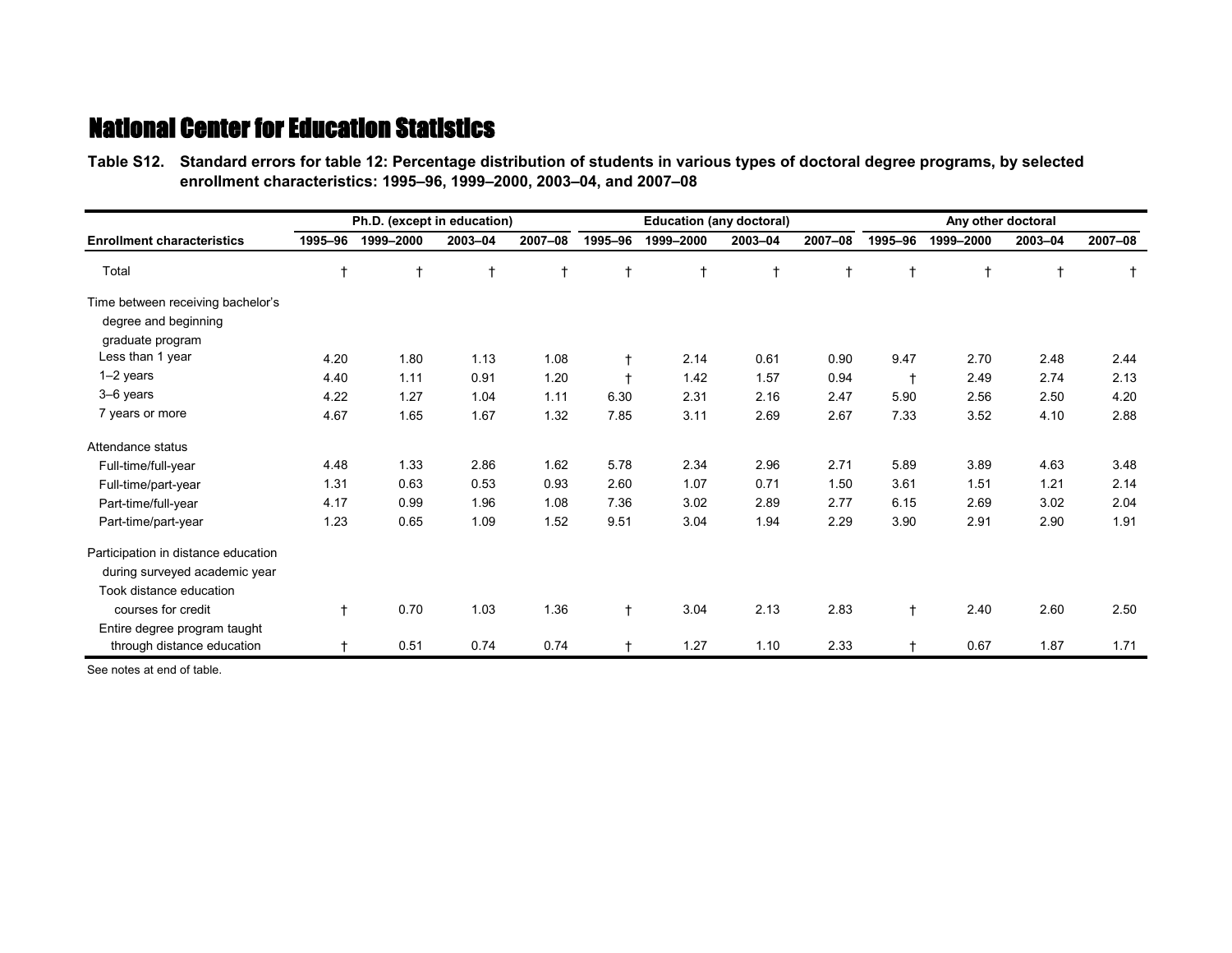**Table S12.—Standard errors for table 12: Percentage distribution of students in various types of doctoral degree programs, by selected Table S12.—enrollment characteristics: 1995–96, 1999–2000, 2003–04, and 2007–08**

|                                     |         | Ph.D. (except in education) |         |            |            | <b>Education (any doctoral)</b> |            |         | Any other doctoral |           |            |         |
|-------------------------------------|---------|-----------------------------|---------|------------|------------|---------------------------------|------------|---------|--------------------|-----------|------------|---------|
| <b>Enrollment characteristics</b>   | 1995-96 | 1999-2000                   | 2003-04 | 2007-08    | 1995-96    | 1999-2000                       | 2003-04    | 2007-08 | 1995-96            | 1999-2000 | 2003-04    | 2007-08 |
| Total                               |         | $\ddagger$                  | t       | $\ddagger$ | t          | $\mathsf{t}$                    | $\ddagger$ |         | t                  |           | $\ddagger$ |         |
| Time between receiving bachelor's   |         |                             |         |            |            |                                 |            |         |                    |           |            |         |
| degree and beginning                |         |                             |         |            |            |                                 |            |         |                    |           |            |         |
| graduate program                    |         |                             |         |            |            |                                 |            |         |                    |           |            |         |
| Less than 1 year                    | 4.20    | 1.80                        | 1.13    | 1.08       | $\ddagger$ | 2.14                            | 0.61       | 0.90    | 9.47               | 2.70      | 2.48       | 2.44    |
| 1-2 years                           | 4.40    | 1.11                        | 0.91    | 1.20       | $+$        | 1.42                            | 1.57       | 0.94    | $\ddagger$         | 2.49      | 2.74       | 2.13    |
| 3-6 years                           | 4.22    | 1.27                        | 1.04    | 1.11       | 6.30       | 2.31                            | 2.16       | 2.47    | 5.90               | 2.56      | 2.50       | 4.20    |
| 7 years or more                     | 4.67    | 1.65                        | 1.67    | 1.32       | 7.85       | 3.11                            | 2.69       | 2.67    | 7.33               | 3.52      | 4.10       | 2.88    |
| Attendance status                   |         |                             |         |            |            |                                 |            |         |                    |           |            |         |
| Full-time/full-year                 | 4.48    | 1.33                        | 2.86    | 1.62       | 5.78       | 2.34                            | 2.96       | 2.71    | 5.89               | 3.89      | 4.63       | 3.48    |
| Full-time/part-year                 | 1.31    | 0.63                        | 0.53    | 0.93       | 2.60       | 1.07                            | 0.71       | 1.50    | 3.61               | 1.51      | 1.21       | 2.14    |
| Part-time/full-year                 | 4.17    | 0.99                        | 1.96    | 1.08       | 7.36       | 3.02                            | 2.89       | 2.77    | 6.15               | 2.69      | 3.02       | 2.04    |
| Part-time/part-year                 | 1.23    | 0.65                        | 1.09    | 1.52       | 9.51       | 3.04                            | 1.94       | 2.29    | 3.90               | 2.91      | 2.90       | 1.91    |
| Participation in distance education |         |                             |         |            |            |                                 |            |         |                    |           |            |         |
| during surveyed academic year       |         |                             |         |            |            |                                 |            |         |                    |           |            |         |
| Took distance education             |         |                             |         |            |            |                                 |            |         |                    |           |            |         |
| courses for credit                  | t       | 0.70                        | 1.03    | 1.36       | $\dagger$  | 3.04                            | 2.13       | 2.83    | t                  | 2.40      | 2.60       | 2.50    |
| Entire degree program taught        |         |                             |         |            |            |                                 |            |         |                    |           |            |         |
| through distance education          |         | 0.51                        | 0.74    | 0.74       |            | 1.27                            | 1.10       | 2.33    |                    | 0.67      | 1.87       | 1.71    |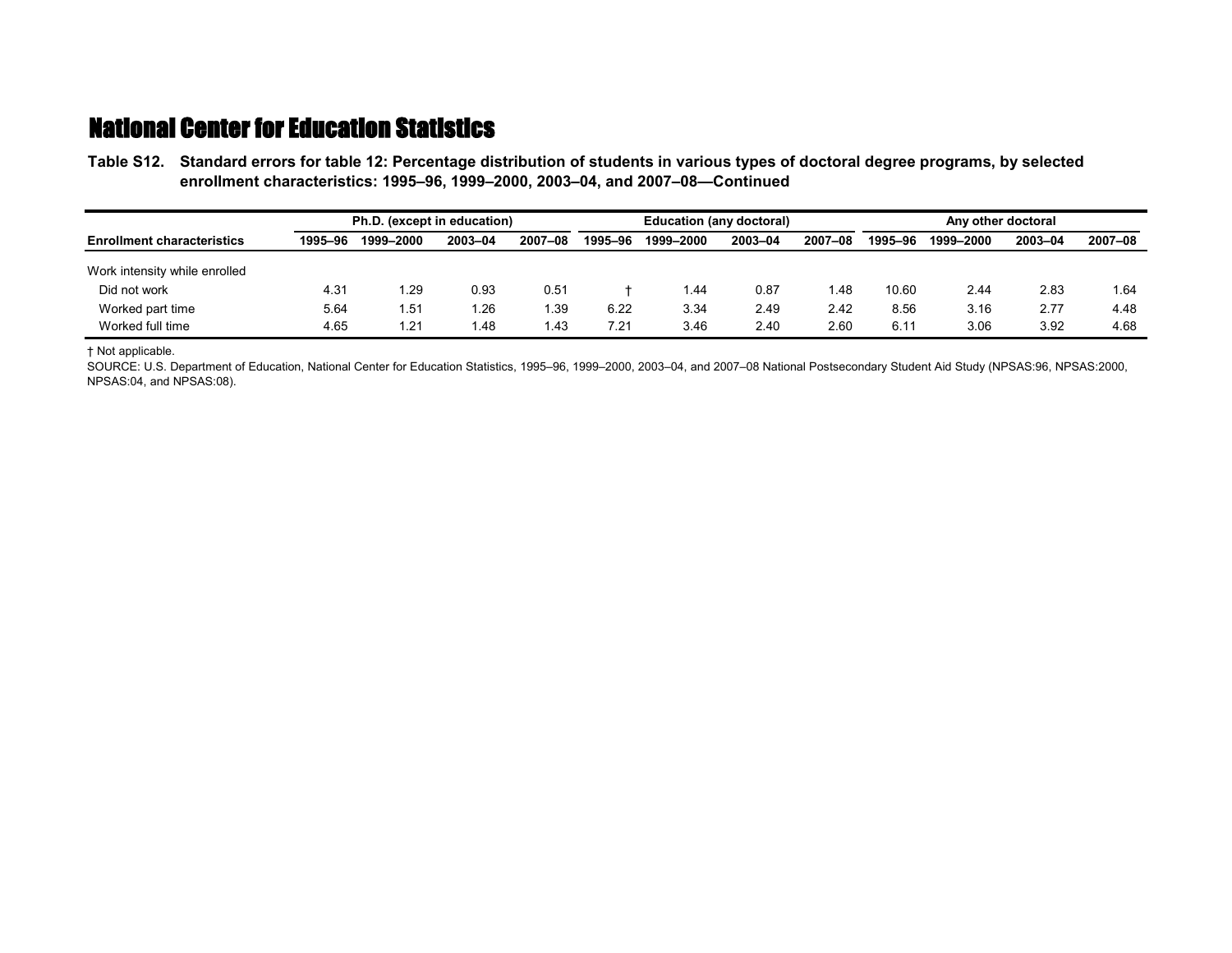**Table S12.—Standard errors for table 12: Percentage distribution of students in various types of doctoral degree programs, by selected Table S12.—enrollment characteristics: 1995–96, 1999–2000, 2003–04, and 2007–08—Continued**

|                                   | Ph.D. (except in education) |           |         |         |         | Education (any doctoral) |         |         |         | Any other doctoral |         |         |  |
|-----------------------------------|-----------------------------|-----------|---------|---------|---------|--------------------------|---------|---------|---------|--------------------|---------|---------|--|
| <b>Enrollment characteristics</b> | 1995-96                     | 1999-2000 | 2003-04 | 2007-08 | 1995-96 | 1999-2000                | 2003-04 | 2007-08 | 1995-96 | 1999-2000          | 2003-04 | 2007-08 |  |
| Work intensity while enrolled     |                             |           |         |         |         |                          |         |         |         |                    |         |         |  |
| Did not work                      | 4.31                        | i.29      | 0.93    | 0.51    |         | 44. ا                    | 0.87    | 48. ا   | 10.60   | 2.44               | 2.83    | l 64    |  |
| Worked part time                  | 5.64                        | 1.51      | .26     | . 39    | 6.22    | 3.34                     | 2.49    | 2.42    | 8.56    | 3.16               | 2.77    | 4.48    |  |
| Worked full time                  | 4.65                        | 1.21      | l.48    | . 43    | 7.21    | 3.46                     | 2.40    | 2.60    | 6.11    | 3.06               | 3.92    | 4.68    |  |

† Not applicable.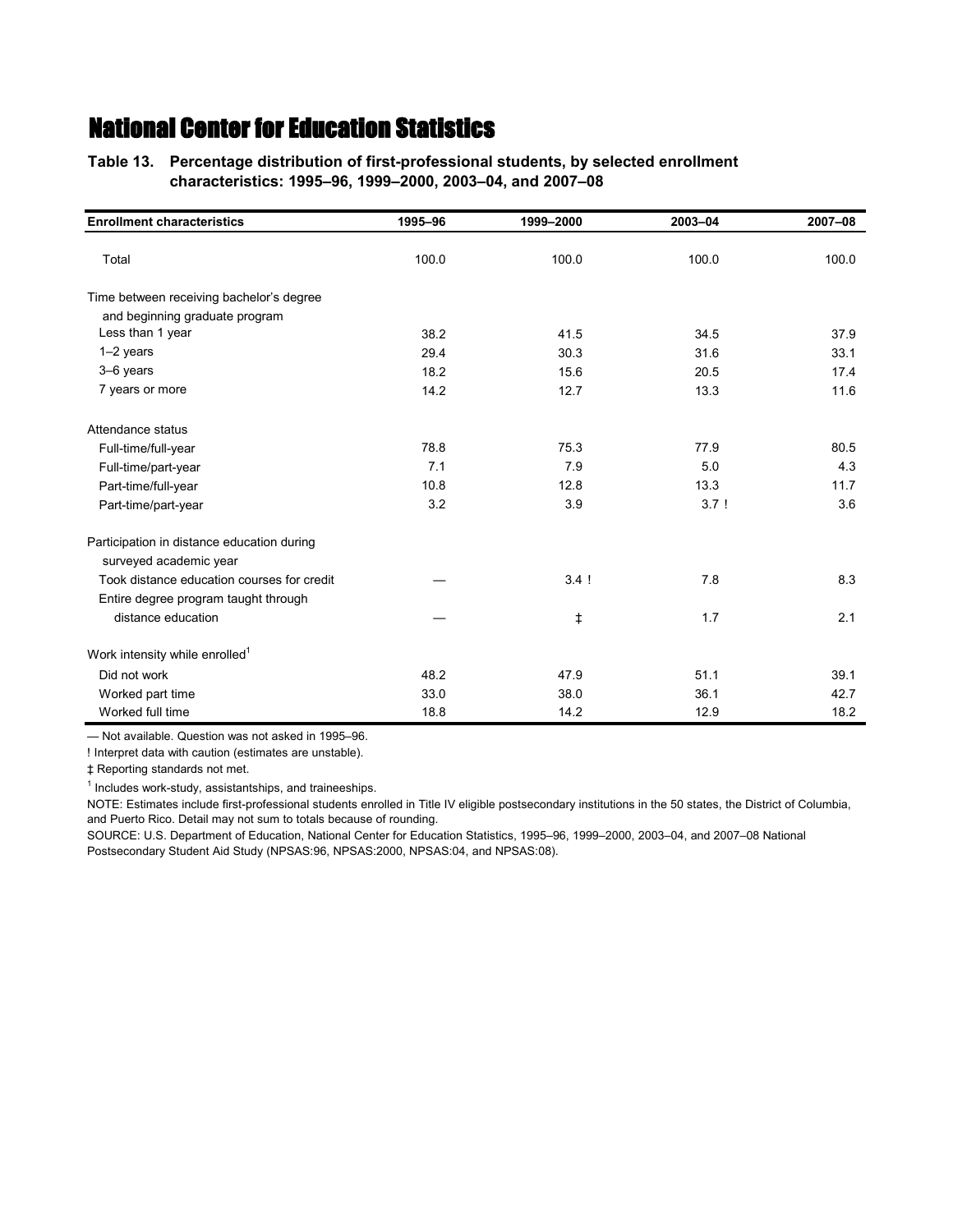**Table 13.—Percentage distribution of first-professional students, by selected enrollment Table 13.—characteristics: 1995–96, 1999–2000, 2003–04, and 2007–08**

| <b>Enrollment characteristics</b>          | 1995-96 | 1999-2000 | 2003-04 | 2007-08 |
|--------------------------------------------|---------|-----------|---------|---------|
| Total                                      | 100.0   | 100.0     | 100.0   | 100.0   |
| Time between receiving bachelor's degree   |         |           |         |         |
| and beginning graduate program             |         |           |         |         |
| Less than 1 year                           | 38.2    | 41.5      | 34.5    | 37.9    |
| $1-2$ years                                | 29.4    | 30.3      | 31.6    | 33.1    |
| 3-6 years                                  | 18.2    | 15.6      | 20.5    | 17.4    |
| 7 years or more                            | 14.2    | 12.7      | 13.3    | 11.6    |
| Attendance status                          |         |           |         |         |
| Full-time/full-year                        | 78.8    | 75.3      | 77.9    | 80.5    |
| Full-time/part-year                        | 7.1     | 7.9       | 5.0     | 4.3     |
| Part-time/full-year                        | 10.8    | 12.8      | 13.3    | 11.7    |
| Part-time/part-year                        | 3.2     | 3.9       | 3.7!    | 3.6     |
| Participation in distance education during |         |           |         |         |
| surveyed academic year                     |         |           |         |         |
| Took distance education courses for credit |         | 3.4!      | 7.8     | 8.3     |
| Entire degree program taught through       |         |           |         |         |
| distance education                         |         | ŧ         | 1.7     | 2.1     |
| Work intensity while enrolled <sup>1</sup> |         |           |         |         |
| Did not work                               | 48.2    | 47.9      | 51.1    | 39.1    |
| Worked part time                           | 33.0    | 38.0      | 36.1    | 42.7    |
| Worked full time                           | 18.8    | 14.2      | 12.9    | 18.2    |

— Not available. Question was not asked in 1995–96.

! Interpret data with caution (estimates are unstable).

‡ Reporting standards not met.

<sup>1</sup> Includes work-study, assistantships, and traineeships.

NOTE: Estimates include first-professional students enrolled in Title IV eligible postsecondary institutions in the 50 states, the District of Columbia, and Puerto Rico. Detail may not sum to totals because of rounding.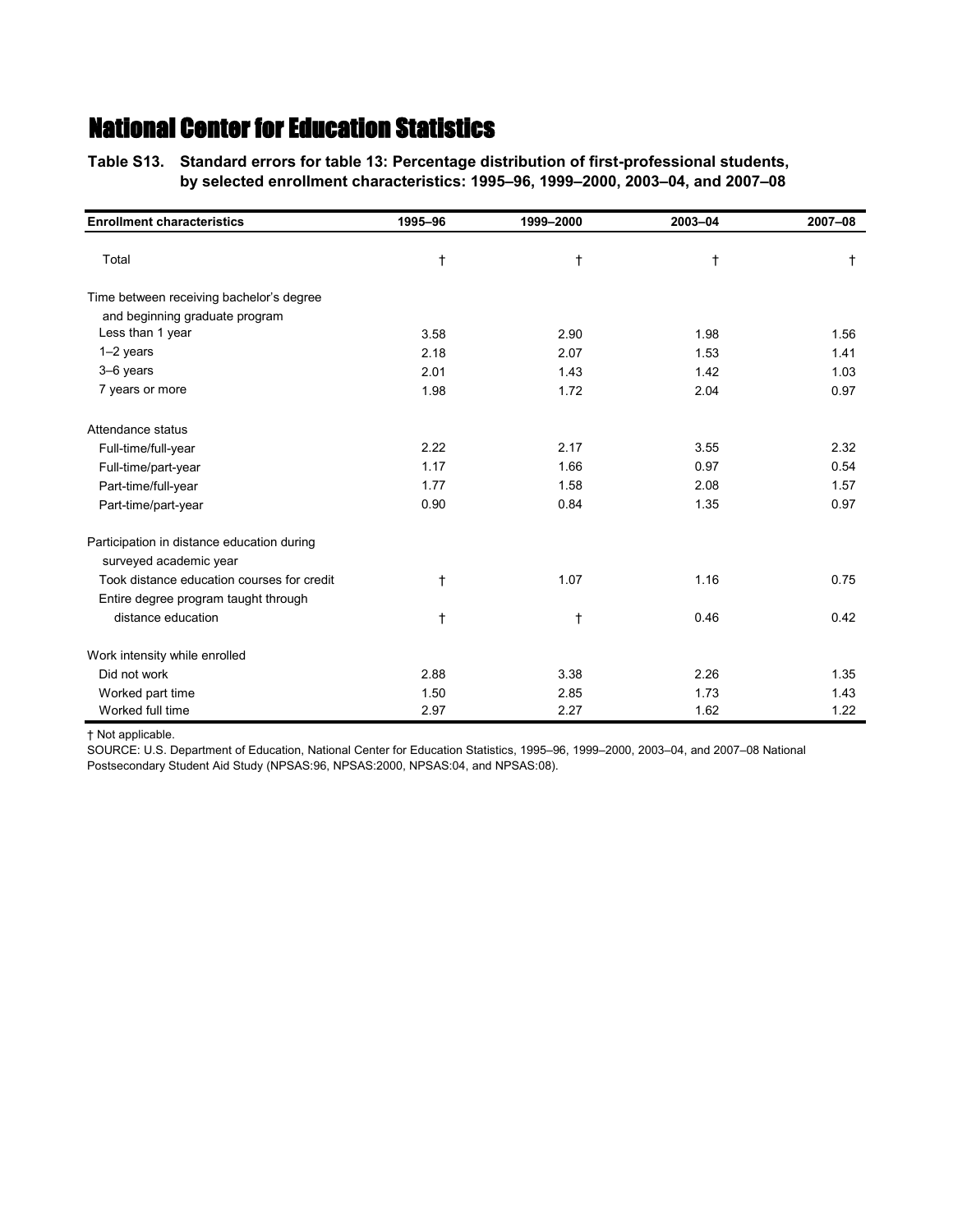**Table S13.—Standard errors for table 13: Percentage distribution of first-professional students, Table S13.—by selected enrollment characteristics: 1995–96, 1999–2000, 2003–04, and 2007–08**

| <b>Enrollment characteristics</b>          | 1995-96    | 1999-2000 | 2003-04    | 2007-08    |
|--------------------------------------------|------------|-----------|------------|------------|
| Total                                      | $^\dagger$ | $\dagger$ | $\ddagger$ | $\ddagger$ |
| Time between receiving bachelor's degree   |            |           |            |            |
| and beginning graduate program             |            |           |            |            |
| Less than 1 year                           | 3.58       | 2.90      | 1.98       | 1.56       |
| $1-2$ years                                | 2.18       | 2.07      | 1.53       | 1.41       |
| 3-6 years                                  | 2.01       | 1.43      | 1.42       | 1.03       |
| 7 years or more                            | 1.98       | 1.72      | 2.04       | 0.97       |
| Attendance status                          |            |           |            |            |
| Full-time/full-year                        | 2.22       | 2.17      | 3.55       | 2.32       |
| Full-time/part-year                        | 1.17       | 1.66      | 0.97       | 0.54       |
| Part-time/full-year                        | 1.77       | 1.58      | 2.08       | 1.57       |
| Part-time/part-year                        | 0.90       | 0.84      | 1.35       | 0.97       |
| Participation in distance education during |            |           |            |            |
| surveyed academic year                     |            |           |            |            |
| Took distance education courses for credit | t          | 1.07      | 1.16       | 0.75       |
| Entire degree program taught through       |            |           |            |            |
| distance education                         | $^\dagger$ | t         | 0.46       | 0.42       |
| Work intensity while enrolled              |            |           |            |            |
| Did not work                               | 2.88       | 3.38      | 2.26       | 1.35       |
| Worked part time                           | 1.50       | 2.85      | 1.73       | 1.43       |
| Worked full time                           | 2.97       | 2.27      | 1.62       | 1.22       |

† Not applicable.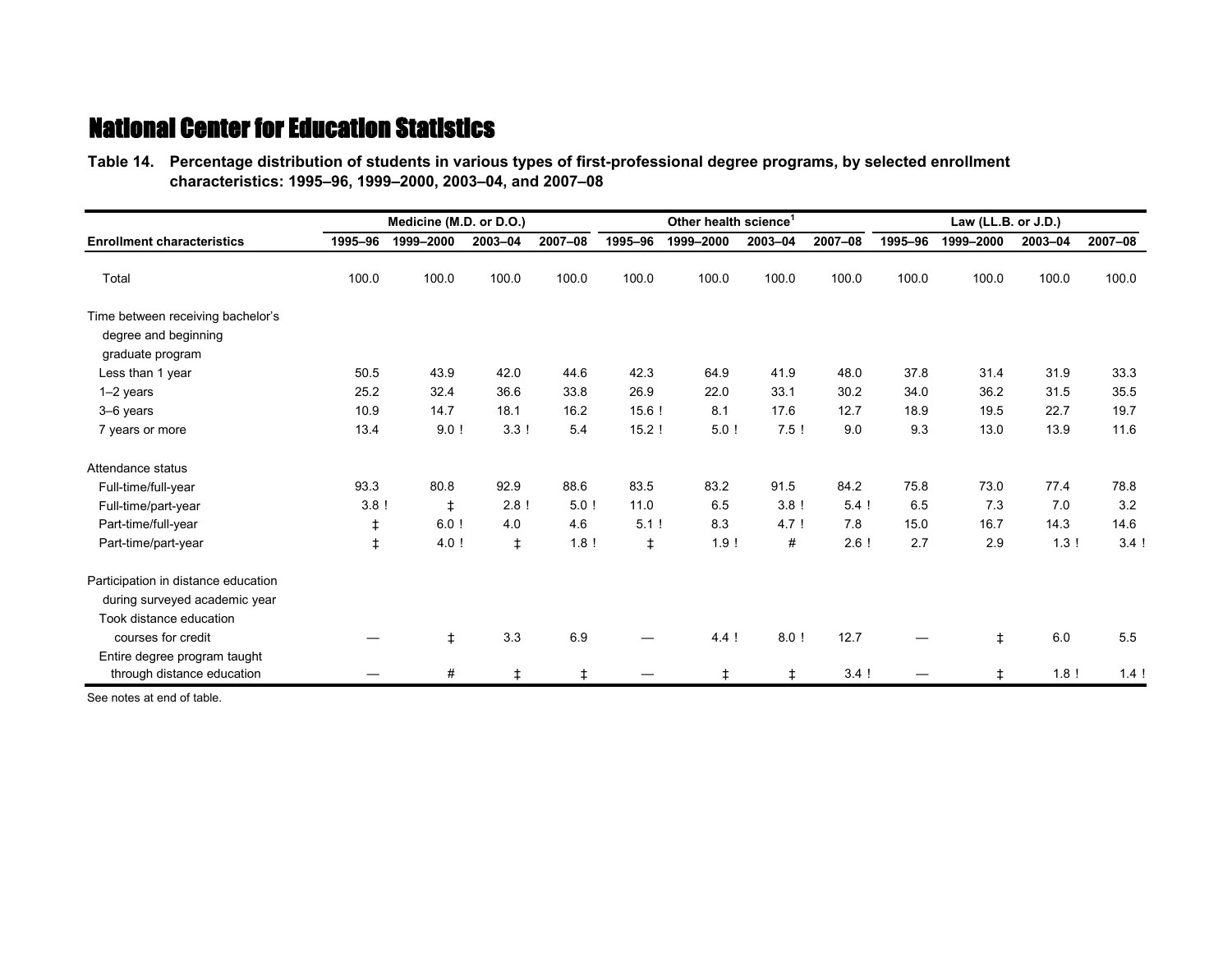**Table 14.—Percentage distribution of students in various types of first-professional degree programs, by selected enrollment Table 14.—characteristics: 1995–96, 1999–2000, 2003–04, and 2007–08**

|                                                                               |         | Medicine (M.D. or D.O.) |            |         |            | Other health science <sup>1</sup> |         |         |         | Law (LL.B. or J.D.) |         |         |
|-------------------------------------------------------------------------------|---------|-------------------------|------------|---------|------------|-----------------------------------|---------|---------|---------|---------------------|---------|---------|
| <b>Enrollment characteristics</b>                                             | 1995-96 | 1999-2000               | 2003-04    | 2007-08 | 1995-96    | 1999-2000                         | 2003-04 | 2007-08 | 1995-96 | 1999-2000           | 2003-04 | 2007-08 |
| Total                                                                         | 100.0   | 100.0                   | 100.0      | 100.0   | 100.0      | 100.0                             | 100.0   | 100.0   | 100.0   | 100.0               | 100.0   | 100.0   |
| Time between receiving bachelor's<br>degree and beginning<br>graduate program |         |                         |            |         |            |                                   |         |         |         |                     |         |         |
| Less than 1 year                                                              | 50.5    | 43.9                    | 42.0       | 44.6    | 42.3       | 64.9                              | 41.9    | 48.0    | 37.8    | 31.4                | 31.9    | 33.3    |
| 1-2 years                                                                     | 25.2    | 32.4                    | 36.6       | 33.8    | 26.9       | 22.0                              | 33.1    | 30.2    | 34.0    | 36.2                | 31.5    | 35.5    |
| 3-6 years                                                                     | 10.9    | 14.7                    | 18.1       | 16.2    | 15.6!      | 8.1                               | 17.6    | 12.7    | 18.9    | 19.5                | 22.7    | 19.7    |
| 7 years or more                                                               | 13.4    | 9.0!                    | 3.3!       | 5.4     | 15.2!      | 5.0!                              | 7.5!    | 9.0     | 9.3     | 13.0                | 13.9    | 11.6    |
| Attendance status                                                             |         |                         |            |         |            |                                   |         |         |         |                     |         |         |
| Full-time/full-year                                                           | 93.3    | 80.8                    | 92.9       | 88.6    | 83.5       | 83.2                              | 91.5    | 84.2    | 75.8    | 73.0                | 77.4    | 78.8    |
| Full-time/part-year                                                           | 3.8!    | $\ddagger$              | 2.8!       | 5.0!    | 11.0       | 6.5                               | 3.8!    | $5.4$ ! | 6.5     | 7.3                 | 7.0     | 3.2     |
| Part-time/full-year                                                           | ŧ       | $6.0$ !                 | 4.0        | 4.6     | 5.1!       | 8.3                               | 4.7!    | 7.8     | 15.0    | 16.7                | 14.3    | 14.6    |
| Part-time/part-year                                                           | ŧ       | 4.0!                    | $\ddagger$ | 1.8!    | $\ddagger$ | 1.9!                              | #       | 2.6!    | 2.7     | 2.9                 | 13!     | 3.4!    |
| Participation in distance education                                           |         |                         |            |         |            |                                   |         |         |         |                     |         |         |
| during surveyed academic year                                                 |         |                         |            |         |            |                                   |         |         |         |                     |         |         |
| Took distance education                                                       |         |                         |            |         |            |                                   |         |         |         |                     |         |         |
| courses for credit                                                            |         | $\ddagger$              | 3.3        | 6.9     |            | 4.4!                              | 8.0!    | 12.7    |         | $\ddagger$          | 6.0     | 5.5     |
| Entire degree program taught                                                  |         |                         |            |         |            |                                   |         |         |         |                     |         |         |
| through distance education                                                    |         | #                       | $\ddagger$ | ŧ       |            | ŧ                                 | $\pm$   | 3.4!    |         | $\ddagger$          | 1.8!    | 1.4!    |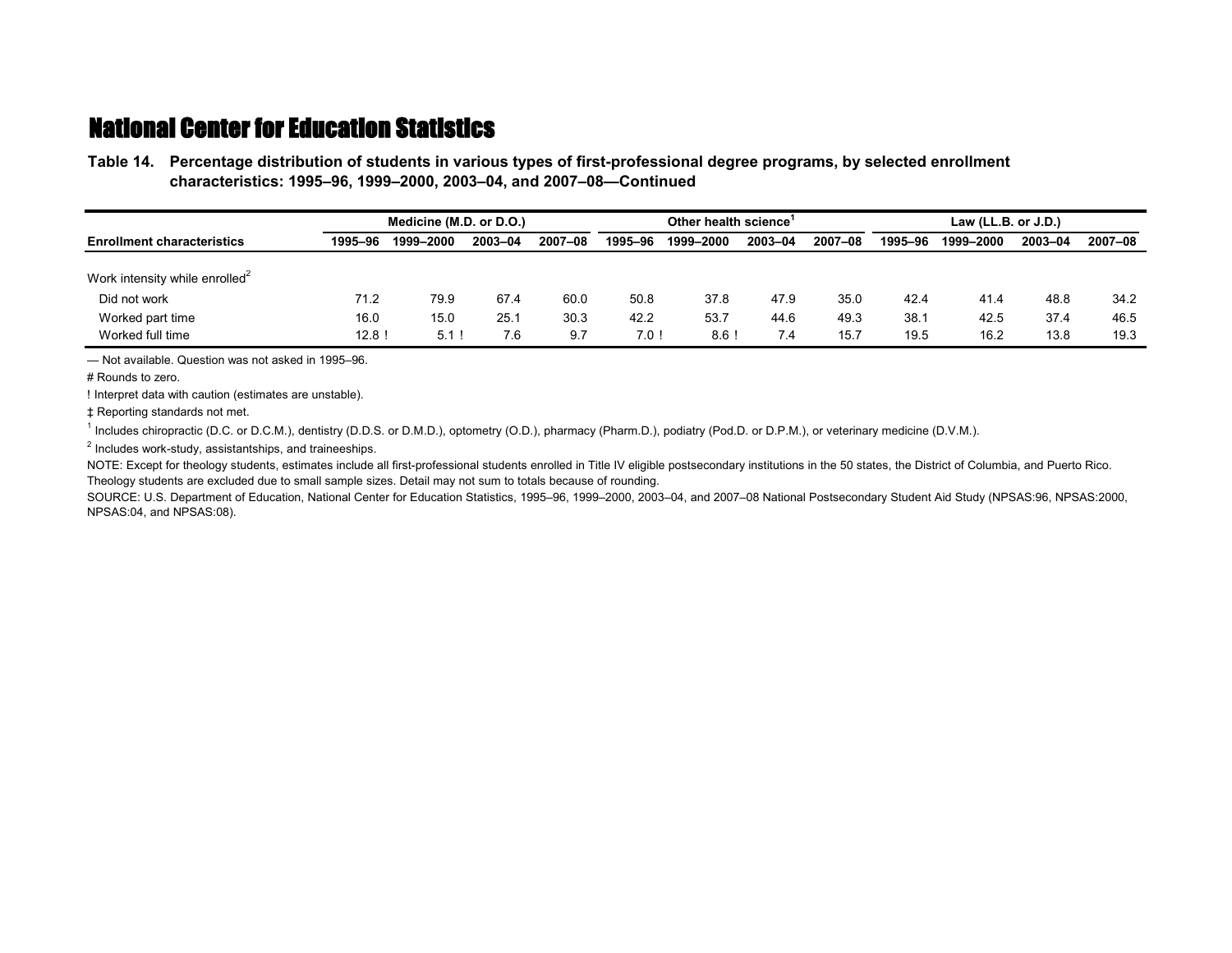**Table 14.—Percentage distribution of students in various types of first-professional degree programs, by selected enrollment Table 14.—characteristics: 1995–96, 1999–2000, 2003–04, and 2007–08—Continued**

|                                            |          | Medicine (M.D. or D.O.) |         |         |         | Other health science |         |         |         | Law $(LL.B. or J.D.)$ |         |         |
|--------------------------------------------|----------|-------------------------|---------|---------|---------|----------------------|---------|---------|---------|-----------------------|---------|---------|
| <b>Enrollment characteristics</b>          | 1995-96  | 1999-2000               | 2003-04 | 2007-08 | 1995-96 | 1999–2000            | 2003-04 | 2007-08 | 1995-96 | 1999-2000             | 2003-04 | 2007-08 |
| Work intensity while enrolled <sup>2</sup> |          |                         |         |         |         |                      |         |         |         |                       |         |         |
| Did not work                               | 71.2     | 79.9                    | 67.4    | 60.0    | 50.8    | 37.8                 | 47.9    | 35.0    | 42.4    | 41.4                  | 48.8    | 34.2    |
| Worked part time                           | 16.0     | 15.0                    | 25.1    | 30.3    | 42.2    | 53.7                 | 44.6    | 49.3    | 38.7    | 42.5                  | 37.4    | 46.5    |
| Worked full time                           | $12.8$ ! | 5.1                     | 7.6     | 9.7     | $7.0$ ! | 8.6                  | 7.4     | 15.7    | 19.5    | 16.2                  | 13.8    | 19.3    |

— Not available. Question was not asked in 1995–96.

# Rounds to zero.

! Interpret data with caution (estimates are unstable).

‡ Reporting standards not met.

<sup>1</sup> Includes chiropractic (D.C. or D.C.M.), dentistry (D.D.S. or D.M.D.), optometry (O.D.), pharmacy (Pharm.D.), podiatry (Pod.D. or D.P.M.), or veterinary medicine (D.V.M.).

<sup>2</sup> Includes work-study, assistantships, and traineeships.

NOTE: Except for theology students, estimates include all first-professional students enrolled in Title IV eligible postsecondary institutions in the 50 states, the District of Columbia, and Puerto Rico. Theology students are excluded due to small sample sizes. Detail may not sum to totals because of rounding.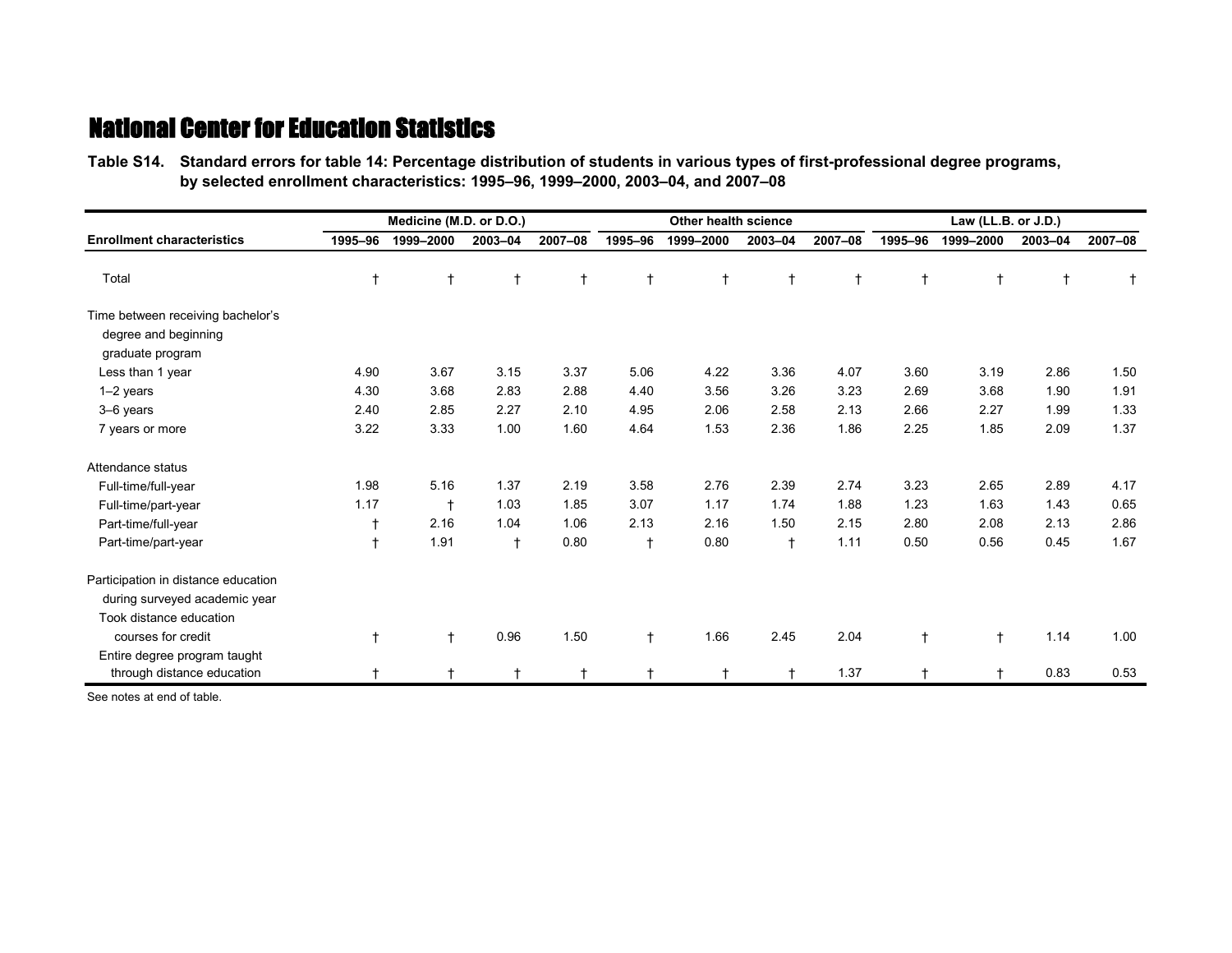**Table S14.—Standard errors for table 14: Percentage distribution of students in various types of first-professional degree programs, Table S14.—by selected enrollment characteristics: 1995–96, 1999–2000, 2003–04, and 2007–08**

|                                                                                                 |            | Medicine (M.D. or D.O.) |              |            |            | Other health science |            |            |            | Law (LL.B. or J.D.) |         |         |
|-------------------------------------------------------------------------------------------------|------------|-------------------------|--------------|------------|------------|----------------------|------------|------------|------------|---------------------|---------|---------|
| <b>Enrollment characteristics</b>                                                               | 1995-96    | 1999-2000               | 2003-04      | 2007-08    | 1995-96    | 1999-2000            | 2003-04    | 2007-08    | 1995-96    | 1999-2000           | 2003-04 | 2007-08 |
| Total                                                                                           | t          | $\ddagger$              | $^\dagger$   | $\ddagger$ | $\ddagger$ | $^{\dagger}$         | $\ddagger$ | $\ddagger$ |            | $\ddagger$          |         |         |
| Time between receiving bachelor's<br>degree and beginning<br>graduate program                   |            |                         |              |            |            |                      |            |            |            |                     |         |         |
| Less than 1 year                                                                                | 4.90       | 3.67                    | 3.15         | 3.37       | 5.06       | 4.22                 | 3.36       | 4.07       | 3.60       | 3.19                | 2.86    | 1.50    |
| $1-2$ years                                                                                     | 4.30       | 3.68                    | 2.83         | 2.88       | 4.40       | 3.56                 | 3.26       | 3.23       | 2.69       | 3.68                | 1.90    | 1.91    |
| 3-6 years                                                                                       | 2.40       | 2.85                    | 2.27         | 2.10       | 4.95       | 2.06                 | 2.58       | 2.13       | 2.66       | 2.27                | 1.99    | 1.33    |
| 7 years or more                                                                                 | 3.22       | 3.33                    | 1.00         | 1.60       | 4.64       | 1.53                 | 2.36       | 1.86       | 2.25       | 1.85                | 2.09    | 1.37    |
| Attendance status                                                                               |            |                         |              |            |            |                      |            |            |            |                     |         |         |
| Full-time/full-year                                                                             | 1.98       | 5.16                    | 1.37         | 2.19       | 3.58       | 2.76                 | 2.39       | 2.74       | 3.23       | 2.65                | 2.89    | 4.17    |
| Full-time/part-year                                                                             | 1.17       | $\ddagger$              | 1.03         | 1.85       | 3.07       | 1.17                 | 1.74       | 1.88       | 1.23       | 1.63                | 1.43    | 0.65    |
| Part-time/full-year                                                                             |            | 2.16                    | 1.04         | 1.06       | 2.13       | 2.16                 | 1.50       | 2.15       | 2.80       | 2.08                | 2.13    | 2.86    |
| Part-time/part-year                                                                             | $\ddagger$ | 1.91                    | $\mathsf{t}$ | 0.80       | $\ddagger$ | 0.80                 | $\ddagger$ | 1.11       | 0.50       | 0.56                | 0.45    | 1.67    |
| Participation in distance education<br>during surveyed academic year<br>Took distance education |            |                         |              |            |            |                      |            |            |            |                     |         |         |
| courses for credit<br>Entire degree program taught                                              | $\ddagger$ | $\ddagger$              | 0.96         | 1.50       | $\ddagger$ | 1.66                 | 2.45       | 2.04       | $\ddagger$ | $\ddagger$          | 1.14    | 1.00    |
| through distance education                                                                      | t          |                         |              |            |            |                      |            | 1.37       |            | $\ddot{}$           | 0.83    | 0.53    |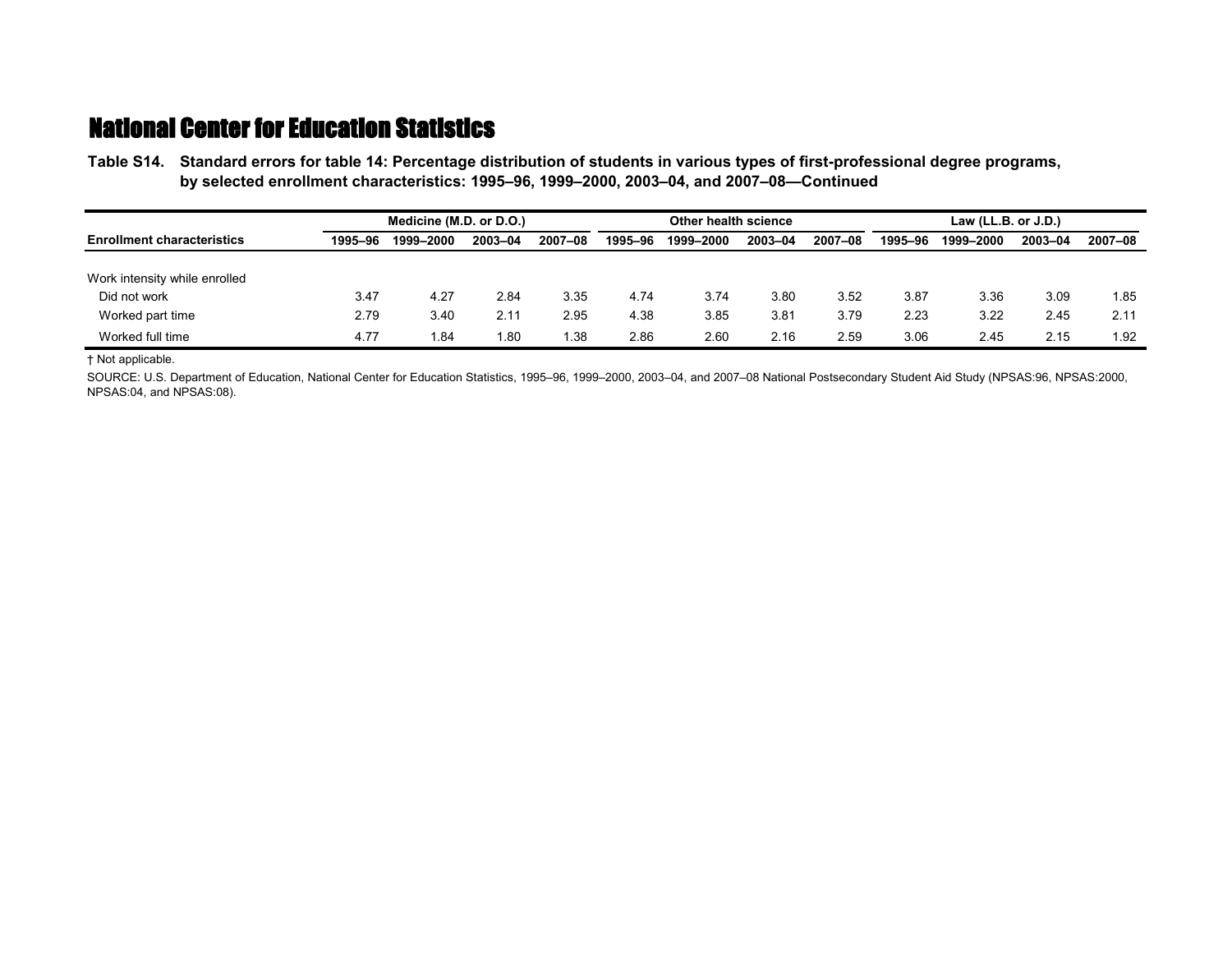**Table S14.—Standard errors for table 14: Percentage distribution of students in various types of first-professional degree programs, Table S14.—by selected enrollment characteristics: 1995–96, 1999–2000, 2003–04, and 2007–08—Continued**

|                                   |         | Medicine (M.D. or D.O.) |         |         |         | Other health science |         | Law $(LL.B. or J.D.)$ |         |           |         |         |
|-----------------------------------|---------|-------------------------|---------|---------|---------|----------------------|---------|-----------------------|---------|-----------|---------|---------|
| <b>Enrollment characteristics</b> | 1995–96 | 1999-2000               | 2003-04 | 2007-08 | 1995-96 | 1999-2000            | 2003-04 | 2007-08               | 1995-96 | 1999-2000 | 2003-04 | 2007-08 |
| Work intensity while enrolled     |         |                         |         |         |         |                      |         |                       |         |           |         |         |
| Did not work                      | 3.47    | 4.27                    | 2.84    | 3.35    | 4.74    | 3.74                 | 3.80    | 3.52                  | 3.87    | 3.36      | 3.09    | 1.85    |
| Worked part time                  | 2.79    | 3.40                    | 2.11    | 2.95    | 4.38    | 3.85                 | 3.81    | 3.79                  | 2.23    | 3.22      | 2.45    | 2.11    |
| Worked full time                  | 4.77    | .84                     | 1.80    | . 38    | 2.86    | 2.60                 | 2.16    | 2.59                  | 3.06    | 2.45      | 2.15    | 1.92    |

† Not applicable.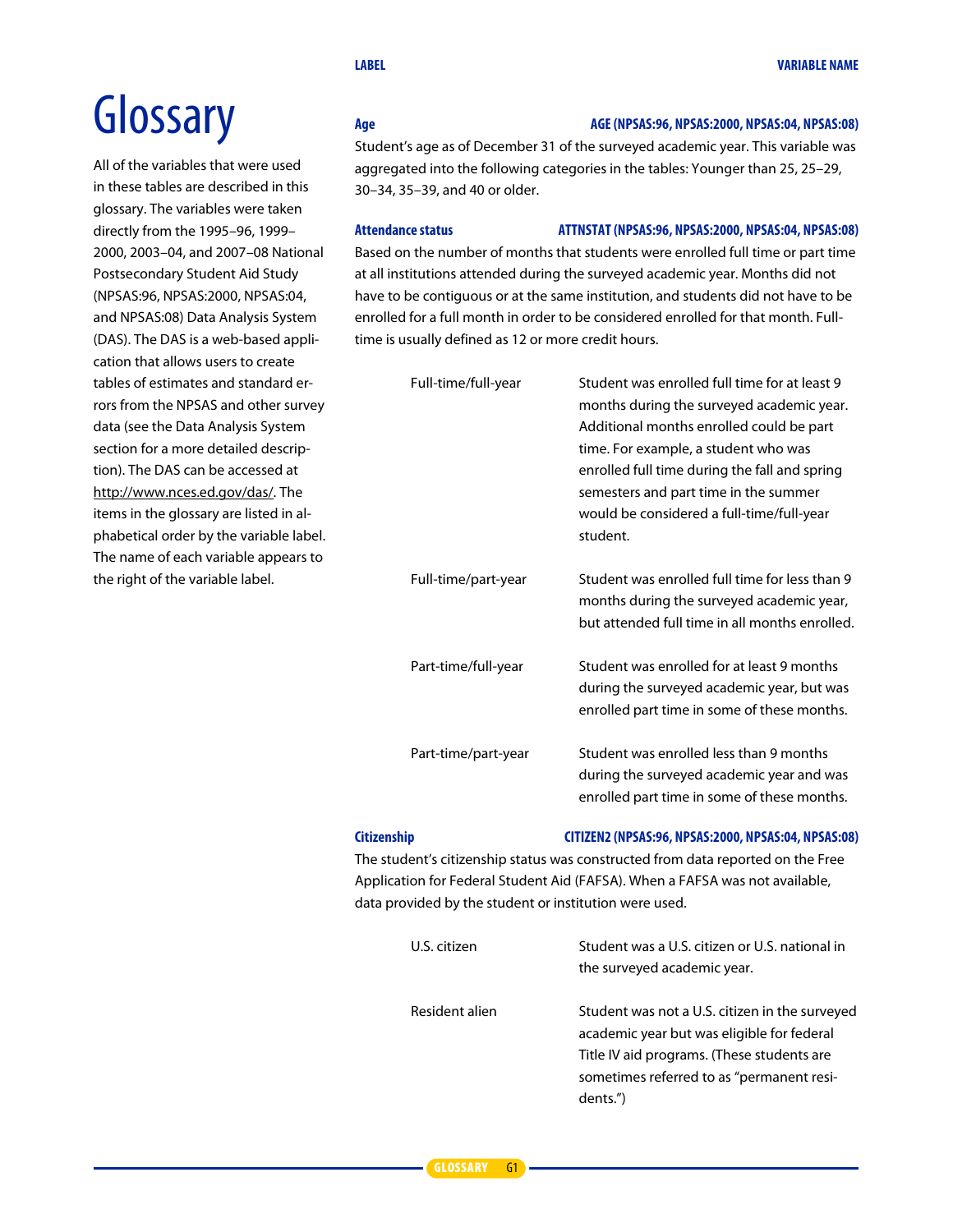# **Glossary**

All of the variables that were used in these tables are described in this glossary. The variables were taken directly from the 1995–96, 1999– 2000, 2003–04, and 2007–08 National Postsecondary Student Aid Study (NPSAS:96, NPSAS:2000, NPSAS:04, and NPSAS:08) Data Analysis System (DAS). The DAS is a web-based application that allows users to create tables of estimates and standard errors from the NPSAS and other survey data (see the Data Analysis System section for a more detailed description). The DAS can be accessed at http://www.nces.ed.gov/das/. The items in the glossary are listed in alphabetical order by the variable label. The name of each variable appears to the right of the variable label.

#### **Age AGE (NPSAS:96, NPSAS:2000, NPSAS:04, NPSAS:08)**

Student's age as of December 31 of the surveyed academic year. This variable was aggregated into the following categories in the tables: Younger than 25, 25–29, 30–34, 35–39, and 40 or older.

#### **Attendance status ATTNSTAT (NPSAS:96, NPSAS:2000, NPSAS:04, NPSAS:08)**

Based on the number of months that students were enrolled full time or part time at all institutions attended during the surveyed academic year. Months did not have to be contiguous or at the same institution, and students did not have to be enrolled for a full month in order to be considered enrolled for that month. Fulltime is usually defined as 12 or more credit hours.

| Full-time/full-year | Student was enrolled full time for at least 9<br>months during the surveyed academic year.<br>Additional months enrolled could be part<br>time. For example, a student who was<br>enrolled full time during the fall and spring<br>semesters and part time in the summer<br>would be considered a full-time/full-year<br>student. |
|---------------------|-----------------------------------------------------------------------------------------------------------------------------------------------------------------------------------------------------------------------------------------------------------------------------------------------------------------------------------|
| Full-time/part-year | Student was enrolled full time for less than 9<br>months during the surveyed academic year,<br>but attended full time in all months enrolled.                                                                                                                                                                                     |
| Part-time/full-year | Student was enrolled for at least 9 months<br>during the surveyed academic year, but was<br>enrolled part time in some of these months.                                                                                                                                                                                           |
| Part-time/part-year | Student was enrolled less than 9 months<br>during the surveyed academic year and was<br>enrolled part time in some of these months.                                                                                                                                                                                               |

#### **Citizenship CITIZEN2 (NPSAS:96, NPSAS:2000, NPSAS:04, NPSAS:08)**

The student's citizenship status was constructed from data reported on the Free Application for Federal Student Aid (FAFSA). When a FAFSA was not available, data provided by the student or institution were used.

| U.S. citizen   | Student was a U.S. citizen or U.S. national in<br>the surveyed academic year.                                                                                                                       |
|----------------|-----------------------------------------------------------------------------------------------------------------------------------------------------------------------------------------------------|
| Resident alien | Student was not a U.S. citizen in the surveyed<br>academic year but was eligible for federal<br>Title IV aid programs. (These students are<br>sometimes referred to as "permanent resi-<br>dents.") |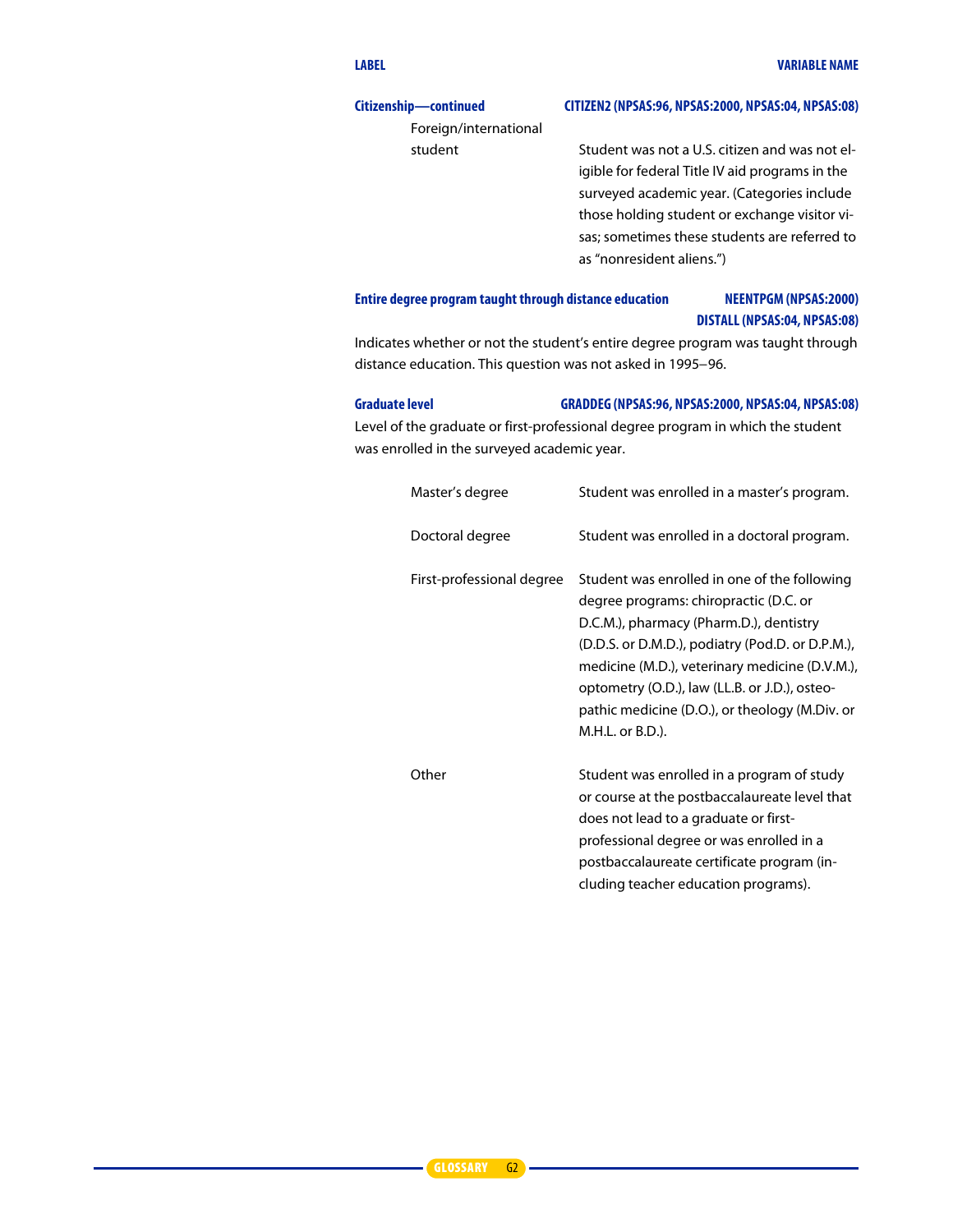#### **Citizenship—continued CITIZEN2 (NPSAS:96, NPSAS:2000, NPSAS:04, NPSAS:08)**

Foreign/international

student Student was not a U.S. citizen and was not eligible for federal Title IV aid programs in the surveyed academic year. (Categories include those holding student or exchange visitor visas; sometimes these students are referred to as "nonresident aliens.")

#### **Entire degree programtaught through distance education NEENTPGM(NPSAS:2000) DISTALL (NPSAS:04, NPSAS:08)**

Indicates whether or not the student's entire degree program was taught through distance education. This question was not asked in 1995−96.

#### **Graduate level GRADDEG (NPSAS:96, NPSAS:2000, NPSAS:04, NPSAS:08)**

Level of the graduate or first-professional degree program in which the student was enrolled in the surveyed academic year.

| Master's degree           | Student was enrolled in a master's program.                                                                                                                                                                                                                                                                                                                    |
|---------------------------|----------------------------------------------------------------------------------------------------------------------------------------------------------------------------------------------------------------------------------------------------------------------------------------------------------------------------------------------------------------|
| Doctoral degree           | Student was enrolled in a doctoral program.                                                                                                                                                                                                                                                                                                                    |
| First-professional degree | Student was enrolled in one of the following<br>degree programs: chiropractic (D.C. or<br>D.C.M.), pharmacy (Pharm.D.), dentistry<br>(D.D.S. or D.M.D.), podiatry (Pod.D. or D.P.M.),<br>medicine (M.D.), veterinary medicine (D.V.M.),<br>optometry (O.D.), law (LL.B. or J.D.), osteo-<br>pathic medicine (D.O.), or theology (M.Div. or<br>M.H.L. or B.D.). |
| Other                     | Student was enrolled in a program of study<br>or course at the postbaccalaureate level that<br>does not lead to a graduate or first-<br>professional degree or was enrolled in a<br>postbaccalaureate certificate program (in-<br>cluding teacher education programs).                                                                                         |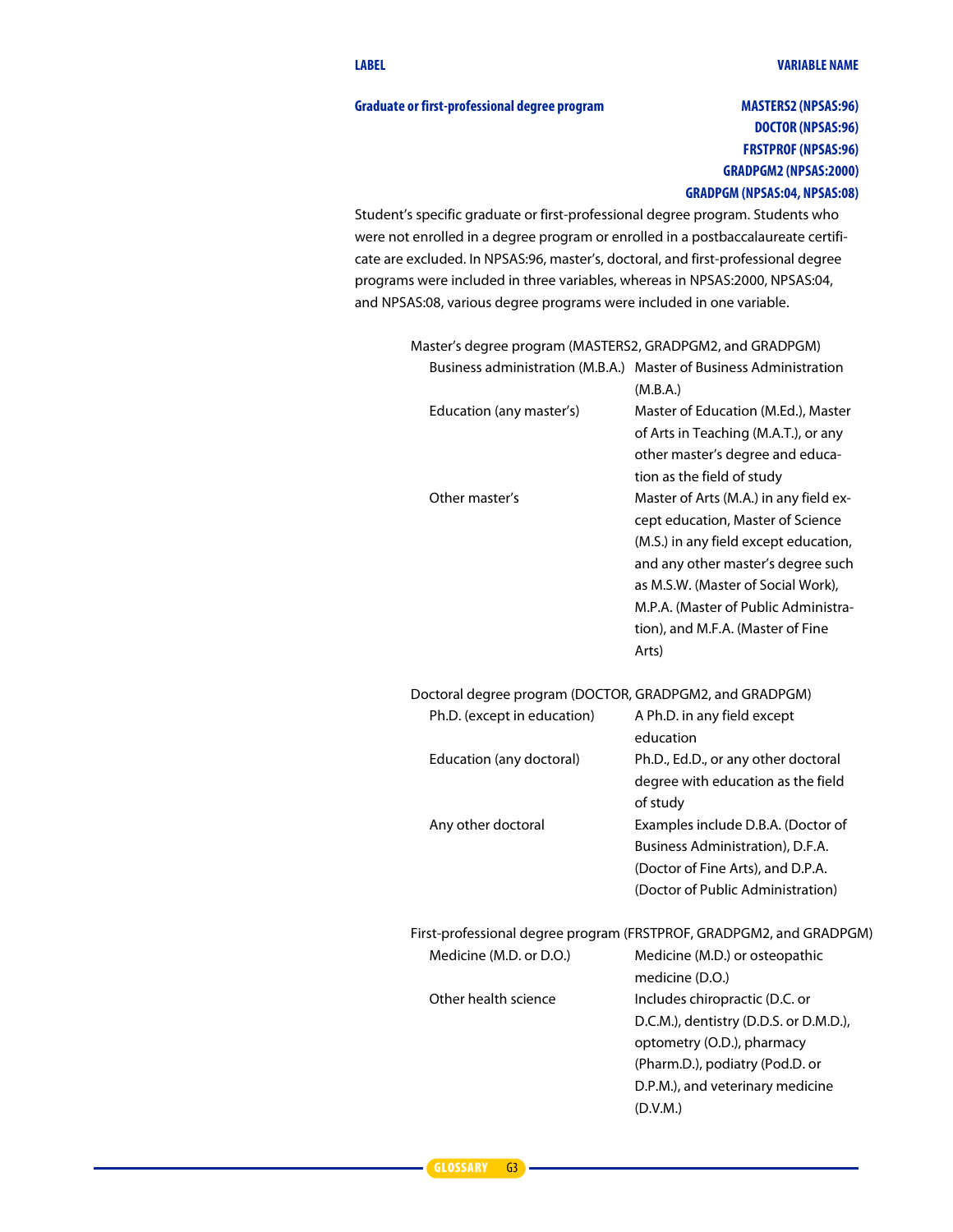#### Graduate or first-professional degree program **MASTERS2** (NPSAS:96)

#### **DOCTOR (NPSAS:96) FRSTPROF (NPSAS:96) GRADPGM2 (NPSAS:2000) GRADPGM (NPSAS:04, NPSAS:08)**

Student's specific graduate or first-professional degree program. Students who were not enrolled in a degree program or enrolled in a postbaccalaureate certificate are excluded. In NPSAS:96, master's, doctoral, and first-professional degree programs were included in three variables, whereas in NPSAS:2000, NPSAS:04, and NPSAS:08, various degree programs were included in one variable.

| Master's degree program (MASTERS2, GRADPGM2, and GRADPGM) |                                                                                                                                                                                                                                                                                        |
|-----------------------------------------------------------|----------------------------------------------------------------------------------------------------------------------------------------------------------------------------------------------------------------------------------------------------------------------------------------|
|                                                           | Business administration (M.B.A.) Master of Business Administration<br>(M.B.A.)                                                                                                                                                                                                         |
| Education (any master's)                                  | Master of Education (M.Ed.), Master<br>of Arts in Teaching (M.A.T.), or any<br>other master's degree and educa-<br>tion as the field of study                                                                                                                                          |
| Other master's                                            | Master of Arts (M.A.) in any field ex-<br>cept education, Master of Science<br>(M.S.) in any field except education,<br>and any other master's degree such<br>as M.S.W. (Master of Social Work).<br>M.P.A. (Master of Public Administra-<br>tion), and M.F.A. (Master of Fine<br>Arts) |
| Doctoral degree program (DOCTOR, GRADPGM2, and GRADPGM)   |                                                                                                                                                                                                                                                                                        |
| Ph.D. (except in education)                               | A Ph.D. in any field except<br>education                                                                                                                                                                                                                                               |
| Education (any doctoral)                                  | Ph.D., Ed.D., or any other doctoral<br>degree with education as the field<br>of study                                                                                                                                                                                                  |
| Any other doctoral                                        | Examples include D.B.A. (Doctor of<br>Business Administration), D.F.A.<br>(Doctor of Fine Arts), and D.P.A.<br>(Doctor of Public Administration)                                                                                                                                       |
|                                                           | First-professional degree program (FRSTPROF, GRADPGM2, and GRADPGM)                                                                                                                                                                                                                    |
| Medicine (M.D. or D.O.)                                   | Medicine (M.D.) or osteopathic<br>medicine (D.O.)                                                                                                                                                                                                                                      |
| Other health science                                      | Includes chiropractic (D.C. or<br>D.C.M.), dentistry (D.D.S. or D.M.D.),<br>optometry (O.D.), pharmacy<br>(Pharm.D.), podiatry (Pod.D. or<br>D.P.M.), and veterinary medicine<br>(D.V.M.)                                                                                              |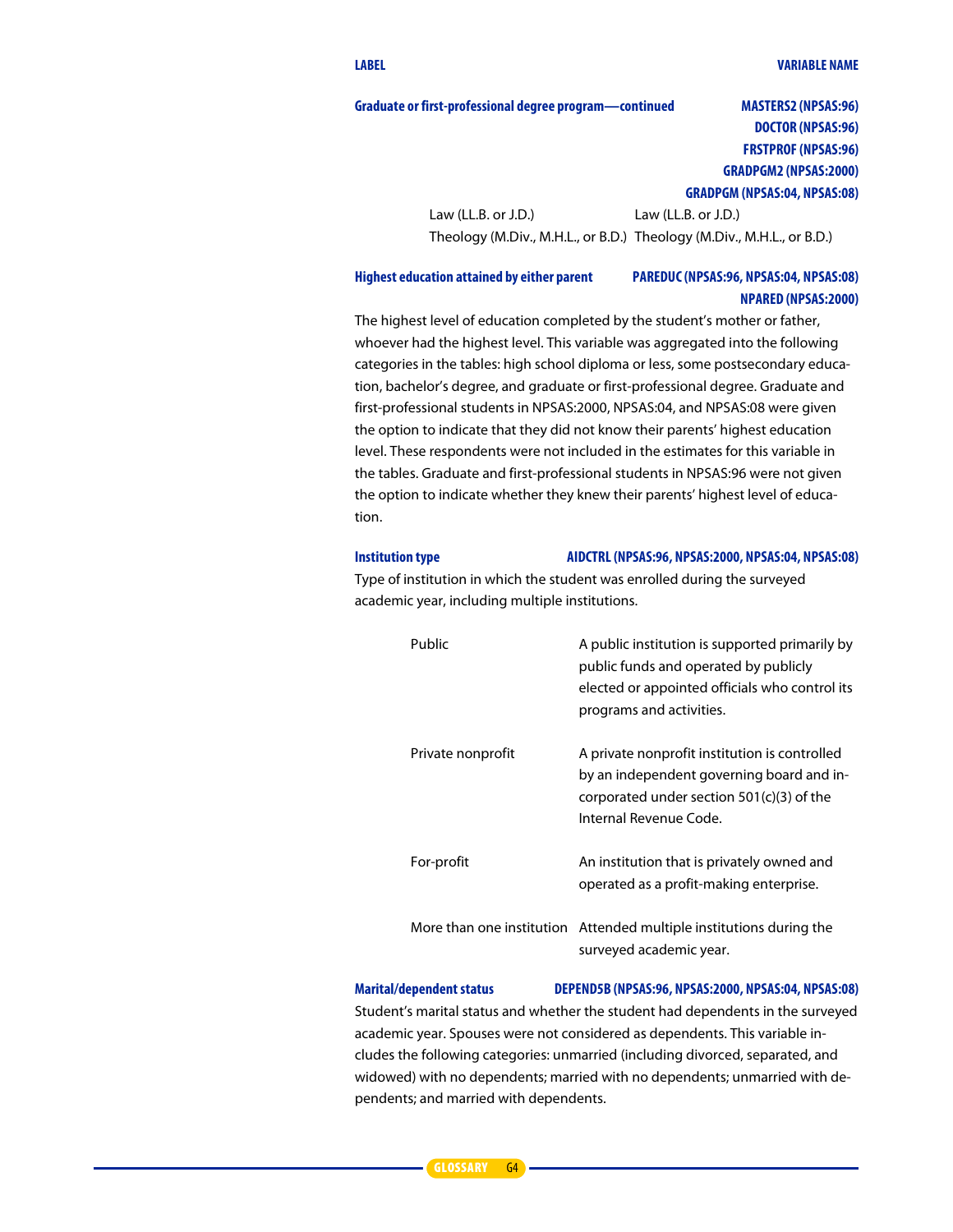#### **LABEL VARIABLE NAME**

#### **Graduate or first-professional degree program—continued MASTERS2 (NPSAS:96)**

#### **DOCTOR (NPSAS:96) FRSTPROF (NPSAS:96) GRADPGM2 (NPSAS:2000) GRADPGM (NPSAS:04, NPSAS:08)**

Law (LL.B. or J.D.) Law (LL.B. or J.D.) Theology (M.Div., M.H.L., or B.D.) Theology (M.Div., M.H.L., or B.D.)

#### **Highest education attained by either parent PAREDUC (NPSAS:96, NPSAS:04, NPSAS:08) NPARED (NPSAS:2000)**

The highest level of education completed by the student's mother or father, whoever had the highest level. This variable was aggregated into the following categories in the tables: high school diploma or less, some postsecondary education, bachelor's degree, and graduate or first-professional degree. Graduate and first-professional students in NPSAS:2000, NPSAS:04, and NPSAS:08 were given the option to indicate that they did not know their parents' highest education level. These respondents were not included in the estimates for this variable in the tables. Graduate and first-professional students in NPSAS:96 were not given the option to indicate whether they knew their parents' highest level of education.

#### **Institution type AIDCTRL (NPSAS:96, NPSAS:2000, NPSAS:04, NPSAS:08)**

Type of institution in which the student was enrolled during the surveyed academic year, including multiple institutions.

| Public            | A public institution is supported primarily by<br>public funds and operated by publicly<br>elected or appointed officials who control its<br>programs and activities. |
|-------------------|-----------------------------------------------------------------------------------------------------------------------------------------------------------------------|
| Private nonprofit | A private nonprofit institution is controlled<br>by an independent governing board and in-<br>corporated under section 501(c)(3) of the<br>Internal Revenue Code.     |
| For-profit        | An institution that is privately owned and<br>operated as a profit-making enterprise.                                                                                 |
|                   | More than one institution Attended multiple institutions during the<br>surveyed academic year.                                                                        |

#### **Marital/dependent status DEPEND5B (NPSAS:96, NPSAS:2000, NPSAS:04, NPSAS:08)**

Student's marital status and whether the student had dependents in the surveyed academic year. Spouses were not considered as dependents. This variable includes the following categories: unmarried (including divorced, separated, and widowed) with no dependents; married with no dependents; unmarried with dependents; and married with dependents.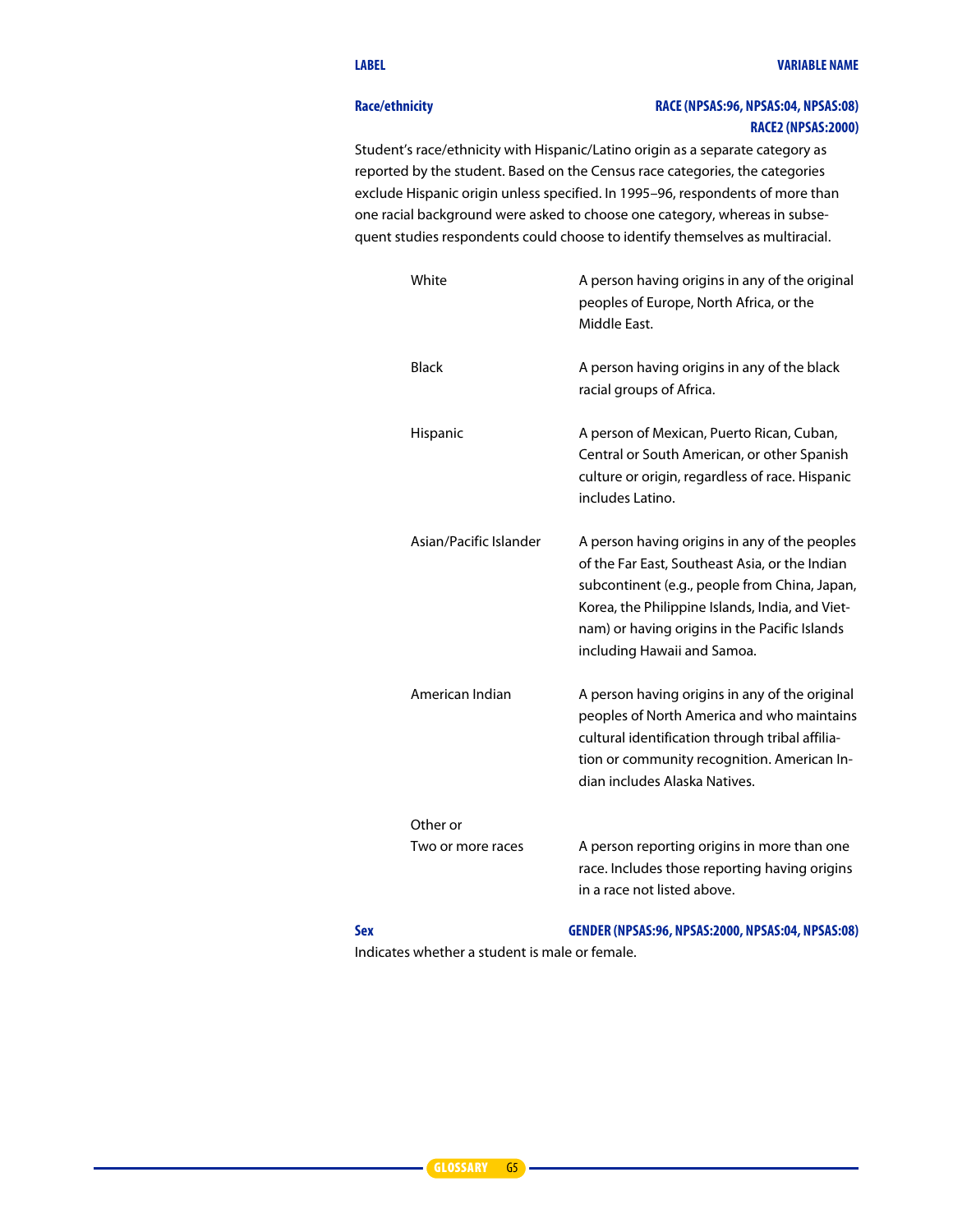#### **Race/ethnicity RACE (NPSAS:96, NPSAS:04, NPSAS:08) RACE2 (NPSAS:2000)**

Student's race/ethnicity with Hispanic/Latino origin as a separate category as reported by the student. Based on the Census race categories, the categories exclude Hispanic origin unless specified. In 1995–96, respondents of more than one racial background were asked to choose one category, whereas in subsequent studies respondents could choose to identify themselves as multiracial.

| White                         | A person having origins in any of the original<br>peoples of Europe, North Africa, or the<br>Middle East.                                                                                                                                                                           |
|-------------------------------|-------------------------------------------------------------------------------------------------------------------------------------------------------------------------------------------------------------------------------------------------------------------------------------|
| <b>Black</b>                  | A person having origins in any of the black<br>racial groups of Africa.                                                                                                                                                                                                             |
| Hispanic                      | A person of Mexican, Puerto Rican, Cuban,<br>Central or South American, or other Spanish<br>culture or origin, regardless of race. Hispanic<br>includes Latino.                                                                                                                     |
| Asian/Pacific Islander        | A person having origins in any of the peoples<br>of the Far East, Southeast Asia, or the Indian<br>subcontinent (e.g., people from China, Japan,<br>Korea, the Philippine Islands, India, and Viet-<br>nam) or having origins in the Pacific Islands<br>including Hawaii and Samoa. |
| American Indian               | A person having origins in any of the original<br>peoples of North America and who maintains<br>cultural identification through tribal affilia-<br>tion or community recognition. American In-<br>dian includes Alaska Natives.                                                     |
| Other or<br>Two or more races | A person reporting origins in more than one<br>race. Includes those reporting having origins                                                                                                                                                                                        |
|                               | in a race not listed above.                                                                                                                                                                                                                                                         |

#### **Sex GENDER (NPSAS:96, NPSAS:2000, NPSAS:04, NPSAS:08)**

Indicates whether a student is male or female.